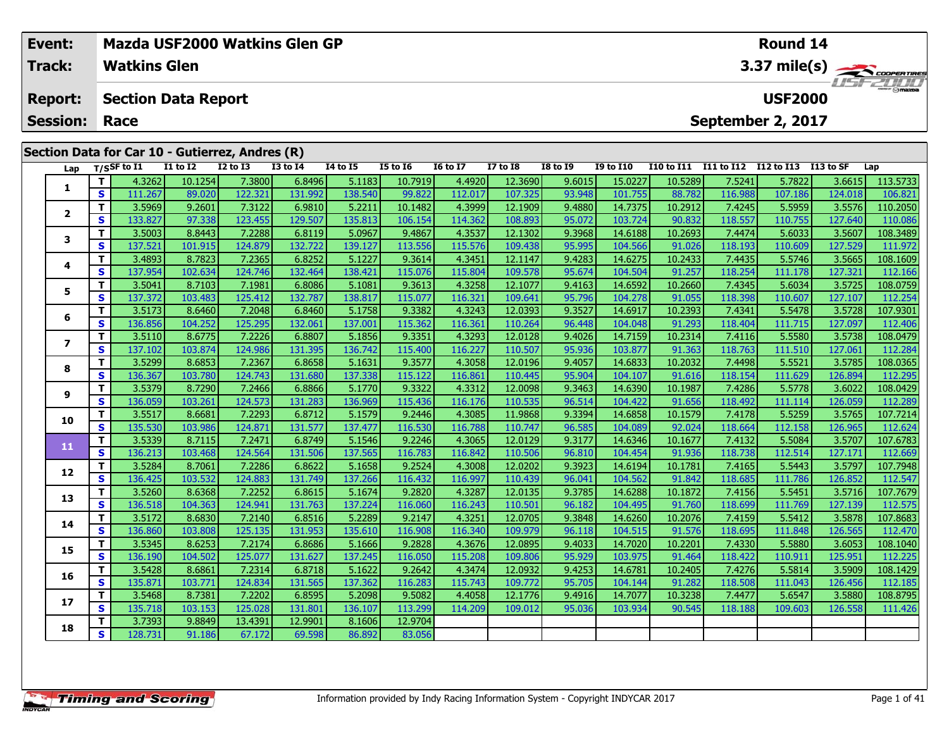| Event:                  |         | Mazda USF2000 Watkins Glen GP                   |                   |                   |                           |                       |                                              |                               |                              |                  |                                  |                   |                            | Round 14          |                   |                                                |
|-------------------------|---------|-------------------------------------------------|-------------------|-------------------|---------------------------|-----------------------|----------------------------------------------|-------------------------------|------------------------------|------------------|----------------------------------|-------------------|----------------------------|-------------------|-------------------|------------------------------------------------|
| Track:                  |         | <b>Watkins Glen</b>                             |                   |                   |                           |                       |                                              |                               |                              |                  |                                  |                   |                            |                   |                   | 3.37 mile(s)                                   |
| <b>Report:</b>          |         | <b>Section Data Report</b>                      |                   |                   |                           |                       |                                              |                               |                              |                  |                                  |                   |                            | <b>USF2000</b>    |                   |                                                |
| <b>Session:</b>         |         | Race                                            |                   |                   |                           |                       |                                              |                               |                              |                  |                                  |                   |                            | September 2, 2017 |                   |                                                |
|                         |         | Section Data for Car 10 - Gutierrez, Andres (R) |                   |                   |                           |                       |                                              |                               |                              |                  |                                  |                   |                            |                   |                   |                                                |
| Lap                     |         | $T/S$ SF to $I1$                                | <b>I1 to I2</b>   | <b>I2 to I3</b>   | <b>I3 to 14</b>           | 14 to 15              | <b>I5 to 16</b>                              | <b>16 to 17</b>               | <b>I7 to I8</b>              | <b>I8 to I9</b>  | <b>I9 to I10</b>                 | <b>I10 to I11</b> | I11 to I12                 | <b>I12 to I13</b> | I13 to SF         | Lap                                            |
| 1                       | T.      | 4.3262                                          | 10.1254           | 7.3800            | 6.8496                    | 5.1183                | 10.7919                                      | 4.4920                        | 12.3690                      | 9.6015           | 15.0227                          | 10.5289           | 7.5241                     | 5.7822            | 3.6615            | 113.5733                                       |
|                         | S       | 111.267                                         | 89.020            | 122.321           | 131.992                   | 138.540               | 99.822                                       | 112.017                       | 107.325                      | 93.948           | 101.755                          | 88.782            | 116.988                    | 107.186           | 124.018           | 106.821                                        |
| $\overline{2}$          | T.      | 3.5969                                          | 9.2601            | 7.3122            | 6.9810                    | 5.2211                | 10.1482                                      | 4.3999                        | 12.1909                      | 9.4880           | 14.7375                          | 10.2912           | 7.4245                     | 5.5959            | 3.5576            | 110.2050                                       |
|                         | s       | 133.827                                         | 97.338            | 123.455           | 129.507                   | 135.813               | 106.154                                      | 114.362                       | 108.893                      | 95.072           | 103.724                          | 90.832            | 118.557                    | 110.755           | 127.640           | 110.086                                        |
| 3                       | T.<br>S | 3.5003<br>137.521                               | 8.8443<br>101.915 | 7.2288<br>124.879 | 6.8119<br>132.722         | 5.0967<br>139.127     | 9.4867<br>113.556                            | 4.3537<br>115.576             | 12.1302<br>109.438           | 9.3968<br>95.995 | 14.6188<br>104.566               | 10.2693<br>91.026 | 7.4474<br>118.193          | 5.6033<br>110.609 | 3.5607<br>127.529 | 108.3489<br>111.972                            |
|                         | T.      | 3.4893                                          | 8.7823            | 7.2365            | 6.8252                    | 5.1227                | 9.3614                                       | 4.3451                        | 12.1147                      | 9.4283           | 14.6275                          | 10.2433           | 7.4435                     | 5.5746            | 3.5665            | 108.1609                                       |
| 4                       | S       | 137.954                                         | 102.634           | 124.746           | 132.464                   | 138.421               | 115.076                                      | 115.804                       | 109.578                      | 95.674           | 104.504                          | 91.257            | 118.254                    | 111.178           | 127.321           | 112.166                                        |
|                         | T.      | 3.5041                                          | 8.7103            | 7.1981            | 6.8086                    | 5.1081                | 9.3613                                       | 4.3258                        | 12.1077                      | 9.4163           | 14.6592                          | 10.2660           | 7.4345                     | 5.6034            | 3.5725            | 108.0759                                       |
| 5                       | S       | 137.372                                         | 103.483           | 125.412           | 132.787                   | 138.817               | 115.077                                      | 116.321                       | 109.641                      | 95.796           | 104.278                          | 91.055            | 118.398                    | 110.607           | 127.107           | 112.254                                        |
|                         | T.      | 3.5173                                          | 8.6460            | 7.2048            | 6.8460                    | 5.1758                | 9.3382                                       | 4.3243                        | 12.0393                      | 9.3527           | 14.6917                          | 10.2393           | 7.4341                     | 5.5478            | 3.5728            | 107.9301                                       |
| 6                       | S       | 136.856                                         | 104.252           | 125.295           | 132.061                   | 137.001               | 115.362                                      | 116.361                       | 110.264                      | 96.448           | 104.048                          | 91.293            | 118.404                    | 111.715           | 127.097           | 112.406                                        |
| $\overline{\mathbf{z}}$ | T.      | 3.5110                                          | 8.6775            | 7.2226            | 6.8807                    | 5.1856                | 9.3351                                       | 4.3293                        | 12.0128                      | 9.4026           | 14.7159                          | 10.2314           | 7.4116                     | 5.5580            | 3.5738            | 108.0479                                       |
|                         | s       | 137.102                                         | 103.874           | 124.986           | 131.395                   | 136.742               | 115.400                                      | 116.227                       | 110.507                      | 95.936           | 103.877                          | 91.363            | 118.763                    | 111.510           | 127.061           | 112.284                                        |
| 8                       | T.      | 3.5299                                          | 8.6853            | 7.2367            | 6.8658                    | 5.1631                | 9.3577                                       | 4.3058                        | 12.0196                      | 9.4057           | 14.6833                          | 10.2032           | 7.4498                     | 5.5521            | 3.5785            | 108.0365                                       |
|                         | s       | 136.367                                         | 103.780           | 124.743           | 131.680                   | 137.338               | 115.122                                      | 116.861                       | 110.445                      | 95.904           | 104.107                          | 91.616            | 118.154                    | 111.629           | 126.894           | 112.295                                        |
| 9                       | т       | 3.5379                                          | 8.7290            | 7.2466            | 6.8866                    | 5.1770                | 9.3322                                       | 4.3312                        | 12.0098                      | 9.3463           | 14.6390                          | 10.1987           | 7.4286                     | 5.5778            | 3.6022            | 108.0429                                       |
|                         | s       | 136.059                                         | 103.261           | 124.573           | 131.283                   | 136.969               | 115.436                                      | 116.176                       | 110.535                      | 96.514           | 104.422                          | 91.656            | 118,492                    | 111.114           | 126.059           | 112.289                                        |
| 10                      | T.      | 3.5517                                          | 8.6681<br>102.005 | 7.2293<br>122027  | 6.8712<br><b>And Fool</b> | 5.1579<br>$\sqrt{25}$ | 9.2446<br>$\sim$ $\sim$ $\sim$ $\sim$ $\sim$ | 4.3085<br>$\sqrt{12.5 - 200}$ | 11.9868<br>$\sqrt{440 - 47}$ | 9.3394<br>OCE    | 14.6858<br>$\sim$ 404,000 $\sim$ | 10.1579<br>0.2021 | 7.4178<br>$\sqrt{440.004}$ | 5.5259<br>445.400 | 3.5765<br>12600   | 107.7214<br>$\sim$ $\sim$ $\sim$ $\sim$ $\sim$ |
|                         |         |                                                 |                   |                   |                           |                       |                                              |                               |                              |                  |                                  |                   |                            |                   |                   |                                                |

| 9  |     | <b>J.JJ/J</b> | 0.7250  | 7.ZTUU  | <b>U.OOUU</b> | <b>J.I//U</b> | <b>J.JJZZ</b> | 7.JJIZ  | 12.0050 | 5.5703 | 17.0350 | 10.1907 | 7.7200  | 3.3770  | J.UUZZ  | <b>IUO.UTZJ</b> |
|----|-----|---------------|---------|---------|---------------|---------------|---------------|---------|---------|--------|---------|---------|---------|---------|---------|-----------------|
|    | S.  | 136.059       | 103.261 | 124.573 | 131.283       | 136.969       | 115.436       | 116.176 | 110.535 | 96.514 | 104.422 | 91.656  | 118,492 | 111.114 | 126.059 | 112.289         |
| 10 |     | 3.5517        | 8.6681  | 7.2293  | 6.8712        | 5.1579        | 9.2446        | 4.3085  | 11.9868 | 9.3394 | 14.6858 | 10.1579 | 7.4178  | 5.5259  | 3.5765  | 107.7214        |
|    | S.  | 135.530       | 103.986 | 124.871 | 131.577       | 137.477       | 116.530       | 116.788 | 110.747 | 96.585 | 104.089 | 92.024  | 118.664 | 112.158 | 126.965 | 112.624         |
| 11 |     | 3.5339        | 8.7115  | 7.2471  | 6.8749        | 5.1546        | 9.2246        | 4.3065  | 12.0129 | 9.3177 | 14.6346 | 10.1677 | 7.4132  | 5.5084  | 3.5707  | 107.6783        |
|    | S.  | 136.213       | 103.468 | 124.564 | 131.506       | 137.565       | 116.783       | 116.842 | 110.506 | 96.810 | 104.454 | 91.936  | 118.738 | 112.514 | 127.171 | 112.669         |
| 12 |     | 3.5284        | 8.7061  | 7.2286  | 6.8622        | 5.1658        | 9.2524        | 4.3008  | 12.0202 | 9.3923 | 14.6194 | 10.1781 | 7.4165  | 5.5443  | 3.5797  | 107.7948        |
|    | S   | 136.425       | 103.532 | 124.883 | 131.749       | 137.266       | 116.432       | 116.997 | 110.439 | 96.041 | 104.562 | 91.842  | 118.685 | 111.786 | 126.852 | 112.547         |
| 13 |     | 3.5260        | 8.6368  | 7.2252  | 6.8615        | 5.1674        | 9.2820        | 4.3287  | 12.0135 | 9.3785 | 14.6288 | 10.1872 | 7.4156  | 5.5451  | 3.5716  | 107.7679        |
|    | S.  | 136.518       | 104.363 | 124.941 | 131.763       | 137.224       | 116.060       | 116.243 | 110.501 | 96.182 | 104.495 | 91.760  | 118.699 | 111.769 | 127.139 | 112.575         |
| 14 |     | 3.5172        | 8.6830  | 7.2140  | 6.8516        | 5.2289        | 9.2147        | 4.3251  | 12.0705 | 9.3848 | 14.6260 | 10.2076 | 7.4159  | 5.5412  | 3.5878  | 107.8683        |
|    | S.  | 136.860       | 103.808 | 125.135 | 131.953       | 135.610       | 116.908       | 116.340 | 109.979 | 96.118 | 104.515 | 91.576  | 118.695 | 111.848 | 126.565 | 112.470         |
| 15 |     | 3.5345        | 8.6253  | 7.2174  | 6.8686        | 5.1666        | 9.2828        | 4.3676  | 12.0895 | 9.4033 | 14.7020 | 10.2201 | 7.4330  | 5.5880  | 3.6053  | 108.1040        |
|    | s l | 136.190       | 104.502 | 125.077 | 131.627       | 137.245       | 116.050       | 115.208 | 109.806 | 95.929 | 103.975 | 91.464  | 118.422 | 110.911 | 125.951 | 112.225         |
| 16 |     | 3.5428        | 8.6861  | 7.2314  | 6.8718        | 5.1622        | 9.2642        | 4.3474  | 12.0932 | 9.4253 | 14.6781 | 10.2405 | 7.4276  | 5.5814  | 3.5909  | 108.1429        |
|    | S.  | 135.871       | 103.771 | 124.834 | 131.565       | 137.362       | 116.283       | 115.743 | 109.772 | 95.705 | 104.144 | 91.282  | 118.508 | 111.043 | 126.456 | 112.185         |
| 17 |     | 3.5468        | 8.7381  | 7.2202  | 6.8595        | 5.2098        | 9.5082        | 4.4058  | 12.1776 | 9.4916 | 14.7077 | 10.3238 | 7.4477  | 5.6547  | 3.5880  | 108.8795        |
|    | S.  | 135.718       | 103.153 | 125.028 | 131.801       | 136.107       | 113.299       | 114.209 | 109.012 | 95.036 | 103.934 | 90.545  | 118.188 | 109.603 | 126.558 | 111.426         |
| 18 |     | 3.7393        | 9.8849  | 13.4391 | 12.9901       | 8.1606        | 12.9704       |         |         |        |         |         |         |         |         |                 |
|    | S I | 128.731       | 91.186  | 67.172  | 69.598        | 86.892        | 83.056        |         |         |        |         |         |         |         |         |                 |
|    |     |               |         |         |               |               |               |         |         |        |         |         |         |         |         |                 |

**Timing and Scoring**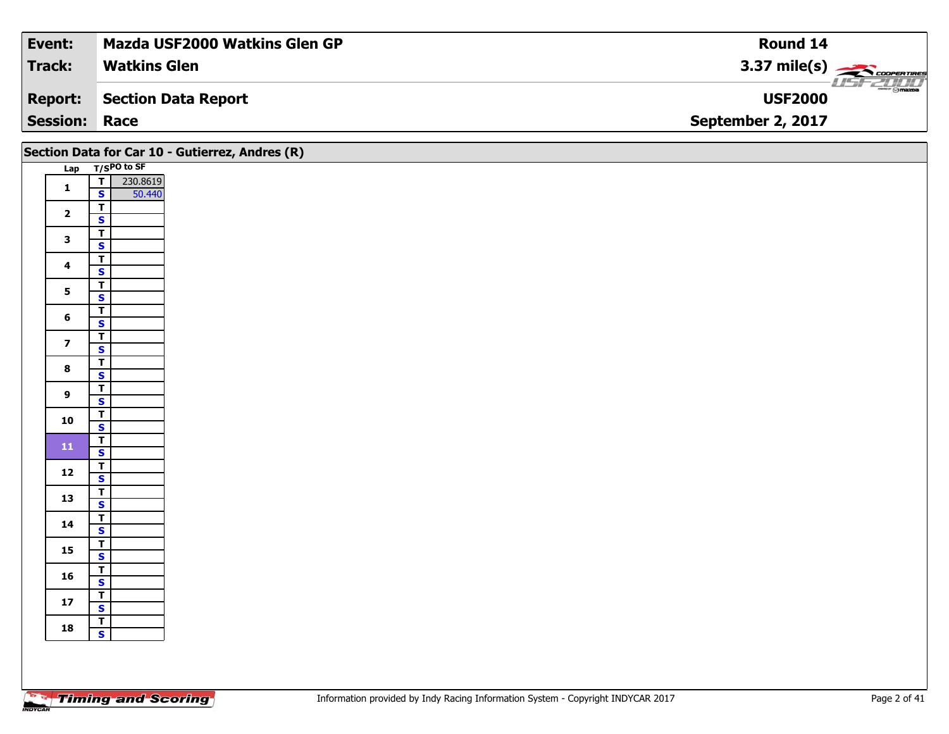| Event:               | <b>Mazda USF2000 Watkins Glen GP</b> | Round 14                                                                                                                                                                                                                                                                                                                                                                                                                                                                                          |
|----------------------|--------------------------------------|---------------------------------------------------------------------------------------------------------------------------------------------------------------------------------------------------------------------------------------------------------------------------------------------------------------------------------------------------------------------------------------------------------------------------------------------------------------------------------------------------|
| Track:               | <b>Watkins Glen</b>                  | $3.37 \text{ mile(s)}$                                                                                                                                                                                                                                                                                                                                                                                                                                                                            |
| <b>Report:</b>       | Section Data Report                  | $\overline{\phantom{a}}$ $\overline{\phantom{a}}$ $\overline{\phantom{a}}$ $\overline{\phantom{a}}$ $\overline{\phantom{a}}$ $\overline{\phantom{a}}$ $\overline{\phantom{a}}$ $\overline{\phantom{a}}$ $\overline{\phantom{a}}$ $\overline{\phantom{a}}$ $\overline{\phantom{a}}$ $\overline{\phantom{a}}$ $\overline{\phantom{a}}$ $\overline{\phantom{a}}$ $\overline{\phantom{a}}$ $\overline{\phantom{a}}$ $\overline{\phantom{a}}$ $\overline{\phantom{a}}$ $\overline{\$<br><b>USF2000</b> |
| <b>Session: Race</b> |                                      | September 2, 2017                                                                                                                                                                                                                                                                                                                                                                                                                                                                                 |

|                         | Section Data for Car 10 - Gutierrez, Andres (R)               |  |
|-------------------------|---------------------------------------------------------------|--|
|                         | Lap T/SPO to SF                                               |  |
| $\mathbf{1}$            | 230.8619<br>$\overline{\mathsf{T}}$<br>$\mathbf{s}$<br>50.440 |  |
| $\overline{2}$          | $\overline{\mathsf{r}}$<br>$\overline{\mathbf{s}}$            |  |
| $\mathbf{3}$            | $\overline{\mathsf{r}}$<br>$\mathbf{s}$                       |  |
| $\overline{\mathbf{4}}$ | $\overline{\mathbf{r}}$<br>$\mathbf{s}$                       |  |
| $\overline{\mathbf{5}}$ | $\overline{\mathbf{r}}$                                       |  |
| $6\phantom{1}$          | $\overline{\mathbf{s}}$<br>$\overline{\mathsf{T}}$            |  |
| $\overline{\mathbf{z}}$ | $\mathbf{s}$<br>$\overline{\mathbf{r}}$                       |  |
|                         | $\mathbf{s}$<br>$\overline{\mathbf{r}}$                       |  |
| $\bf{8}$                | $\mathbf{s}$<br>$\overline{\mathsf{r}}$                       |  |
| $\overline{9}$          | $\overline{\mathbf{s}}$<br>$\overline{\mathbf{r}}$            |  |
| 10                      | $\overline{\mathbf{s}}$                                       |  |
| ${\bf 11}$              | $\overline{I}$<br>$\mathsf{s}$                                |  |
| 12                      | $\overline{\mathbf{T}}$<br>$\mathbf{s}$                       |  |
| 13                      | $\overline{\mathsf{r}}$<br>$\overline{\mathbf{s}}$            |  |
| 14                      | $\overline{\mathbf{r}}$<br>$\mathbf{s}$                       |  |
| 15                      | $\overline{\mathbf{r}}$<br>$\overline{\mathbf{s}}$            |  |
| 16                      | $\overline{I}$<br>$\mathbf{s}$                                |  |
| $17$                    | $\overline{1}$                                                |  |
| 18                      | $\overline{\mathbf{s}}$<br>$\overline{\mathbf{r}}$            |  |
|                         | $\mathbf{s}$                                                  |  |
|                         |                                                               |  |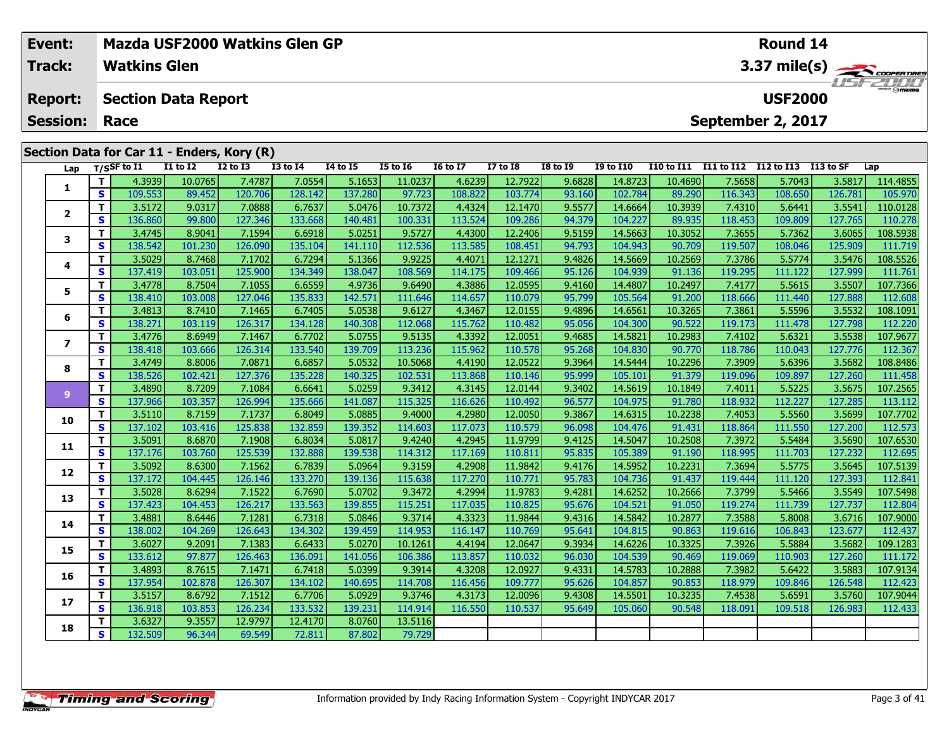| Event:<br><b>Track:</b> |          | <b>Watkins Glen</b>        |              | Mazda USF2000 Watkins Glen GP              |                  |                 |                 | Round 14<br>3.37 mile(s) |                 |                 |                  |                   |            |                |           |          |  |  |
|-------------------------|----------|----------------------------|--------------|--------------------------------------------|------------------|-----------------|-----------------|--------------------------|-----------------|-----------------|------------------|-------------------|------------|----------------|-----------|----------|--|--|
| <b>Report:</b>          |          | <b>Section Data Report</b> |              |                                            |                  |                 |                 |                          |                 |                 |                  |                   |            | <b>USF2000</b> |           | TSFZHIJ  |  |  |
| <b>Session:</b>         |          | Race                       |              |                                            |                  |                 |                 |                          |                 |                 |                  | September 2, 2017 |            |                |           |          |  |  |
|                         |          |                            |              | Section Data for Car 11 - Enders, Kory (R) |                  |                 |                 |                          |                 |                 |                  |                   |            |                |           |          |  |  |
| Lap                     |          | $T/S$ SF to I1             | $I1$ to $I2$ | $I2$ to $I3$                               | <b>I3 to I4</b>  | <b>I4 to I5</b> | <b>I5 to 16</b> | <b>16 to 17</b>          | <b>I7 to I8</b> | <b>I8 to I9</b> | <b>I9 to I10</b> | <b>I10 to I11</b> | I11 to I12 | I12 to I13     | I13 to SF | Lap      |  |  |
|                         |          | 4.3939                     | 10.0765      | 7.4787                                     | 7.0554           | 5.1653          | 11.0237         | 4.6239                   | 12.7922         | 9.6828          | 14.8723          | 10.4690           | 7.5658     | 5.7043         | 3.5817    | 114.4855 |  |  |
|                         | <b>S</b> | 109.553                    | 89.452       | 120.706                                    | 128.142          | 137.280         | 97.723          | 108.822                  | 103.774         | 93.160          | 102.784          | 89.290            | 116.343    | 108.650        | 126.781   | 105.970  |  |  |
| $\overline{2}$          |          | 3.5172                     | 9.0317       | 7.0888                                     | 6.7637           | 5.0476          | 10.7372         | 4.4324                   | 12.1470         | 9.5577          | 14.6664          | 10.3939           | 7.4310     | 5.6441         | 3.5541    | 110.0128 |  |  |
|                         | S.       | 136.860                    | 99.800       | 127.346                                    | 133.668          | 140.481         | 100.331         | 113.524                  | 109.286         | 94.379          | 104.227          | 89.935            | 118.453    | 109.809        | 127.765   | 110.278  |  |  |
| 3                       |          | 3.4745                     | 8.9041       | 7.1594                                     | 6.6918           | 5.0251          | 9.5727          | 4.4300                   | 12.2406         | 9.5159          | 14.5663          | 10.3052           | 7.3655     | 5.7362         | 3.6065    | 108.5938 |  |  |
|                         | S.       | 138.542                    | 101.230      | 126.090                                    | 135.104          | 141.110         | 112.536         | 113.585                  | 108.451         | 94.793          | 104.943          | 90.709            | 119.507    | 108.046        | 125.909   | 111.719  |  |  |
| 4                       |          | 3.5029                     | 8.7468       | 7.1702                                     | 6.7294           | 5.1366          | 9.9225          | 4.4071                   | 12.1271         | 9.4826          | 14.5669          | 10.2569           | 7.3786     | 5.5774         | 3.5476    | 108.5526 |  |  |
|                         | S l      | 137.419                    | 103.051      | 125.900                                    | 134.349          | 138.047         | 108.569         | 114.175                  | 109.466         | 95.126          | 104.939          | 91.136            | 119.295    | 111.122        | 127.999   | 111.761  |  |  |
| 5                       |          | 3.4778                     | 8.7504       | 7.1055                                     | 6.6559           | 4.9736          | 9.6490          | 4.3886                   | 12.0595         | 9.4160          | 14.4807          | 10.2497           | 7.4177     | 5.5615         | 3.5507    | 107.7366 |  |  |
|                         | S.       | 138.410                    | 103.008      | 127.046                                    | 135.833          | 142.571         | 111.646         | 114.657                  | 110.079         | 95.799          | 105.564          | 91.200            | 118.666    | 111.440        | 127.888   | 112.608  |  |  |
| 6                       |          | 3.4813                     | 8.7410       | 7.1465                                     | 6.7405           | 5.0538          | 9.6127          | 4.3467                   | 12.0155         | 9.4896          | 14.6561          | 10.3265           | 7.3861     | 5.5596         | 3.5532    | 108.1091 |  |  |
|                         | S l      | 138.271 <b>I</b>           | 103.1191     | 126.317 <b>1</b>                           | 134.128 <b>l</b> | 140.308         | 112.068         | 115.762                  | 110.482         | 95.056          | 104.300          | 90.522            | 119.1731   | 111.478        | 127.7981  | 112.220  |  |  |

7 | T | 3.4776| 8.6949| 7.1467| 6.7702| 5.0755| 9.5135| 4.3392| 12.0051| 9.4685| 14.5821| 10.2983| 7.4102| 5.6321| 3.5538| 107.9677<br>7 | S | 138.418 103.666 126.314 133.540 139.709 113.236 115.962 110.578 95.268 104.830 90.

8 T 3.4749 8.8006 7.0871 6.6857 5.0532 10.5068 4.4190 12.0522 9.3964 14.5444 10.2296 7.3909 5.6396 3.5682 108.8486<br>S S 138.526 102.421 127.376 135.228 140.325 102.531 113.868 110.146 95.999 105.101 91.379 119.096 109.897 1

11 3.4890| 8.7209| 7.1084| 6.6641| 5.0259| 9.3412| 4.3145| 12.0144| 9.3402| 14.5619| 10.1849| 7.4011| 5.5225| 3.5675| 107.2565|<br>S 137.966| 103.357| 126.994| 135.666| 141.087| 115.325| 116.626| 110.492| 96.577| 104.975| 91

0 | T | 3.5110| 8.7159| 7.1737| 6.8049| 5.0885| 9.4000| 4.2980| 12.0050| 9.3867| 14.6315| 10.2238| 7.4053| 5.5560| 3.5699| 107.7702<br>| S | 137.102| 103.416| 125.838| 132.859| 139.352| 114.603| 117.073| 110.579| 96.098| 104.

1 | T | 3.5091 | 8.6870 | 7.1908 | 6.8034 | 5.0817 | 9.4240 | 4.2945 |11.9799 | 9.4125 | 14.5047 | 10.2508 | 7.3972 | 5.5484 | 3.5690 107.6530 | 107.6530 | 5.5484 | 13.5690 | 107.6530 | 107.6530 | 5.5484 | 5.5484 | 5.5484

**<sup>T</sup>** 3.5092 8.6300 7.1562 6.7839 5.0964 9.3159 4.2908 11.9842 9.4176 14.5952 10.2231 7.3694 5.5775 3.5645 107.5139 **<sup>S</sup>** 137.172 104.445 126.146 133.270 139.136 115.638 117.270 110.771 95.783 104.736 91.437 119.444 111.120 127.393 112.841

3 T 3.5028 8.6294 7.1522 6.7690 5.0702 9.3472 4.2994 11.9783 9.4281 14.6252 10.2666 7.3799 5.5466 3.5549 107.5498<br>S 137.423 104.453 126.217 133.563 139.855 115.251 117.035 110.825 95.676 104.521 91.050 119.274 111.739 127.

**<sup>T</sup>** 3.4881 8.6446 7.1281 6.7318 5.0846 9.3714 4.3323 11.9844 9.4316 14.5842 10.2877 7.3588 5.8008 3.6716 107.9000 **<sup>S</sup>** 138.002 104.269 126.643 134.302 139.459 114.953 116.147 110.769 95.641 104.815 90.863 119.616 106.843 123.677 112.437

5 | T | 3.6027| 9.2091| 7.1383| 6.6433| 5.0270| 10.1261| 4.4194| 12.0647| 9.3934| 14.6226| 10.3325| 7.3926| 5.5884| 3.5682| 109.1283<br>| S | 133.612| 97.877| 126.463| 136.091| 141.056| 106.386| 113.857| 110.032| 96.030| 104.

6 | T | 3.4893| 8.7615| 7.1471| 6.7418| 5.0399| 9.3914| 4.3208| 12.0927| 9.4331| 14.5783| 10.2888| 7.3982| 5.6422| 3.5883| 107.9134<br>| S | 137.954 102.878 126.307 134.102 140.695 114.708 116.456 109.777 95.626 104.857 90.85

7 T 3.5157| 8.6792| 7.1512| 6.7706| 5.0929| 9.3746| 4.3173| 12.0096| 9.4308| 14.5501| 10.3235| 7.4538| 5.6591| 3.5760| 107.9044<br>- S 136.918| 103.853| 126.234| 133.532| 139.231| 114.914| 116.550| 110.537| 95.649| 105.060| 9

79.729

**<sup>T</sup>** 3.6327 9.3557 12.9797 12.4170 8.0760 13.5116 **<sup>S</sup>** 132.509 96.344 69.549 72.811 87.802 79.729

**7**

**8**

**9**

**10**

**11**

**12**

**13**

**14**

**15**

**16**

**17**

**18**

112.437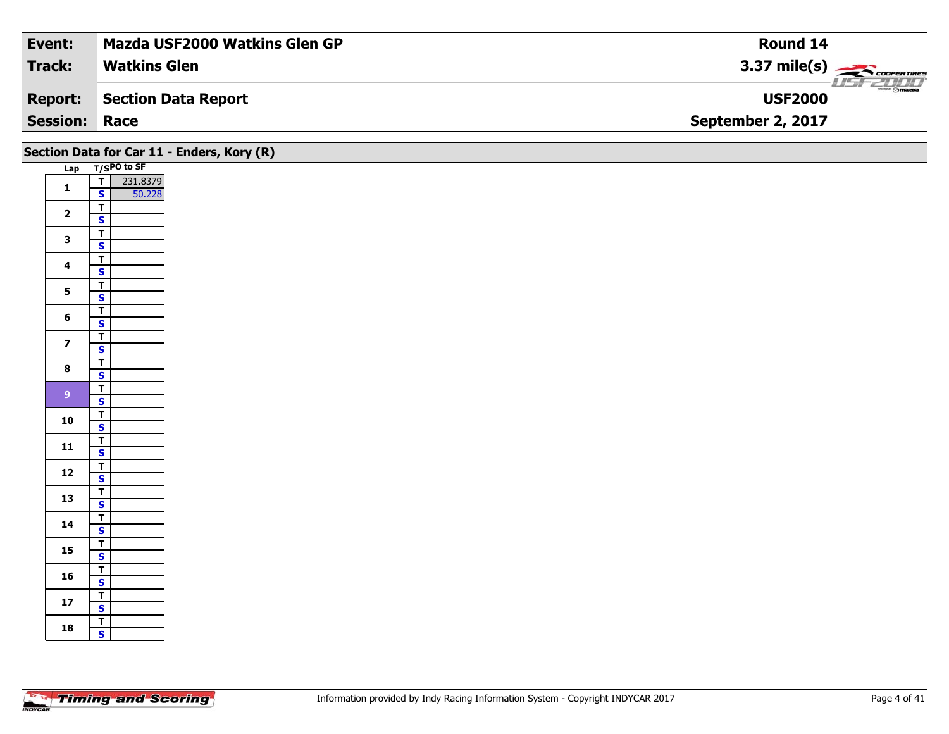| Event:               | Mazda USF2000 Watkins Glen GP | Round 14                         |
|----------------------|-------------------------------|----------------------------------|
| <b>Track:</b>        | <b>Watkins Glen</b>           | $3.37 \text{ mile(s)}$           |
| <b>Report:</b>       | <b>Section Data Report</b>    | <b>Comazoa</b><br><b>USF2000</b> |
| <b>Session: Race</b> |                               | September 2, 2017                |

|                         |                                                    | Section Data for Car 11 - Enders, Kory (R) |  |  |  |
|-------------------------|----------------------------------------------------|--------------------------------------------|--|--|--|
|                         | Lap T/SPO to SF                                    |                                            |  |  |  |
| $\mathbf{1}$            | $T$ 231.8379<br>$\mathbf{s}$<br>50.228             |                                            |  |  |  |
| $\overline{\mathbf{2}}$ | $\overline{r}$                                     |                                            |  |  |  |
|                         | $\overline{\mathbf{s}}$<br>$\overline{r}$          |                                            |  |  |  |
| $\mathbf{3}$            | $\overline{\mathbf{s}}$                            |                                            |  |  |  |
| $\overline{\mathbf{4}}$ | $\overline{r}$<br>$\mathbf{s}$                     |                                            |  |  |  |
| $5\overline{)}$         | $\overline{r}$                                     |                                            |  |  |  |
|                         | $\overline{\mathbf{s}}$<br>$\overline{\mathsf{r}}$ |                                            |  |  |  |
| $6\phantom{1}$          | $\mathbf{s}$                                       |                                            |  |  |  |
| $\overline{\mathbf{z}}$ | $\overline{t}$<br>$\mathbf{s}$                     |                                            |  |  |  |
| $\bf{8}$                | $\overline{\mathsf{r}}$<br>$\mathbf{s}$            |                                            |  |  |  |
| 9 <sup>°</sup>          | $\overline{\mathbf{r}}$                            |                                            |  |  |  |
|                         | $\mathbf{s}$<br>$\mathbf{r}$                       |                                            |  |  |  |
| 10                      | $\overline{\mathbf{s}}$                            |                                            |  |  |  |
| $\mathbf{11}$           | $\overline{\mathbf{r}}$<br>$\mathsf{s}$            |                                            |  |  |  |
| $12$                    | $\mathbf{T}$                                       |                                            |  |  |  |
| 13                      | $\overline{\mathbf{s}}$<br>$\overline{\mathsf{T}}$ |                                            |  |  |  |
|                         | $\overline{\mathbf{s}}$<br>$\overline{I}$          |                                            |  |  |  |
| 14                      | $\mathbf{s}$                                       |                                            |  |  |  |
| 15                      | $\mathbf{T}$<br>$\overline{\mathbf{s}}$            |                                            |  |  |  |
| 16                      | $\mathbf{T}$                                       |                                            |  |  |  |
|                         | $\mathbf{s}$<br>$\overline{1}$                     |                                            |  |  |  |
| $17$                    | $\mathbf{s}$<br>$\vert T \vert$                    |                                            |  |  |  |
| 18                      | $\mathbf{s}$                                       |                                            |  |  |  |
|                         |                                                    |                                            |  |  |  |
|                         |                                                    |                                            |  |  |  |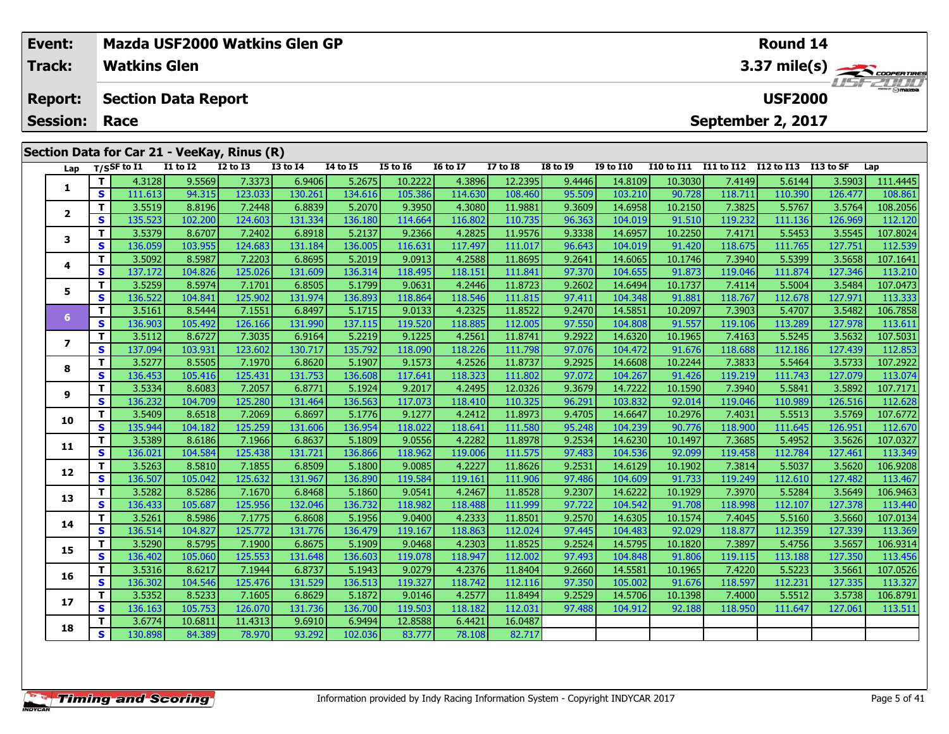|  | Event:<br><b>Track:</b>                |    | <b>Watkins Glen</b>      |                                                                |                 | Mazda USF2000 Watkins Glen GP |                 | <b>Round 14</b><br>$3.37 \text{ mile(s)}$<br><b>ISFZULU</b> |                 |                 |                 |                  |                   |                   |                                     |           |          |
|--|----------------------------------------|----|--------------------------|----------------------------------------------------------------|-----------------|-------------------------------|-----------------|-------------------------------------------------------------|-----------------|-----------------|-----------------|------------------|-------------------|-------------------|-------------------------------------|-----------|----------|
|  | <b>Report:</b><br><b>Session: Race</b> |    |                          | <b>Section Data Report</b>                                     |                 |                               |                 |                                                             |                 |                 |                 |                  |                   |                   | <b>USF2000</b><br>September 2, 2017 |           |          |
|  | Lap                                    |    | T/SSF to $\overline{11}$ | Section Data for Car 21 - VeeKay, Rinus (R)<br><b>I1 to I2</b> | <b>I2 to I3</b> | <b>I3 to I4</b>               | <b>I4 to I5</b> | I5 to 16                                                    | <b>16 to 17</b> | <b>I7 to I8</b> | <b>I8 to I9</b> | <b>I9 to I10</b> | <b>I10 to I11</b> | <b>I11 to I12</b> | I12 to I13                          | I13 to SF | Lap      |
|  |                                        |    | 4.3128                   | 9.5569                                                         | 7.3373          | 6.9406                        | 5.2675          | 10.2222                                                     | 4.3896          | 12.2395         | 9.4446          | 14.8109          | 10.3030           | 7.4149            | 5.6144                              | 3.5903    | 111.4445 |
|  |                                        | S. | 111.613                  | 94.315                                                         | 123.033         | 130.261                       | 134.616         | 105.386                                                     | 114.630         | 108.460         | 95.509          | 103.210          | 90.728            | 118.711           | 110.390                             | 126.477   | 108.861  |
|  |                                        |    | 3.5519                   | 8.8196                                                         | 7.2448          | 6.8839                        | 5.2070          | 9.3950                                                      | 4.3080          | 11.9881         | 9.3609          | 14.6958          | 10.2150           | 7.3825            | 5.5767                              | 3.5764    | 108.2056 |
|  | $\mathbf{2}$                           | S. | 135.523                  | 102.200                                                        | 124.603         | 131.334                       | 136.180         | 114.664                                                     | 116.802         | 110.735         | 96.363          | 104.019          | 91.510            | 119.232           | 111.136                             | 126.969   | 112.120  |
|  |                                        |    | 3.5379                   | 8.6707                                                         | 7.2402          | 6.8918                        | 5.2137          | 9.2366                                                      | 4.2825          | 11.9576         | 9.3338          | 14.6957          | 10.2250           | 7.4171            | 5.5453                              | 3.5545    | 107.8024 |
|  |                                        | S. | 136.059                  | 103.955                                                        | 124.683         | 131.184                       | 136.005         | 116.631                                                     | 117.497         | 111.017         | 96.643          | 104.019          | 91.420            | 118.675           | 111.765                             | 127.751   | 112.539  |
|  |                                        |    | 3.5092                   | 8.5987                                                         | 7.2203          | 6.8695                        | 5.2019          | 9.0913                                                      | 4.2588          | 11.8695         | 9.2641          | 14.6065          | 10.1746           | 7.3940            | 5.5399                              | 3.5658    | 107.1641 |
|  |                                        | S. | 137.172                  | 104.826                                                        | 125,026         | 131.609                       | 136.314         | 118.495                                                     | 118.151         | 111.841         | 97.370          | 104.655          | 91.873            | 119.046           | 111.874                             | 127.346   | 113,210  |

5 | T | 3.5259| 8.5974| 7.1701| 6.8505| 5.1799| 9.0631| 4.2446| 11.8723| 9.2602| 14.6494| 10.1737| 7.4114| 5.5004| 3.5484| 107.0473<br>| S | 136.522 104.841 125.902 131.974 136.893 118.864 118.546 111.815 97.411 104.348 91.88

6 T 3.5161 8.5444 7.1551 6.8497 5.1715 9.0133 4.2325 11.8522 9.2470 14.5851 10.2097 7.3903 5.4707 3.5482 106.7858<br>S 31.36.903 105.492 126.166 131.990 137.115 119.520 118.885 112.005 97.550 104.808 91.557 119.106 113.289 12

7 | T | 3.5112| 8.6727| 7.3035| 6.9164| 5.2219| 9.1225| 4.2561| 11.8741| 9.2922| 14.6320| 10.1965| 7.4163| 5.5245| 3.5632| 107.5031<br>7 | S | 137.094| 103.931| 123.602| 130.717| 135.792| 118.090| 118.226| 111.798| 97.076| 10

**<sup>T</sup>** 3.5277 8.5505 7.1970 6.8620 5.1907 9.1573 4.2526 11.8737 9.2925 14.6608 10.2244 7.3833 5.5464 3.5733 107.2922 **<sup>S</sup>** 136.453 105.416 125.431 131.753 136.608 117.641 118.323 111.802 97.072 104.267 91.426 119.219 111.743 127.079 113.074

107.7171 | 3.5334| 8.6083| 7.2057| 6.8771| 5.1924| 9.2017| 4.2495| 12.0326| 9.3679| 14.7222| 10.1590| 7.3940| 5.5841| 3.5892| 107.7171<br>S | 136.232| 104.709| 125.280| 131.464| 136.563| 117.073| 118.410| 110.325| 96.291| 10

0 T 3.5409 8.6518 7.2069 6.8697 5.1776 9.1277 4.2412 11.8973 9.4705 14.6647 10.2976 7.4031 5.5513 3.5769 107.6772<br>S 135,944 104.182 125.259 131.606 136.954 118.022 118.641 111.580 95.248 104.239 90.776 118.900 111.645 126.

**<sup>T</sup>** 3.5389 8.6186 7.1966 6.8637 5.1809 9.0556 4.2282 11.8978 9.2534 14.6230 10.1497 7.3685 5.4952 3.5626 107.0327 **<sup>S</sup>** 136.021 104.584 125.438 131.721 136.866 118.962 119.006 111.575 97.483 104.536 92.099 119.458 112.784 127.461 113.349

2 T 3.5263 8.5810 7.1855 6.8509 5.1800 9.0085 4.2227 11.8626 9.2531 14.6129 10.1902 7.3814 5.5037 3.5620 106.9208<br>2 S 136.507 105.042 125.632 131.967 136.890 119.584 119.161 111.906 97.486 104.609 91.733 119.249 112.610 12

3 T 3.5282| 8.5286| 7.1670| 6.8468| 5.1860| 9.0541| 4.2467| 11.8528| 9.2307| 14.6222| 10.1929| 7.3970| 5.5284| 3.5649| 106.9463<br>- S 136.433| 105.687| 125.956| 132.046| 136.732| 118.982| 118.488| 111.999| 97.722| 104.542| 9

4 | T | 3.5261 | 8.5986| 7.1775| 6.8608| 5.1956| 9.0400| 4.2333| 11.8501| 9.2570| 14.6305| 10.1574| 7.4045| 5.5160| 3.5660| 107.0134<br>- S | 136.514 104.827 125.772 131.776 136.479 119.167 118.863 112.024 97.445 104.483 92.0

5 | T | 3.5290| 8.5795| 7.1900| 6.8675| 5.1909| 9.0468| 4.2303| 11.8525| 9.2524| 14.5795| 10.1820| 7.3897| 5.4756| 3.5657| 106.9314<br>| S | 136.402| 105.060| 125.553| 131.648| 136.603| 119.078| 118.947| 112.002| 97.493| 104.

6 | T | 3.5316| 8.6217| 7.1944| 6.8737| 5.1943| 9.0279| 4.2376| 11.8404| 9.2660| 14.5581| 10.1965| 7.4220| 5.5223| 3.5661| 107.0526<br>| S | 136.302| 104.546| 125.476| 131.529| 136.513| 119.327| 118.742| 112.116| 97.350| 105.

**<sup>T</sup>** 3.5352 8.5233 7.1605 6.8629 5.1872 9.0146 4.2577 11.8494 9.2529 14.5706 10.1398 7.4000 5.5512 3.5738 106.8791 **<sup>S</sup>** 136.163 105.753 126.070 131.736 136.700 119.503 118.182 112.031 97.488 104.912 92.188 118.950 111.647 127.061 113.511

**<sup>T</sup>** 3.6774 10.6811 11.4313 9.6910 6.9494 12.8588 6.4421 16.0487 **<sup>S</sup>** 130.898 84.389 78.970 93.292 102.036 83.777 78.108 82.717

**5**

**6**

**7**

**8**

**9**

**10**

**11**

**12**

**13**

**14**

**15**

**16**

**17**

**18**

113.369

113.511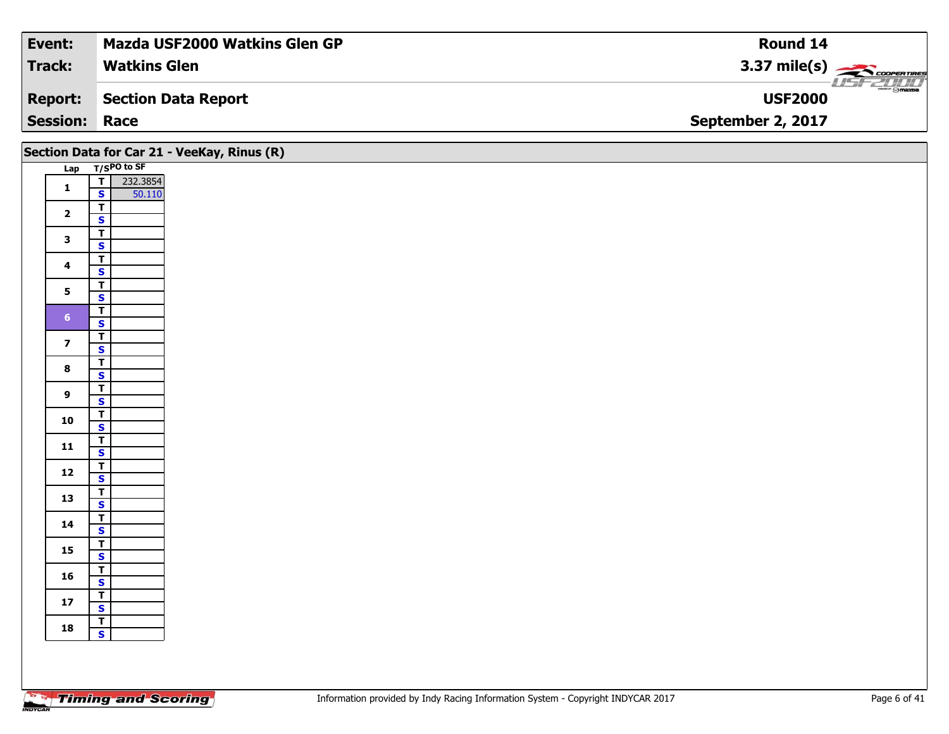| Event:               | <b>Mazda USF2000 Watkins Glen GP</b> | Round 14                                  |
|----------------------|--------------------------------------|-------------------------------------------|
| <b>Track:</b>        | <b>Watkins Glen</b>                  | $3.37 \text{ mile(s)}$                    |
| <b>Report:</b>       | Section Data Report                  | $\frac{1}{\odot}$ mazoa<br><b>USF2000</b> |
| <b>Session: Race</b> |                                      | September 2, 2017                         |

|                         |                                                    | Section Data for Car 21 - VeeKay, Rinus (R) |
|-------------------------|----------------------------------------------------|---------------------------------------------|
|                         | Lap T/SPO to SF                                    |                                             |
| $\mathbf{1}$            | $\overline{\mathsf{r}}$<br>232.3854                |                                             |
|                         | $\mathbf{s}$<br>50.110                             |                                             |
| $\overline{2}$          | $rac{1}{s}$                                        |                                             |
|                         | $\overline{\mathsf{r}}$                            |                                             |
| $\mathbf{3}$            | $\overline{\mathbf{s}}$                            |                                             |
| $\overline{\mathbf{4}}$ | $\overline{\mathsf{r}}$                            |                                             |
|                         | $\mathbf{s}$                                       |                                             |
| 5                       | $\overline{\mathsf{T}}$                            |                                             |
|                         | $\overline{\mathbf{s}}$<br>$\overline{\mathsf{r}}$ |                                             |
| 6 <sup>1</sup>          | $\mathbf{s}$                                       |                                             |
| $\overline{\mathbf{z}}$ | $\overline{\mathbf{T}}$                            |                                             |
|                         | $\overline{\mathbf{s}}$                            |                                             |
| $\bf8$                  | $\overline{\mathbf{T}}$<br>$\overline{\mathbf{s}}$ |                                             |
|                         | $\overline{\mathsf{r}}$                            |                                             |
| $\boldsymbol{9}$        | $\mathsf{s}$                                       |                                             |
| 10                      | $rac{T}{s}$                                        |                                             |
|                         | $\overline{\mathbf{r}}$                            |                                             |
| 11                      | $\mathbf{s}$                                       |                                             |
|                         | $\overline{\mathbf{r}}$                            |                                             |
| $12$                    | $\overline{\mathbf{s}}$                            |                                             |
| 13                      | $\overline{\mathsf{r}}$<br>$\mathbf{s}$            |                                             |
|                         | $\overline{\mathsf{r}}$                            |                                             |
| 14                      | $\mathbf{s}$                                       |                                             |
| 15                      | $\overline{\mathsf{r}}$                            |                                             |
|                         | $\overline{\mathbf{s}}$                            |                                             |
| 16                      | $\overline{\mathbf{T}}$<br>$\mathbf{s}$            |                                             |
|                         | $\overline{\mathsf{r}}$                            |                                             |
| $17$                    | $\overline{\mathbf{s}}$                            |                                             |
| 18                      | $\frac{1}{s}$                                      |                                             |
|                         |                                                    |                                             |
|                         |                                                    |                                             |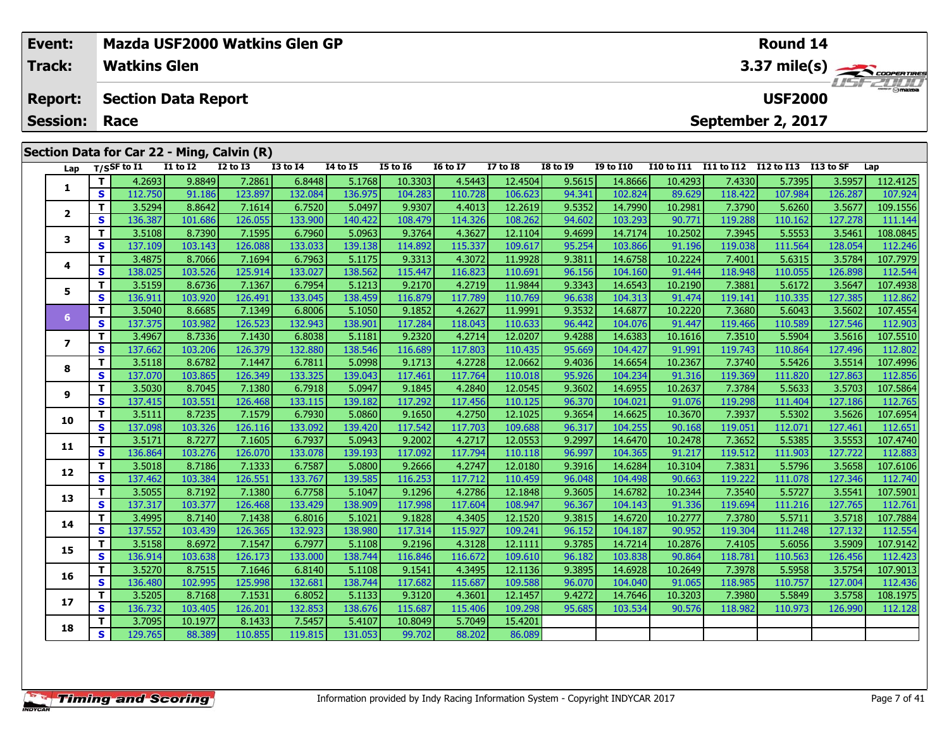|  | Event:<br><b>Track:</b> |    | <b>Watkins Glen</b> |                                            |                 | Mazda USF2000 Watkins Glen GP |                 |                 |                 |                 |                 |                  |                                 |            | Round 14          |           |           |  |  |  |
|--|-------------------------|----|---------------------|--------------------------------------------|-----------------|-------------------------------|-----------------|-----------------|-----------------|-----------------|-----------------|------------------|---------------------------------|------------|-------------------|-----------|-----------|--|--|--|
|  |                         |    |                     |                                            |                 |                               |                 |                 |                 |                 |                 |                  | 3.37 mile(s)<br><b>USE ZOOO</b> |            |                   |           |           |  |  |  |
|  | <b>Report:</b>          |    |                     | <b>Section Data Report</b>                 |                 |                               |                 |                 |                 |                 |                 |                  |                                 |            | <b>USF2000</b>    |           |           |  |  |  |
|  | <b>Session:</b>         |    | Race                |                                            |                 |                               |                 |                 |                 |                 |                 |                  |                                 |            | September 2, 2017 |           |           |  |  |  |
|  |                         |    |                     | Section Data for Car 22 - Ming, Calvin (R) |                 |                               |                 |                 |                 |                 |                 |                  |                                 |            |                   |           |           |  |  |  |
|  | Lap                     |    | T/SSF to I1         | <b>I1 to I2</b>                            | <b>I2 to I3</b> | <b>I3 to I4</b>               | <b>I4 to I5</b> | <b>I5 to 16</b> | <b>16 to 17</b> | <b>I7 to I8</b> | <b>I8 to I9</b> | <b>I9 to I10</b> | <b>I10 to I11</b>               | I11 to I12 | I12 to I13        | I13 to SF | Lap       |  |  |  |
|  |                         |    | 4.2693              | 9.8849                                     | 7.2861          | 6.8448                        | 5.1768          | 10.3303         | 4.5443          | 12.4504         | 9.5615          | 14.8666          | 10.4293                         | 7.4330     | 5.7395            | 3.5957    | 112.4125  |  |  |  |
|  |                         | S. | 112.750             | 91.186                                     | 123.897         | 132.084                       | 136.975         | 104.283         | 110.728         | 106.623         | 94.341          | 102.824          | 89.629                          | 118.422    | 107.984           | 126.287   | 107.924   |  |  |  |
|  | $\overline{2}$          |    | 3.5294              | 8.8642                                     | 7.1614          | 6.7520                        | 5.0497          | 9.9307          | 4.4013          | 12.2619         | 9.5352          | 14.7990          | 10.2981                         | 7.3790     | 5.6260            | 3.5677    | 109.1556  |  |  |  |
|  |                         | S. | 136.387             | 101.686                                    | 126.055         | 133.900                       | 140.422         | 108.479         | 114.326         | 108.262         | 94.602          | 103.293          | 90.771                          | 119.288    | 110.162           | 127.278   | 111.144   |  |  |  |
|  | 3                       |    | 3.5108              | 8.7390                                     | 7.1595          | 6.7960                        | 5.0963          | 9.3764          | 4.3627          | 12.1104         | 9.4699          | 14.7174          | 10.2502                         | 7.3945     | 5.5553            | 3.5461    | 108.0845  |  |  |  |
|  |                         | S. | 137.109             | 103.143                                    | 126.088         | 133.033                       | 139.138         | 114.892         | 115.337         | 109.617         | 95.254          | 103.866          | 91.196                          | 119.038    | 111.564           | 128.054   | 112.246   |  |  |  |
|  |                         |    | 3.4875              | 8.7066                                     | 7.1694          | 6.7963                        | 5.1175          | 9.3313          | 4.3072          | 11.9928         | 9.3811          | 14.6758          | 10.2224                         | 7.4001     | 5.6315            | 3.5784    | 107.7979  |  |  |  |
|  | 4                       | S  | 138.025             | 103.526                                    | 125.914         | 133.027                       | 138.562         | 115.447         | 116.823         | 110.691         | 96.156          | 104.160          | 91.444                          | 118.948    | 110.055           | 126.898   | 112.544   |  |  |  |
|  | 5<br>6                  |    | 3.5159              | 8.6736                                     | 7.1367          | 6.7954                        | 5.1213          | 9.2170          | 4.2719          | 11.9844         | 9.3343          | 14.6543          | 10.2190                         | 7.3881     | 5.6172            | 3.5647    | 107.4938  |  |  |  |
|  |                         | S. | 136.911             | 103.920                                    | 126.491         | 133.045                       | 138.459         | 116.879         | 117.789         | 110.769         | 96.638          | 104.313          | 91.474                          | 119.141    | 110.335           | 127.385   | 112.862   |  |  |  |
|  |                         |    | 3.5040              | 8.6685                                     | 7.1349          | 6.8006                        | 5.1050          | 9.1852          | 4.2627          | 11.9991         | 9.3532          | 14.6877          | 10.2220                         | 7.3680     | 5.6043            | 3.5602    | 107.4554  |  |  |  |
|  |                         | C  | 137 3751            | $103$ QR2                                  | 126521          | 132943                        | 138 QN1 L       | 117 784         | 118 043 L       | 110633          | 96 442          | 104 076          | 91 447                          | 119466     | 110 589           | 127546    | $112$ QN3 |  |  |  |

| ra h                     | ., .         |         |         |         |         |         |         |         |         |        |         |         |         |         |         |          |
|--------------------------|--------------|---------|---------|---------|---------|---------|---------|---------|---------|--------|---------|---------|---------|---------|---------|----------|
|                          | T.           | 4.2693  | 9.8849  | 7.2861  | 6.8448  | 5.1768  | 10.3303 | 4.5443  | 12.4504 | 9.5615 | 14.8666 | 10.4293 | 7.4330  | 5.7395  | 3.5957  | 112.4125 |
| 1                        | S            | 112.750 | 91.186  | 123.897 | 132.084 | 136.975 | 104.283 | 110.728 | 106.623 | 94.341 | 102.824 | 89.629  | 118.422 | 107.984 | 126.287 | 107.924  |
|                          | т            | 3.5294  | 8.8642  | 7.1614  | 6.7520  | 5.0497  | 9.9307  | 4.4013  | 12.2619 | 9.5352 | 14.7990 | 10.2981 | 7.3790  | 5.6260  | 3.5677  | 109.1556 |
| $\overline{2}$           | S            | 136.387 | 101.686 | 126.055 | 133.900 | 140.422 | 108.479 | 114.326 | 108.262 | 94.602 | 103.293 | 90.771  | 119.288 | 110.162 | 127.278 | 111.144  |
| 3                        | т            | 3.5108  | 8.7390  | 7.1595  | 6.7960  | 5.0963  | 9.3764  | 4.3627  | 12.1104 | 9.4699 | 14.7174 | 10.2502 | 7.3945  | 5.5553  | 3.5461  | 108.0845 |
|                          | S            | 137.109 | 103.143 | 126.088 | 133.033 | 139.138 | 114.892 | 115.337 | 109.617 | 95.254 | 103.866 | 91.196  | 119.038 | 111.564 | 128.054 | 112.246  |
| 4                        | т            | 3.4875  | 8.7066  | 7.1694  | 6.7963  | 5.1175  | 9.3313  | 4.3072  | 11.9928 | 9.3811 | 14.6758 | 10.2224 | 7.4001  | 5.6315  | 3.5784  | 107.7979 |
|                          | $\mathbf{s}$ | 138.025 | 103.526 | 125.914 | 133.027 | 138.562 | 115.447 | 116.823 | 110.691 | 96.156 | 104.160 | 91.444  | 118.948 | 110.055 | 126.898 | 112.544  |
| 5                        | т            | 3.5159  | 8.6736  | 7.1367  | 6.7954  | 5.1213  | 9.2170  | 4.2719  | 11.9844 | 9.3343 | 14.6543 | 10.2190 | 7.3881  | 5.6172  | 3.5647  | 107.4938 |
|                          | S            | 136.911 | 103.920 | 126.491 | 133.045 | 138.459 | 116.879 | 117.789 | 110.769 | 96.638 | 104.313 | 91.474  | 119.141 | 110.335 | 127.385 | 112.862  |
| 6                        | т            | 3.5040  | 8.6685  | 7.1349  | 6.8006  | 5.1050  | 9.1852  | 4.2627  | 11.9991 | 9.3532 | 14.6877 | 10.2220 | 7.3680  | 5.6043  | 3.5602  | 107.4554 |
|                          | S            | 137.375 | 103.982 | 126.523 | 132.943 | 138.901 | 117.284 | 118.043 | 110.633 | 96.442 | 104.076 | 91.447  | 119.466 | 110.589 | 127.546 | 112.903  |
| $\overline{\phantom{a}}$ | т            | 3.4967  | 8.7336  | 7.1430  | 6.8038  | 5.1181  | 9.2320  | 4.2714  | 12.0207 | 9.4288 | 14.6383 | 10.1616 | 7.3510  | 5.5904  | 3.5616  | 107.5510 |
|                          | $\mathbf{s}$ | 137.662 | 103.206 | 126.379 | 132.880 | 138.546 | 116.689 | 117.803 | 110.435 | 95.669 | 104.427 | 91.991  | 119.743 | 110.864 | 127.496 | 112.802  |
| 8                        | т            | 3.5118  | 8.6782  | 7.1447  | 6.7811  | 5.0998  | 9.1713  | 4.2728  | 12.0662 | 9.4036 | 14.6654 | 10.2367 | 7.3740  | 5.5426  | 3.5514  | 107.4996 |
|                          | S            | 137.070 | 103.865 | 126.349 | 133.325 | 139.043 | 117.461 | 117.764 | 110.018 | 95.926 | 104.234 | 91.316  | 119.369 | 111.820 | 127.863 | 112.856  |
| 9                        | т            | 3.5030  | 8.7045  | 7.1380  | 6.7918  | 5.0947  | 9.1845  | 4.2840  | 12.0545 | 9.3602 | 14.6955 | 10.2637 | 7.3784  | 5.5633  | 3.5703  | 107.5864 |
|                          | $\mathbf{s}$ | 137.415 | 103.551 | 126.468 | 133.115 | 139.182 | 117.292 | 117.456 | 110.125 | 96.370 | 104.021 | 91.076  | 119.298 | 111.404 | 127.186 | 112.765  |
| 10                       | т            | 3.5111  | 8.7235  | 7.1579  | 6.7930  | 5.0860  | 9.1650  | 4.2750  | 12.1025 | 9.3654 | 14.6625 | 10.3670 | 7.3937  | 5.5302  | 3.5626  | 107.6954 |
|                          | S            | 137.098 | 103.326 | 126.116 | 133.092 | 139.420 | 117.542 | 117.703 | 109.688 | 96.317 | 104.255 | 90.168  | 119.051 | 112.071 | 127.461 | 112.651  |
| 11                       | т            | 3.5171  | 8.7277  | 7.1605  | 6.7937  | 5.0943  | 9.2002  | 4.2717  | 12.0553 | 9.2997 | 14.6470 | 10.2478 | 7.3652  | 5.5385  | 3.5553  | 107.4740 |
|                          | S            | 136.864 | 103.276 | 126.070 | 133.078 | 139.193 | 117.092 | 117.794 | 110.118 | 96.997 | 104.365 | 91.217  | 119.512 | 111.903 | 127.722 | 112.883  |
| 12                       | т            | 3.5018  | 8.7186  | 7.1333  | 6.7587  | 5.0800  | 9.2666  | 4.2747  | 12.0180 | 9.3916 | 14.6284 | 10.3104 | 7.3831  | 5.5796  | 3.5658  | 107.6106 |
|                          | S            | 137.462 | 103.384 | 126.551 | 133.767 | 139.585 | 116.253 | 117.712 | 110.459 | 96.048 | 104.498 | 90.663  | 119.222 | 111.078 | 127.346 | 112.740  |
| 13                       | т            | 3.5055  | 8.7192  | 7.1380  | 6.7758  | 5.1047  | 9.1296  | 4.2786  | 12.1848 | 9.3605 | 14.6782 | 10.2344 | 7.3540  | 5.5727  | 3.5541  | 107.5901 |
|                          | S            | 137.317 | 103.377 | 126.468 | 133.429 | 138.909 | 117.998 | 117.604 | 108.947 | 96.367 | 104.143 | 91.336  | 119.694 | 111.216 | 127.765 | 112.761  |
| 14                       | т            | 3.4995  | 8.7140  | 7.1438  | 6.8016  | 5.1021  | 9.1828  | 4.3405  | 12.1520 | 9.3815 | 14.6720 | 10.2777 | 7.3780  | 5.5711  | 3.5718  | 107.7884 |
|                          | S            | 137.552 | 103.439 | 126.365 | 132.923 | 138.980 | 117.314 | 115.927 | 109.241 | 96.152 | 104.187 | 90.952  | 119.304 | 111.248 | 127.132 | 112.554  |
| 15                       | т            | 3.5158  | 8.6972  | 7.1547  | 6.7977  | 5.1108  | 9.2196  | 4.3128  | 12.1111 | 9.3785 | 14.7214 | 10.2876 | 7.4105  | 5.6056  | 3.5909  | 107.9142 |
|                          | S            | 136.914 | 103.638 | 126.173 | 133.000 | 138.744 | 116.846 | 116.672 | 109.610 | 96.182 | 103.838 | 90.864  | 118.781 | 110.563 | 126.456 | 112.423  |
| 16                       | т            | 3.5270  | 8.7515  | 7.1646  | 6.8140  | 5.1108  | 9.1541  | 4.3495  | 12.1136 | 9.3895 | 14.6928 | 10.2649 | 7.3978  | 5.5958  | 3.5754  | 107.9013 |
|                          | $\mathbf{s}$ | 136.480 | 102.995 | 125.998 | 132.681 | 138.744 | 117.682 | 115.687 | 109.588 | 96.070 | 104.040 | 91.065  | 118.985 | 110.757 | 127.004 | 112.436  |
| 17                       | т            | 3.5205  | 8.7168  | 7.1531  | 6.8052  | 5.1133  | 9.3120  | 4.3601  | 12.1457 | 9.4272 | 14.7646 | 10.3203 | 7.3980  | 5.5849  | 3.5758  | 108.1975 |
|                          | S            | 136.732 | 103.405 | 126.201 | 132.853 | 138.676 | 115.687 | 115.406 | 109.298 | 95.685 | 103.534 | 90.576  | 118.982 | 110.973 | 126.990 | 112.128  |
| 18                       | т            | 3.7095  | 10.1977 | 8.1433  | 7.5457  | 5.4107  | 10.8049 | 5.7049  | 15.4201 |        |         |         |         |         |         |          |
|                          | S            | 129.765 | 88.389  | 110.855 | 119.815 | 131.053 | 99.702  | 88.202  | 86.089  |        |         |         |         |         |         |          |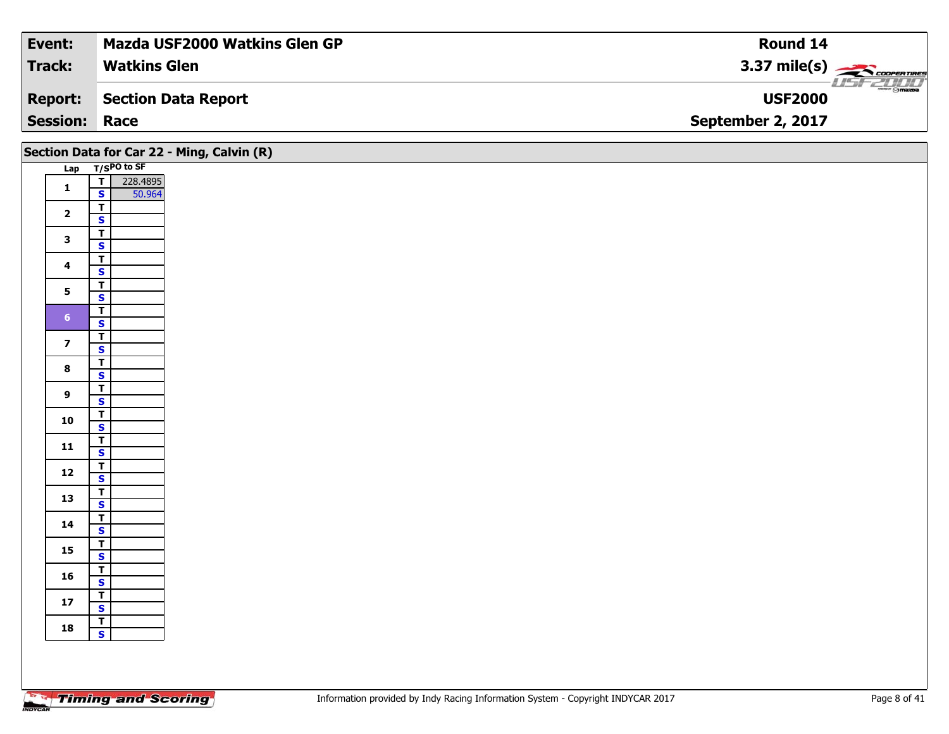| <b>Event:</b>   | <b>Mazda USF2000 Watkins Glen GP</b> | Round 14                             |
|-----------------|--------------------------------------|--------------------------------------|
| <b>Track:</b>   | <b>Watkins Glen</b>                  | 3.37 mile(s) $\leftarrow$            |
| <b>Report:</b>  | Section Data Report                  | <b>ment @mazpa</b><br><b>USF2000</b> |
| <b>Session:</b> | Race                                 | September 2, 2017                    |

|                         |                                                               | Section Data for Car 22 - Ming, Calvin (R) |
|-------------------------|---------------------------------------------------------------|--------------------------------------------|
|                         | Lap T/SPO to SF                                               |                                            |
| $\mathbf 1$             | $\overline{\mathbf{r}}$<br>228.4895<br>50.964<br>$\mathbf{s}$ |                                            |
| $\overline{\mathbf{2}}$ | $\overline{\mathbf{T}}$<br>$\overline{\mathbf{s}}$            |                                            |
| $\mathbf{3}$            | $\overline{\mathbf{T}}$<br>$\mathbf{s}$                       |                                            |
| $\overline{\mathbf{4}}$ | $rac{1}{s}$                                                   |                                            |
| $5\phantom{a}$          | $\overline{1}$<br>$\overline{\mathbf{s}}$                     |                                            |
| 6 <sup>1</sup>          | $\overline{\mathbf{r}}$<br>$\mathbf{s}$                       |                                            |
| $\overline{\mathbf{z}}$ | $\overline{\mathbf{r}}$<br>$\overline{\mathbf{s}}$            |                                            |
| $\bf8$                  | $\overline{\mathbf{r}}$<br>$\mathbf{s}$                       |                                            |
| $\overline{9}$          | $\overline{\mathbf{r}}$<br>$\mathsf{s}$                       |                                            |
| 10                      | $\overline{1}$<br>$\overline{\mathbf{s}}$                     |                                            |
| $11$                    | $rac{1}{s}$                                                   |                                            |
| 12                      | $rac{1}{s}$                                                   |                                            |
| 13                      | $\overline{\mathsf{T}}$                                       |                                            |
| 14                      | $\overline{\mathbf{s}}$<br>$\overline{\mathbf{r}}$            |                                            |
| 15                      | $\mathbf{s}$<br>$\mathbf{T}$                                  |                                            |
| 16                      | $\overline{\mathbf{s}}$<br>$\overline{\mathbf{r}}$            |                                            |
| $17$                    | $\mathsf{s}$<br>$\overline{\mathsf{T}}$                       |                                            |
| 18                      | $\overline{\mathbf{s}}$<br>$rac{1}{s}$                        |                                            |
|                         |                                                               |                                            |
|                         |                                                               |                                            |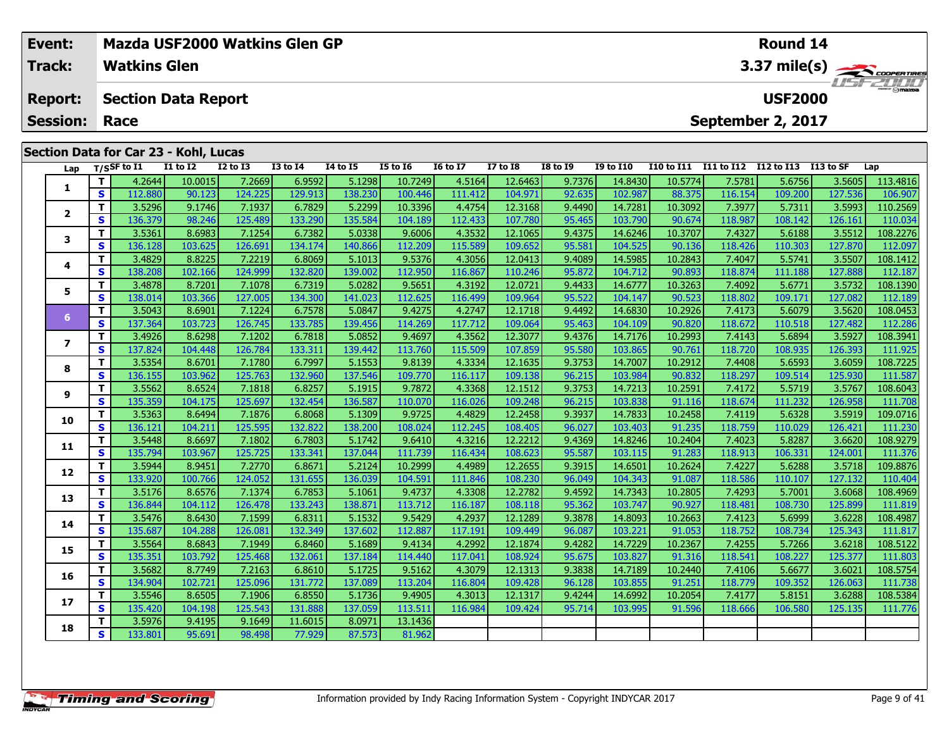| Event:          |          |                                       |                     | Mazda USF2000 Watkins Glen GP |                 |                 |                 |                 |                 |                 |                  |                   |            | Round 14          |            |              |
|-----------------|----------|---------------------------------------|---------------------|-------------------------------|-----------------|-----------------|-----------------|-----------------|-----------------|-----------------|------------------|-------------------|------------|-------------------|------------|--------------|
| <b>Track:</b>   |          | <b>Watkins Glen</b>                   |                     |                               |                 |                 |                 |                 |                 |                 |                  |                   |            |                   |            | 3.37 mile(s) |
| <b>Report:</b>  |          | <b>Section Data Report</b>            |                     |                               |                 |                 |                 |                 |                 |                 |                  |                   |            | <b>USF2000</b>    |            |              |
| <b>Session:</b> |          | Race                                  |                     |                               |                 |                 |                 |                 |                 |                 |                  |                   |            | September 2, 2017 |            |              |
|                 |          |                                       |                     |                               |                 |                 |                 |                 |                 |                 |                  |                   |            |                   |            |              |
|                 |          | Section Data for Car 23 - Kohl, Lucas |                     |                               |                 |                 |                 |                 |                 |                 |                  |                   |            |                   |            |              |
| Lap             |          | T/SSF to $I1$                         | <b>I1 to I2</b>     | <b>I2 to I3</b>               | <b>I3 to I4</b> | <b>I4 to I5</b> | <b>I5 to 16</b> | <b>16 to 17</b> | <b>I7 to I8</b> | <b>I8 to I9</b> | <b>I9 to I10</b> | <b>I10 to I11</b> | I11 to I12 | I12 to I13        | I 13 to SF | Lap          |
|                 |          | 4.2644                                | 10.0015             | 7.2669                        | 6.9592          | 5.1298          | 10.7249         | 4.5164          | 12.6463         | 9.7376          | 14.8430          | 10.5774           | 7.5781     | 5.6756            | 3.5605     | 113.4816     |
|                 | <b>S</b> | 112.880                               | 90.123              | 124.225                       | 129.913         | 138.230         | 100.446         | 111.412         | 104.971         | 92.635          | 102.987          | 88.375            | 116.154    | 109.200           | 127.536    | 106.907      |
|                 | T.       | 3.5296                                | 9.1746              | 7.1937                        | 6.7829          | 5.2299          | 10.3396         | 4.4754          | 12.3168         | 9.4490          | 14.7281          | 10.3092           | 7.3977     | 5.7311            | 3.5993     | 110.2569     |
|                 | S I      | 136.379                               | 98.246              | 125.489                       | 133.290         | 135.584         | 104.189         | 112.433         | 107.780         | 95.465          | 103.790          | 90.674            | 118.987    | 108.142           | 126.161    | 110.034      |
|                 | тı       | 3.5361                                | $R$ <sub>6983</sub> | 7 1 2 5 4 $\vert$             | 6.7382 L        | 503381          | 96006           | 435321          | 12,1065         | 94375           | 146246           | 10.37071          | 743271     | 5 6188            | 35512      | 108, 2276    |

|                | $\mathbf{z}$ | 112.00U | <b>AN'TS2</b> | LZ4.ZZJ | בדג־גדד | ∩כ∠יסכד | 100.440 | 111.412 | 104.97 I | 92.OJJ | <b>TOS'201</b> | 00.375  | 110.134 | <b>TOA'SOO</b> | 171.990 | <b>TOD</b> .30 |
|----------------|--------------|---------|---------------|---------|---------|---------|---------|---------|----------|--------|----------------|---------|---------|----------------|---------|----------------|
| $\overline{2}$ | Т            | 3.5296  | 9.1746        | 7.1937  | 6.7829  | 5.2299  | 10.3396 | 4.4754  | 12.3168  | 9.4490 | 14.7281        | 10.3092 | 7.3977  | 5.7311         | 3.5993  | 110.2569       |
|                | $\mathbf{s}$ | 136.379 | 98.246        | 125.489 | 133.290 | 135.584 | 104.189 | 112.433 | 107.780  | 95.465 | 103.790        | 90.674  | 118.987 | 108.142        | 126.161 | 110.034        |
| 3              | T            | 3.5361  | 8.6983        | 7.1254  | 6.7382  | 5.0338  | 9.6006  | 4.3532  | 12.1065  | 9.4375 | 14.6246        | 10.3707 | 7.4327  | 5.6188         | 3.5512  | 108.2276       |
|                | $\mathbf{s}$ | 136.128 | 103.625       | 126.691 | 134.174 | 140.866 | 112.209 | 115.589 | 109.652  | 95.581 | 104.525        | 90.136  | 118.426 | 110.303        | 127.870 | 112.097        |
|                | T            | 3.4829  | 8.8225        | 7.2219  | 6.8069  | 5.1013  | 9.5376  | 4.3056  | 12.0413  | 9.4089 | 14.5985        | 10.2843 | 7.4047  | 5.5741         | 3.5507  | 108.1412       |
| 4              | $\mathbf{s}$ | 138.208 | 102.166       | 124.999 | 132.820 | 139.002 | 112.950 | 116.867 | 110.246  | 95.872 | 104.712        | 90.893  | 118.874 | 111.188        | 127.888 | 112.187        |
| 5              | т            | 3.4878  | 8.7201        | 7.1078  | 6.7319  | 5.0282  | 9.5651  | 4.3192  | 12.0721  | 9.4433 | 14.6777        | 10.3263 | 7.4092  | 5.6771         | 3.5732  | 108.1390       |
|                | S            | 138.014 | 103.366       | 127.005 | 134.300 | 141.023 | 112.625 | 116.499 | 109.964  | 95.522 | 104.147        | 90.523  | 118.802 | 109.171        | 127.082 | 112.189        |
| 6              | T            | 3.5043  | 8.6901        | 7.1224  | 6.7578  | 5.0847  | 9.4275  | 4.2747  | 12.1718  | 9.4492 | 14.6830        | 10.2926 | 7.4173  | 5.6079         | 3.5620  | 108.0453       |
|                | $\mathbf{s}$ | 137.364 | 103.723       | 126.745 | 133.785 | 139.456 | 114.269 | 117.712 | 109.064  | 95.463 | 104.109        | 90.820  | 118.672 | 110.518        | 127.482 | 112.286        |
| $\overline{ }$ | $\mathbf{T}$ | 3.4926  | 8.6298        | 7.1202  | 6.7818  | 5.0852  | 9.4697  | 4.3562  | 12.3077  | 9.4376 | 14.7176        | 10.2993 | 7.4143  | 5.6894         | 3.5927  | 108.3941       |
|                | S            | 137.824 | 104.448       | 126.784 | 133.311 | 139.442 | 113.760 | 115.509 | 107.859  | 95.580 | 103.865        | 90.761  | 118.720 | 108.935        | 126.393 | 111.925        |
| 8              | $\mathbf{T}$ | 3.5354  | 8.6701        | 7.1780  | 6.7997  | 5.1553  | 9.8139  | 4.3334  | 12.1635  | 9.3753 | 14.7007        | 10.2912 | 7.4408  | 5.6593         | 3.6059  | 108.7225       |
|                | S            | 136.155 | 103.962       | 125.763 | 132.960 | 137.546 | 109.770 | 116.117 | 109.138  | 96.215 | 103.984        | 90.832  | 118.297 | 109.514        | 125.930 | 111.587        |
| 9              | Т            | 3.5562  | 8.6524        | 7.1818  | 6.8257  | 5.1915  | 9.7872  | 4.3368  | 12.1512  | 9.3753 | 14.7213        | 10.2591 | 7.4172  | 5.5719         | 3.5767  | 108.6043       |
|                | $\mathbf{s}$ | 135.359 | 104.175       | 125.697 | 132.454 | 136.587 | 110.070 | 116.026 | 109.248  | 96.215 | 103.838        | 91.116  | 118.674 | 111.232        | 126.958 | 111.708        |
| 10             | Т            | 3.5363  | 8.6494        | 7.1876  | 6.8068  | 5.1309  | 9.9725  | 4.4829  | 12.2458  | 9.3937 | 14.7833        | 10.2458 | 7.4119  | 5.6328         | 3.5919  | 109.0716       |
|                | S            | 136.121 | 104.211       | 125.595 | 132.822 | 138.200 | 108.024 | 112.245 | 108.405  | 96.027 | 103.403        | 91.235  | 118.759 | 110.029        | 126.421 | 111.230        |
| 11             | T            | 3.5448  | 8.6697        | 7.1802  | 6.7803  | 5.1742  | 9.6410  | 4.3216  | 12.2212  | 9.4369 | 14.8246        | 10.2404 | 7.4023  | 5.8287         | 3.6620  | 108.9279       |
|                | $\mathbf{s}$ | 135.794 | 103.967       | 125.725 | 133.341 | 137.044 | 111.739 | 116.434 | 108.623  | 95.587 | 103.115        | 91.283  | 118.913 | 106.331        | 124.001 | 111.376        |
| 12             | т            | 3.5944  | 8.9451        | 7.2770  | 6.8671  | 5.2124  | 10.2999 | 4.4989  | 12.2655  | 9.3915 | 14.6501        | 10.2624 | 7.4227  | 5.6288         | 3.5718  | 109.8876       |
|                | $\mathbf{s}$ | 133.920 | 100.766       | 124.052 | 131.655 | 136.039 | 104.591 | 111.846 | 108.230  | 96.049 | 104.343        | 91.087  | 118.586 | 110.107        | 127.132 | 110.404        |
| 13             | T            | 3.5176  | 8.6576        | 7.1374  | 6.7853  | 5.1061  | 9.4737  | 4.3308  | 12.2782  | 9.4592 | 14.7343        | 10.2805 | 7.4293  | 5.7001         | 3.6068  | 108.4969       |
|                | $\mathbf{s}$ | 136.844 | 104.112       | 126.478 | 133.243 | 138.871 | 113.712 | 116.187 | 108.118  | 95.362 | 103.747        | 90.927  | 118.481 | 108.730        | 125.899 | 111.819        |
| 14             | $\mathbf{T}$ | 3.5476  | 8.6430        | 7.1599  | 6.8311  | 5.1532  | 9.5429  | 4.2937  | 12.1289  | 9.3878 | 14.8093        | 10.2663 | 7.4123  | 5.6999         | 3.6228  | 108.4987       |
|                | $\mathbf{s}$ | 135.687 | 104.288       | 126.081 | 132.349 | 137.602 | 112.887 | 117.191 | 109.449  | 96.087 | 103.221        | 91.053  | 118.752 | 108.734        | 125.343 | 111.817        |
| 15             | Т            | 3.5564  | 8.6843        | 7.1949  | 6.8460  | 5.1689  | 9.4134  | 4.2992  | 12.1874  | 9.4282 | 14.7229        | 10.2367 | 7.4255  | 5.7266         | 3.6218  | 108.5122       |
|                | $\mathbf{s}$ | 135.351 | 103.792       | 125.468 | 132.061 | 137.184 | 114.440 | 117.041 | 108.924  | 95.675 | 103.827        | 91.316  | 118.541 | 108.227        | 125.377 | 111.803        |
| 16             | $\mathbf{T}$ | 3.5682  | 8.7749        | 7.2163  | 6.8610  | 5.1725  | 9.5162  | 4.3079  | 12.1313  | 9.3838 | 14.7189        | 10.2440 | 7.4106  | 5.6677         | 3.6021  | 108.5754       |
|                | $\mathbf{s}$ | 134.904 | 102.721       | 125.096 | 131.772 | 137.089 | 113.204 | 116.804 | 109.428  | 96.128 | 103.855        | 91.251  | 118.779 | 109.352        | 126.063 | 111.738        |
| 17             | т            | 3.5546  | 8.6505        | 7.1906  | 6.8550  | 5.1736  | 9.4905  | 4.3013  | 12.1317  | 9.4244 | 14.6992        | 10.2054 | 7.4177  | 5.8151         | 3.6288  | 108.5384       |
|                | $\mathbf{s}$ | 135.420 | 104.198       | 125.543 | 131.888 | 137.059 | 113.511 | 116.984 | 109.424  | 95.714 | 103.995        | 91.596  | 118.666 | 106.580        | 125.135 | 111.776        |
| 18             | Т            | 3.5976  | 9.4195        | 9.1649  | 11.6015 | 8.0971  | 13.1436 |         |          |        |                |         |         |                |         |                |
|                | $\mathbf{s}$ | 133.801 | 95.691        | 98.498  | 77.929  | 87.573  | 81.962  |         |          |        |                |         |         |                |         |                |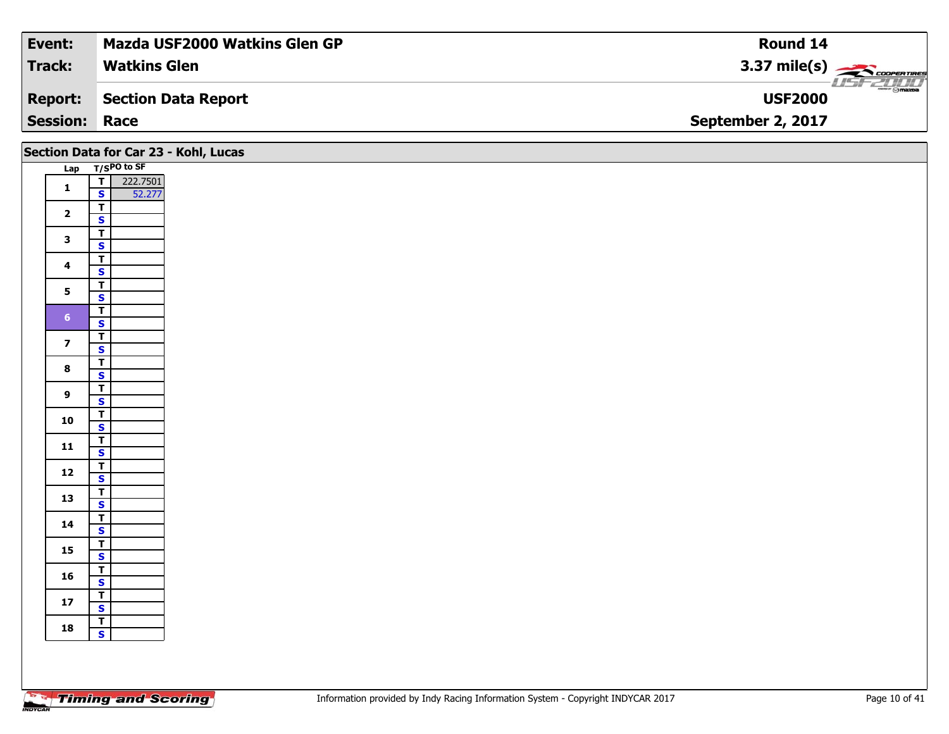| Event:          | <b>Mazda USF2000 Watkins Glen GP</b> | Round 14                              |
|-----------------|--------------------------------------|---------------------------------------|
| <b>Track:</b>   | <b>Watkins Glen</b>                  | $3.37 \text{ mile(s)}$                |
| Report:         | Section Data Report                  | $\sim$ $\sim$ mazoa<br><b>USF2000</b> |
| <b>Session:</b> | Race                                 | September 2, 2017                     |

|                         |                                                    | Section Data for Car 23 - Kohl, Lucas |
|-------------------------|----------------------------------------------------|---------------------------------------|
|                         | Lap T/SPO to SF                                    |                                       |
| $\mathbf{1}$            | $T$ 222.7501                                       |                                       |
|                         | $\mathbf{s}$<br>52.277                             |                                       |
| $\overline{\mathbf{2}}$ | $\overline{\mathbf{r}}$                            |                                       |
|                         | $\mathbf{s}$                                       |                                       |
| $\mathbf{3}$            | $\overline{\mathsf{T}}$                            |                                       |
|                         | $\overline{\mathbf{s}}$                            |                                       |
| $\overline{\mathbf{4}}$ | $\overline{\mathsf{r}}$                            |                                       |
|                         | $\overline{\mathbf{s}}$                            |                                       |
| $5\phantom{a}$          | $\overline{\mathsf{r}}$<br>$\overline{\mathbf{s}}$ |                                       |
|                         | $\overline{\mathbf{r}}$                            |                                       |
| 6 <sup>1</sup>          | $\mathbf{s}$                                       |                                       |
|                         | $\overline{\mathsf{T}}$                            |                                       |
| $\overline{\mathbf{z}}$ | $\overline{\mathbf{s}}$                            |                                       |
|                         | $\overline{\mathbf{r}}$                            |                                       |
| $\bf{8}$                | $\overline{\mathbf{s}}$                            |                                       |
| 9                       | $\overline{\mathsf{r}}$                            |                                       |
|                         | $\mathbf{s}$                                       |                                       |
| 10                      | $\overline{\mathsf{T}}$                            |                                       |
|                         | $\overline{\mathbf{s}}$                            |                                       |
| 11                      | $\mathbf{T}$<br>$\mathbf{s}$                       |                                       |
|                         | $\overline{\mathbf{r}}$                            |                                       |
| ${\bf 12}$              | $\overline{\mathbf{s}}$                            |                                       |
|                         | $\overline{\mathsf{T}}$                            |                                       |
| 13                      | $\overline{\mathbf{s}}$                            |                                       |
|                         | $\overline{\mathsf{r}}$                            |                                       |
| 14                      | $\mathbf{s}$                                       |                                       |
| 15                      | $\mathbf{T}$                                       |                                       |
|                         | $\overline{\mathbf{s}}$                            |                                       |
| 16                      | $\overline{\mathsf{r}}$                            |                                       |
|                         | $\mathbf{s}$                                       |                                       |
| ${\bf 17}$              | $\overline{\mathbf{r}}$<br>$\mathbf{s}$            |                                       |
|                         | $\overline{I}$                                     |                                       |
| 18                      | $\overline{\mathbf{s}}$                            |                                       |
|                         |                                                    |                                       |
|                         |                                                    |                                       |
|                         |                                                    |                                       |

Τ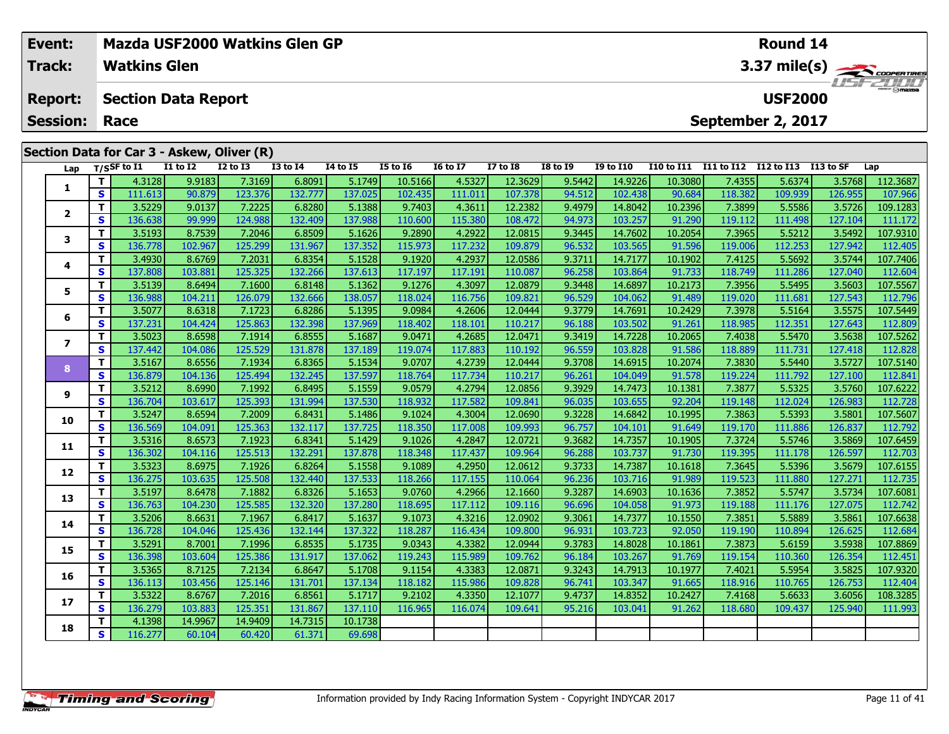|                                                                                              | Event:<br>Track: |    | <b>Watkins Glen</b> |                 | <b>Mazda USF2000 Watkins Glen GP</b>       |                 |          |                 |                 |                 | Round 14<br>3.37 mile(s) |                  |                   |                |            |                      |          |  |  |  |
|----------------------------------------------------------------------------------------------|------------------|----|---------------------|-----------------|--------------------------------------------|-----------------|----------|-----------------|-----------------|-----------------|--------------------------|------------------|-------------------|----------------|------------|----------------------|----------|--|--|--|
| <b>Section Data Report</b><br><b>Report:</b><br>September 2, 2017<br><b>Session:</b><br>Race |                  |    |                     |                 |                                            |                 |          |                 |                 |                 |                          |                  |                   | <b>USF2000</b> |            | $\frac{1}{\sqrt{2}}$ |          |  |  |  |
|                                                                                              |                  |    |                     |                 | Section Data for Car 3 - Askew, Oliver (R) |                 |          |                 |                 |                 |                          |                  |                   |                |            |                      |          |  |  |  |
|                                                                                              | Lap              |    | $T/S$ SF to I1      | <b>I1 to I2</b> | <b>I2 to I3</b>                            | <b>I3 to I4</b> | 14 to 15 | <b>I5 to 16</b> | <b>16 to 17</b> | <b>I7 to I8</b> | <b>I8 to 19</b>          | <b>I9 to I10</b> | <b>I10 to I11</b> | I11 to I12     | I12 to I13 | I13 to SF            | Lap      |  |  |  |
|                                                                                              |                  |    | 4.3128              | 9.9183          | 7.3169                                     | 6.8091          | 5.1749   | 10.5166         | 4.5327          | 12.3629         | 9.5442                   | 14.9226          | 10.3080           | 7.4355         | 5.6374     | 3.5768               | 112.3687 |  |  |  |
|                                                                                              |                  | S. | 111.613             | 90.879          | 123.376                                    | 132.777         | 137.025  | 102.435         | 111.011         | 107.378         | 94.512                   | 102.438          | 90.684            | 118.382        | 109.939    | 126.955              | 107.966  |  |  |  |
|                                                                                              | $\overline{2}$   | т  | 3.5229              | 9.0137          | 7.2225                                     | 6.8280          | 5.1388   | 9.7403          | 4.3611          | 12.2382         | 9.4979                   | 14.8042          | 10.2396           | 7.3899         | 5.5586     | 3.5726               | 109.1283 |  |  |  |
|                                                                                              |                  | S. | 136.638             | 99.999          | 124.988                                    | 132.409         | 137.988  | 110.600         | 115.380         | 108.472         | 94.973                   | 103.257          | 91.290            | 119.112        | 111.498    | 127.104              | 111.172  |  |  |  |
|                                                                                              | 3                |    | 3.5193              | 8.7539          | 7.2046                                     | 6.8509          | 5.1626   | 9.2890          | 4.2922          | 12.0815         | 9.3445                   | 14.7602          | 10.2054           | 7.3965         | 5.5212     | 3.5492               | 107.9310 |  |  |  |
|                                                                                              |                  | S. | 136.778             | 102.967         | 125.299                                    | 131.967         | 137.352  | 115.973         | 117.232         | 109.879         | 96.532                   | 103.565          | 91.596            | 119.006        | 112.253    | 127.942              | 112.405  |  |  |  |
|                                                                                              | 4                | Τ. | 3.4930              | 8.6769          | 7.2031                                     | 6.8354          | 5.1528   | 9.1920          | 4.2937          | 12.0586         | 9.3711                   | 14.7177          | 10.1902           | 7.4125         | 5.5692     | 3.5744               | 107.7406 |  |  |  |
|                                                                                              |                  | S. | 137.808             | 103.881         | 125.325                                    | 132.266         | 137.613  | 117.197         | 117.191         | 110.087         | 96.258                   | 103.864          | 91.733            | 118.749        | 111.286    | 127.040              | 112.604  |  |  |  |
|                                                                                              | 5.               | Τ. | 3.5139              | 8.6494          | 7.1600                                     | 6.8148          | 5.1362   | 9.1276          | 4.3097          | 12.0879         | 9.3448                   | 14.6897          | 10.2173           | 7.3956         | 5.5495     | 3.5603               | 107.5567 |  |  |  |
|                                                                                              |                  | S. | 136.988             | 104.211         | 126.079                                    | 132.666         | 138.057  | 118.024         | 116.756         | 109.821         | 96.529                   | 104.062          | 91.489            | 119.020        | 111.681    | 127.543              | 112.796  |  |  |  |
|                                                                                              | 6                |    | 3.5077              | 8.6318          | 7.1723                                     | 6.8286          | 5.1395   | 9.0984          | 4.2606          | 12.0444         | 9.3779                   | 14.7691          | 10.2429           | 7.3978         | 5.5164     | 3.5575               | 107.5449 |  |  |  |
|                                                                                              |                  | S. | 137.231             | 104.424         | 125.863                                    | 132.398         | 137.969  | 118.402         | 118.101         | 110.217         | 96.188                   | 103.502          | 91.261            | 118.985        | 112.351    | 127.643              | 112.809  |  |  |  |
|                                                                                              |                  | т  | 3.5023              | 8.6598          | 7.1914                                     | 6.8555          | 5.1687   | 9.0471          | 4.2685          | 12.0471         | 9.3419                   | 14.7228          | 10.2065           | 7.4038         | 5.5470     | 3.5638               | 107.5262 |  |  |  |
|                                                                                              | 7                | S. | 137.442             | 104.086         | 125.529                                    | 131.878         | 137.189  | 119.074         | 117.883         | 110.192         | 96.559                   | 103.828          | 91.586            | 118.889        | 111.731    | 127.418              | 112.828  |  |  |  |
|                                                                                              |                  |    | 3.5167              | 8.6556          | 7.1934                                     | 6.8365          | 5.1534   | 9.0707          | 4.2739          | 12.0444         | 9.3708                   | 14.6915          | 10.2074           | 7.3830         | 5.5440     | 3.5727               | 107.5140 |  |  |  |
|                                                                                              | 8                | s  | 136.879             | 104.136         | 125.494                                    | 132.245         | 137.597  | 118.764         | 117.734         | 110.217         | 96.261                   | 104.049          | 91.578            | 119,224        | 111.792    | 127.100              | 112,841  |  |  |  |

| S<br>137.189<br>137.442<br>131.878<br>117.883<br>110.192<br>96.559<br>91.586<br>118.889<br>104.086<br>125.529 <br>119.074<br>103.828<br>111.731<br>127.418<br>3.5167<br>6.8365<br>12.0444<br>7.3830<br>$\mathbf T$<br>7.1934<br>5.1534<br>9.0707<br>4.2739<br>9.3708<br>10.2074<br>5.5440<br>3.5727<br>8.6556<br>14.6915<br>8<br><b>S</b><br>136.879<br>132.245<br>137.597<br>110.217<br>104.136<br>118.764<br>117.734<br>96.261<br>104.049<br>91.578<br>119.224<br>111.792<br>127.100<br>125.494<br>3.5212<br>6.8495<br>12.0856<br>т<br>5.1559<br>9.0579<br>4.2794<br>9.3929<br>10.1381<br>7.3877<br>5.5325<br>3.5760<br>8.6990<br>7.1992<br>14.7473<br>9<br>S<br>136.704<br>131.994<br>137.530<br>118.932<br>117.582<br>109.841<br>92.204<br>119.148<br>103.617<br>125.393<br>96.035<br>103.655<br>112.024<br>126.983<br>т<br>3.5247<br>6.8431<br>12.0690<br>8.6594<br>5.1486<br>9.3228<br>10.1995<br>7.3863<br>5.5393<br>7.2009<br>9.1024<br>4.3004<br>14.6842<br>3.5801<br>10<br>s<br>136.569<br>137.725<br>109.993<br>125.363<br>132.117<br>118.350<br>117.008<br>91.649<br>119.170<br>126.837<br>104.091<br>96.757<br>111.886<br>104.101<br>3.5316<br>т<br>6.8341<br>4.2847<br>12.0721<br>10.1905<br>8.6573<br>7.1923<br>5.1429<br>9.1026<br>9.3682<br>14.7357<br>7.3724<br>5.5746<br>3.5869<br>11<br>136.302<br>137.878<br>91.730<br>s<br>104.116<br>125.513<br>132.291<br>109.964<br>96.288<br>119.395<br>126.597<br>118.348<br>117.437<br>103.737<br>111.178<br>3.5323<br>т<br>6.8264<br>5.1558<br>9.1089<br>4.2950<br>12.0612<br>9.3733<br>14.7387<br>10.1618<br>7.3645<br>5.5396<br>8.6975<br>7.1926<br>3.5679<br>12<br>S<br>136.275<br>103.635<br>137.533<br>119.523<br>125.508<br>132.440<br>118.266<br>117.155<br>110.064<br>96.236<br>91.989<br>127.271<br>103.716<br>111.880<br>3.5197<br>т<br>6.8326<br>9.0760<br>4.2966<br>12.1660<br>9.3287<br>14.6903<br>10.1636<br>7.3852<br>5.5747<br>3.5734<br>8.6478<br>7.1882<br>5.1653<br>13<br>S<br>136.763<br>132.320<br>137.280<br>91.973<br>104.230<br>125.585<br>118.695<br>117.112<br>109.116<br>96.696<br>119.188<br>127.075<br>104.058<br>111.176<br>3.5206<br>6.8417<br>12.0902<br>т<br>8.6631<br>7.1967<br>5.1637<br>9.1073<br>4.3216<br>9.3061<br>14.7377<br>10.1550<br>7.3851<br>5.5889<br>3.5861<br>14<br>S<br>136.728<br>137.322<br>118.287<br>109.800<br>92.050<br>132.144<br>116.434<br>96.931<br>103.723<br>119.190<br>110.894<br>126.625<br>104.046<br>125.436<br>3.5291<br>6.8535<br>5.1735<br>9.0343<br>4.3382<br>12.0944<br>14.8028<br>10.1861<br>7.3873<br>8.7001<br>7.1996<br>9.3783<br>5.6159<br>3.5938<br>15<br>S<br>136.398<br>131.917<br>137.062<br>103.604<br>119.243<br>115.989<br>109.762<br>91.769<br>119.154<br>110.360<br>126.354<br>125.386<br>96.184<br>103.267<br>3.5365<br>6.8647<br>12.0871<br>10.1977<br>8.7125<br>7.2134<br>5.1708<br>9.1154<br>4.3383<br>9.3243<br>14.7913<br>7.4021<br>5.5954<br>3.5825<br>16<br>137.134<br>S<br>136.113<br>103.456<br>131.701<br>115.986<br>109.828<br>96.741<br>91.665<br>118.916<br>125.146<br>118.182<br>103.347<br>110.765<br>126.753<br>3.5322<br>6.8561<br>5.1717<br>12.1077<br>8.6767<br>7.2016<br>9.2102<br>4.3350<br>9.4737<br>14.8352<br>10.2427<br>7.4168<br>5.6633<br>3.6056<br>17<br>136.279<br>S<br>103.883<br>131.867<br>137.110<br>95.216<br>91.262<br>118.680<br>125.351<br>116.074<br>109.641<br>109.437<br>125.940<br>116.965<br>103.041 |  | 3.5UZ31 | 8.0598  | 7.1914  | ∣כככס.ס | <b>2.100/</b> | 9.0471 | 4.Z0051 | 12.0471 | 9.3419 | 14./220 | LU.ZUDJ | 7.40381 | 5.547U | 3.50381 | 707C.70T |
|--------------------------------------------------------------------------------------------------------------------------------------------------------------------------------------------------------------------------------------------------------------------------------------------------------------------------------------------------------------------------------------------------------------------------------------------------------------------------------------------------------------------------------------------------------------------------------------------------------------------------------------------------------------------------------------------------------------------------------------------------------------------------------------------------------------------------------------------------------------------------------------------------------------------------------------------------------------------------------------------------------------------------------------------------------------------------------------------------------------------------------------------------------------------------------------------------------------------------------------------------------------------------------------------------------------------------------------------------------------------------------------------------------------------------------------------------------------------------------------------------------------------------------------------------------------------------------------------------------------------------------------------------------------------------------------------------------------------------------------------------------------------------------------------------------------------------------------------------------------------------------------------------------------------------------------------------------------------------------------------------------------------------------------------------------------------------------------------------------------------------------------------------------------------------------------------------------------------------------------------------------------------------------------------------------------------------------------------------------------------------------------------------------------------------------------------------------------------------------------------------------------------------------------------------------------------------------------------------------------------------------------------------------------------------------------------------------------------------------------------------------------------------------------------------------------------------------------------------------------------------------------------------------------------------------------------------------------------------------------------------------------------------------------------------------------------------------------------------------------------------------------------------------------------------------------------------------------------------------------------------------------------------------------------------------------------------------------------------------------------------------------------------|--|---------|---------|---------|---------|---------------|--------|---------|---------|--------|---------|---------|---------|--------|---------|----------|
|                                                                                                                                                                                                                                                                                                                                                                                                                                                                                                                                                                                                                                                                                                                                                                                                                                                                                                                                                                                                                                                                                                                                                                                                                                                                                                                                                                                                                                                                                                                                                                                                                                                                                                                                                                                                                                                                                                                                                                                                                                                                                                                                                                                                                                                                                                                                                                                                                                                                                                                                                                                                                                                                                                                                                                                                                                                                                                                                                                                                                                                                                                                                                                                                                                                                                                                                                                                                  |  |         |         |         |         |               |        |         |         |        |         |         |         |        |         | 112.828  |
|                                                                                                                                                                                                                                                                                                                                                                                                                                                                                                                                                                                                                                                                                                                                                                                                                                                                                                                                                                                                                                                                                                                                                                                                                                                                                                                                                                                                                                                                                                                                                                                                                                                                                                                                                                                                                                                                                                                                                                                                                                                                                                                                                                                                                                                                                                                                                                                                                                                                                                                                                                                                                                                                                                                                                                                                                                                                                                                                                                                                                                                                                                                                                                                                                                                                                                                                                                                                  |  |         |         |         |         |               |        |         |         |        |         |         |         |        |         | 107.5140 |
|                                                                                                                                                                                                                                                                                                                                                                                                                                                                                                                                                                                                                                                                                                                                                                                                                                                                                                                                                                                                                                                                                                                                                                                                                                                                                                                                                                                                                                                                                                                                                                                                                                                                                                                                                                                                                                                                                                                                                                                                                                                                                                                                                                                                                                                                                                                                                                                                                                                                                                                                                                                                                                                                                                                                                                                                                                                                                                                                                                                                                                                                                                                                                                                                                                                                                                                                                                                                  |  |         |         |         |         |               |        |         |         |        |         |         |         |        |         | 112.841  |
|                                                                                                                                                                                                                                                                                                                                                                                                                                                                                                                                                                                                                                                                                                                                                                                                                                                                                                                                                                                                                                                                                                                                                                                                                                                                                                                                                                                                                                                                                                                                                                                                                                                                                                                                                                                                                                                                                                                                                                                                                                                                                                                                                                                                                                                                                                                                                                                                                                                                                                                                                                                                                                                                                                                                                                                                                                                                                                                                                                                                                                                                                                                                                                                                                                                                                                                                                                                                  |  |         |         |         |         |               |        |         |         |        |         |         |         |        |         | 107.6222 |
|                                                                                                                                                                                                                                                                                                                                                                                                                                                                                                                                                                                                                                                                                                                                                                                                                                                                                                                                                                                                                                                                                                                                                                                                                                                                                                                                                                                                                                                                                                                                                                                                                                                                                                                                                                                                                                                                                                                                                                                                                                                                                                                                                                                                                                                                                                                                                                                                                                                                                                                                                                                                                                                                                                                                                                                                                                                                                                                                                                                                                                                                                                                                                                                                                                                                                                                                                                                                  |  |         |         |         |         |               |        |         |         |        |         |         |         |        |         | 112.728  |
|                                                                                                                                                                                                                                                                                                                                                                                                                                                                                                                                                                                                                                                                                                                                                                                                                                                                                                                                                                                                                                                                                                                                                                                                                                                                                                                                                                                                                                                                                                                                                                                                                                                                                                                                                                                                                                                                                                                                                                                                                                                                                                                                                                                                                                                                                                                                                                                                                                                                                                                                                                                                                                                                                                                                                                                                                                                                                                                                                                                                                                                                                                                                                                                                                                                                                                                                                                                                  |  |         |         |         |         |               |        |         |         |        |         |         |         |        |         | 107.5607 |
|                                                                                                                                                                                                                                                                                                                                                                                                                                                                                                                                                                                                                                                                                                                                                                                                                                                                                                                                                                                                                                                                                                                                                                                                                                                                                                                                                                                                                                                                                                                                                                                                                                                                                                                                                                                                                                                                                                                                                                                                                                                                                                                                                                                                                                                                                                                                                                                                                                                                                                                                                                                                                                                                                                                                                                                                                                                                                                                                                                                                                                                                                                                                                                                                                                                                                                                                                                                                  |  |         |         |         |         |               |        |         |         |        |         |         |         |        |         | 112.792  |
|                                                                                                                                                                                                                                                                                                                                                                                                                                                                                                                                                                                                                                                                                                                                                                                                                                                                                                                                                                                                                                                                                                                                                                                                                                                                                                                                                                                                                                                                                                                                                                                                                                                                                                                                                                                                                                                                                                                                                                                                                                                                                                                                                                                                                                                                                                                                                                                                                                                                                                                                                                                                                                                                                                                                                                                                                                                                                                                                                                                                                                                                                                                                                                                                                                                                                                                                                                                                  |  |         |         |         |         |               |        |         |         |        |         |         |         |        |         | 107.6459 |
|                                                                                                                                                                                                                                                                                                                                                                                                                                                                                                                                                                                                                                                                                                                                                                                                                                                                                                                                                                                                                                                                                                                                                                                                                                                                                                                                                                                                                                                                                                                                                                                                                                                                                                                                                                                                                                                                                                                                                                                                                                                                                                                                                                                                                                                                                                                                                                                                                                                                                                                                                                                                                                                                                                                                                                                                                                                                                                                                                                                                                                                                                                                                                                                                                                                                                                                                                                                                  |  |         |         |         |         |               |        |         |         |        |         |         |         |        |         | 112.703  |
|                                                                                                                                                                                                                                                                                                                                                                                                                                                                                                                                                                                                                                                                                                                                                                                                                                                                                                                                                                                                                                                                                                                                                                                                                                                                                                                                                                                                                                                                                                                                                                                                                                                                                                                                                                                                                                                                                                                                                                                                                                                                                                                                                                                                                                                                                                                                                                                                                                                                                                                                                                                                                                                                                                                                                                                                                                                                                                                                                                                                                                                                                                                                                                                                                                                                                                                                                                                                  |  |         |         |         |         |               |        |         |         |        |         |         |         |        |         | 107.6155 |
|                                                                                                                                                                                                                                                                                                                                                                                                                                                                                                                                                                                                                                                                                                                                                                                                                                                                                                                                                                                                                                                                                                                                                                                                                                                                                                                                                                                                                                                                                                                                                                                                                                                                                                                                                                                                                                                                                                                                                                                                                                                                                                                                                                                                                                                                                                                                                                                                                                                                                                                                                                                                                                                                                                                                                                                                                                                                                                                                                                                                                                                                                                                                                                                                                                                                                                                                                                                                  |  |         |         |         |         |               |        |         |         |        |         |         |         |        |         | 112.735  |
|                                                                                                                                                                                                                                                                                                                                                                                                                                                                                                                                                                                                                                                                                                                                                                                                                                                                                                                                                                                                                                                                                                                                                                                                                                                                                                                                                                                                                                                                                                                                                                                                                                                                                                                                                                                                                                                                                                                                                                                                                                                                                                                                                                                                                                                                                                                                                                                                                                                                                                                                                                                                                                                                                                                                                                                                                                                                                                                                                                                                                                                                                                                                                                                                                                                                                                                                                                                                  |  |         |         |         |         |               |        |         |         |        |         |         |         |        |         | 107.6081 |
|                                                                                                                                                                                                                                                                                                                                                                                                                                                                                                                                                                                                                                                                                                                                                                                                                                                                                                                                                                                                                                                                                                                                                                                                                                                                                                                                                                                                                                                                                                                                                                                                                                                                                                                                                                                                                                                                                                                                                                                                                                                                                                                                                                                                                                                                                                                                                                                                                                                                                                                                                                                                                                                                                                                                                                                                                                                                                                                                                                                                                                                                                                                                                                                                                                                                                                                                                                                                  |  |         |         |         |         |               |        |         |         |        |         |         |         |        |         | 112.742  |
|                                                                                                                                                                                                                                                                                                                                                                                                                                                                                                                                                                                                                                                                                                                                                                                                                                                                                                                                                                                                                                                                                                                                                                                                                                                                                                                                                                                                                                                                                                                                                                                                                                                                                                                                                                                                                                                                                                                                                                                                                                                                                                                                                                                                                                                                                                                                                                                                                                                                                                                                                                                                                                                                                                                                                                                                                                                                                                                                                                                                                                                                                                                                                                                                                                                                                                                                                                                                  |  |         |         |         |         |               |        |         |         |        |         |         |         |        |         | 107.6638 |
|                                                                                                                                                                                                                                                                                                                                                                                                                                                                                                                                                                                                                                                                                                                                                                                                                                                                                                                                                                                                                                                                                                                                                                                                                                                                                                                                                                                                                                                                                                                                                                                                                                                                                                                                                                                                                                                                                                                                                                                                                                                                                                                                                                                                                                                                                                                                                                                                                                                                                                                                                                                                                                                                                                                                                                                                                                                                                                                                                                                                                                                                                                                                                                                                                                                                                                                                                                                                  |  |         |         |         |         |               |        |         |         |        |         |         |         |        |         | 112.684  |
|                                                                                                                                                                                                                                                                                                                                                                                                                                                                                                                                                                                                                                                                                                                                                                                                                                                                                                                                                                                                                                                                                                                                                                                                                                                                                                                                                                                                                                                                                                                                                                                                                                                                                                                                                                                                                                                                                                                                                                                                                                                                                                                                                                                                                                                                                                                                                                                                                                                                                                                                                                                                                                                                                                                                                                                                                                                                                                                                                                                                                                                                                                                                                                                                                                                                                                                                                                                                  |  |         |         |         |         |               |        |         |         |        |         |         |         |        |         | 107.8869 |
|                                                                                                                                                                                                                                                                                                                                                                                                                                                                                                                                                                                                                                                                                                                                                                                                                                                                                                                                                                                                                                                                                                                                                                                                                                                                                                                                                                                                                                                                                                                                                                                                                                                                                                                                                                                                                                                                                                                                                                                                                                                                                                                                                                                                                                                                                                                                                                                                                                                                                                                                                                                                                                                                                                                                                                                                                                                                                                                                                                                                                                                                                                                                                                                                                                                                                                                                                                                                  |  |         |         |         |         |               |        |         |         |        |         |         |         |        |         | 112.451  |
|                                                                                                                                                                                                                                                                                                                                                                                                                                                                                                                                                                                                                                                                                                                                                                                                                                                                                                                                                                                                                                                                                                                                                                                                                                                                                                                                                                                                                                                                                                                                                                                                                                                                                                                                                                                                                                                                                                                                                                                                                                                                                                                                                                                                                                                                                                                                                                                                                                                                                                                                                                                                                                                                                                                                                                                                                                                                                                                                                                                                                                                                                                                                                                                                                                                                                                                                                                                                  |  |         |         |         |         |               |        |         |         |        |         |         |         |        |         | 107.9320 |
|                                                                                                                                                                                                                                                                                                                                                                                                                                                                                                                                                                                                                                                                                                                                                                                                                                                                                                                                                                                                                                                                                                                                                                                                                                                                                                                                                                                                                                                                                                                                                                                                                                                                                                                                                                                                                                                                                                                                                                                                                                                                                                                                                                                                                                                                                                                                                                                                                                                                                                                                                                                                                                                                                                                                                                                                                                                                                                                                                                                                                                                                                                                                                                                                                                                                                                                                                                                                  |  |         |         |         |         |               |        |         |         |        |         |         |         |        |         | 112.404  |
|                                                                                                                                                                                                                                                                                                                                                                                                                                                                                                                                                                                                                                                                                                                                                                                                                                                                                                                                                                                                                                                                                                                                                                                                                                                                                                                                                                                                                                                                                                                                                                                                                                                                                                                                                                                                                                                                                                                                                                                                                                                                                                                                                                                                                                                                                                                                                                                                                                                                                                                                                                                                                                                                                                                                                                                                                                                                                                                                                                                                                                                                                                                                                                                                                                                                                                                                                                                                  |  |         |         |         |         |               |        |         |         |        |         |         |         |        |         | 108.3285 |
|                                                                                                                                                                                                                                                                                                                                                                                                                                                                                                                                                                                                                                                                                                                                                                                                                                                                                                                                                                                                                                                                                                                                                                                                                                                                                                                                                                                                                                                                                                                                                                                                                                                                                                                                                                                                                                                                                                                                                                                                                                                                                                                                                                                                                                                                                                                                                                                                                                                                                                                                                                                                                                                                                                                                                                                                                                                                                                                                                                                                                                                                                                                                                                                                                                                                                                                                                                                                  |  |         |         |         |         |               |        |         |         |        |         |         |         |        |         | 111.993  |
| 18                                                                                                                                                                                                                                                                                                                                                                                                                                                                                                                                                                                                                                                                                                                                                                                                                                                                                                                                                                                                                                                                                                                                                                                                                                                                                                                                                                                                                                                                                                                                                                                                                                                                                                                                                                                                                                                                                                                                                                                                                                                                                                                                                                                                                                                                                                                                                                                                                                                                                                                                                                                                                                                                                                                                                                                                                                                                                                                                                                                                                                                                                                                                                                                                                                                                                                                                                                                               |  | 4.1398  | 14.9967 | 14.9409 | 14.7315 | 10.1738       |        |         |         |        |         |         |         |        |         |          |
| S<br>116.277<br>61.371<br>60.104<br>60.420<br>69.698                                                                                                                                                                                                                                                                                                                                                                                                                                                                                                                                                                                                                                                                                                                                                                                                                                                                                                                                                                                                                                                                                                                                                                                                                                                                                                                                                                                                                                                                                                                                                                                                                                                                                                                                                                                                                                                                                                                                                                                                                                                                                                                                                                                                                                                                                                                                                                                                                                                                                                                                                                                                                                                                                                                                                                                                                                                                                                                                                                                                                                                                                                                                                                                                                                                                                                                                             |  |         |         |         |         |               |        |         |         |        |         |         |         |        |         |          |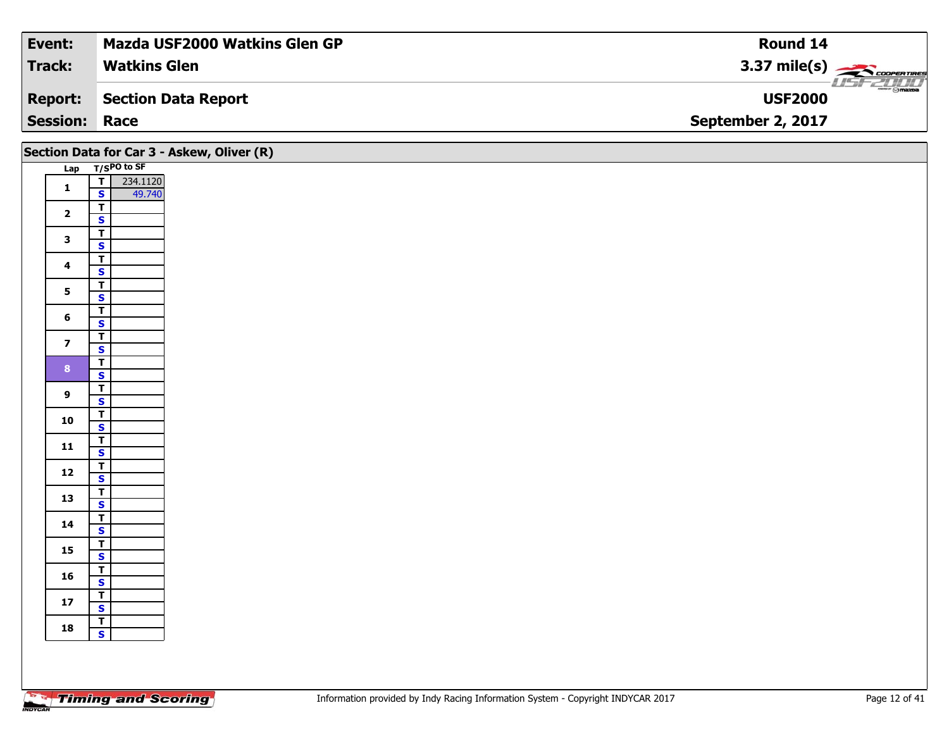| Event:               | <b>Mazda USF2000 Watkins Glen GP</b> | Round 14                              |
|----------------------|--------------------------------------|---------------------------------------|
| Track:               | <b>Watkins Glen</b>                  | 3.37 mile(s) $\leftarrow$ COOPERTINGS |
| <b>Report:</b>       | Section Data Report                  | <b>ment @mazpa</b><br><b>USF2000</b>  |
| <b>Session: Race</b> |                                      | September 2, 2017                     |

| Section Data for Car 3 - Askew, Oliver (R) |                                                    |                    |
|--------------------------------------------|----------------------------------------------------|--------------------|
|                                            | Lap T/SPO to SF                                    |                    |
| $\mathbf 1$                                | $\overline{1}$<br>$\overline{\mathbf{s}}$          | 234.1120<br>49.740 |
|                                            | $\mathbf T$                                        |                    |
| $\overline{2}$                             | $\mathbf{s}$                                       |                    |
| $\mathbf{3}$                               | $\overline{\mathsf{T}}$                            |                    |
|                                            | $\overline{\mathbf{s}}$                            |                    |
| $\overline{\mathbf{4}}$                    | $\overline{\mathbf{r}}$<br>$\mathbf{s}$            |                    |
| $5\phantom{a}$                             | $\overline{1}$                                     |                    |
|                                            | $\overline{\mathbf{s}}$                            |                    |
| $6\phantom{1}$                             | $\mathbf{T}$<br>$\mathbf{s}$                       |                    |
|                                            | $\overline{\mathsf{T}}$                            |                    |
| $\overline{\mathbf{z}}$                    | $\mathbf{s}$                                       |                    |
| 8 <sup>1</sup>                             | $\overline{\mathsf{r}}$                            |                    |
|                                            | $\overline{\mathbf{s}}$<br>$\overline{\mathsf{r}}$ |                    |
| $\boldsymbol{9}$                           | $\mathsf{s}$                                       |                    |
| 10                                         | $rac{1}{s}$                                        |                    |
|                                            |                                                    |                    |
| $11$                                       | $\overline{\mathbf{r}}$<br>$\mathbf{s}$            |                    |
|                                            | $\overline{\mathsf{T}}$                            |                    |
| $12$                                       | $\mathbf{s}$                                       |                    |
| 13                                         | $\overline{\mathbf{T}}$                            |                    |
|                                            | $\overline{\mathbf{s}}$<br>$\overline{\mathsf{T}}$ |                    |
| 14                                         | $\mathsf{s}$                                       |                    |
| 15                                         | $\overline{t}$                                     |                    |
|                                            | $\overline{\mathbf{s}}$                            |                    |
| 16                                         | $\overline{I}$<br>$\mathsf{s}$                     |                    |
|                                            | $rac{1}{s}$                                        |                    |
| $17$                                       |                                                    |                    |
| 18                                         | $\overline{1}$<br>$\mathbf{s}$                     |                    |
|                                            |                                                    |                    |
|                                            |                                                    |                    |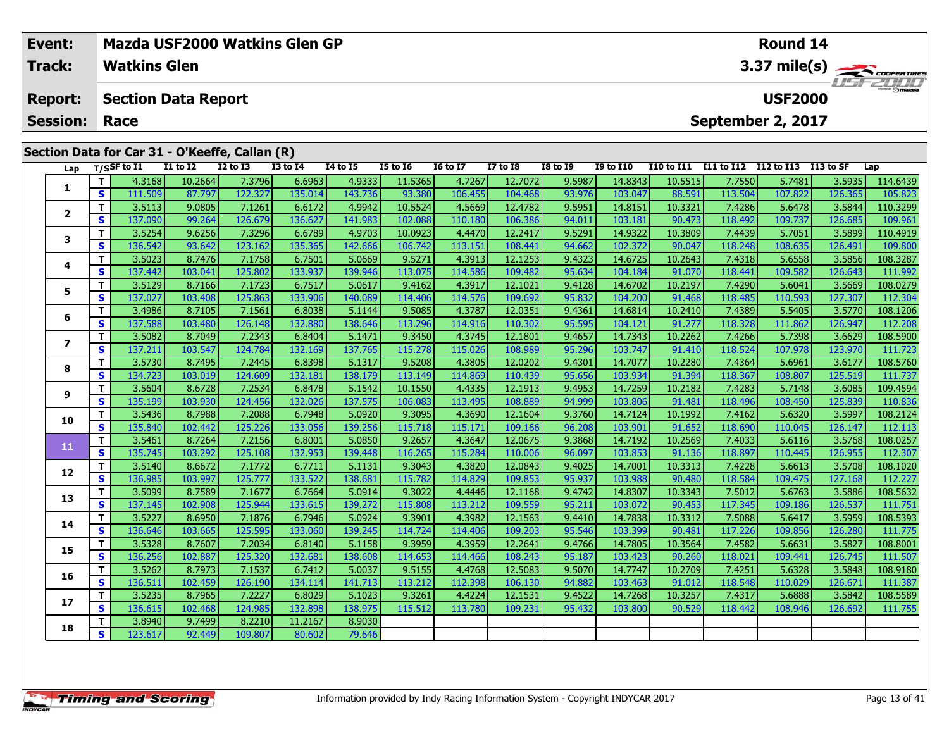| Event:<br>Track: |    | <b>Watkins Glen</b> |                                                |                 | Mazda USF2000 Watkins Glen GP |                 |                 |                 |                 |                   |                  |                   |                   | Round 14       |           | $3.37 \text{ mile(s)}$  |
|------------------|----|---------------------|------------------------------------------------|-----------------|-------------------------------|-----------------|-----------------|-----------------|-----------------|-------------------|------------------|-------------------|-------------------|----------------|-----------|-------------------------|
| <b>Report:</b>   |    |                     | <b>Section Data Report</b>                     |                 |                               |                 |                 |                 |                 |                   |                  |                   |                   | <b>USF2000</b> |           | <i><b>LISE 2000</b></i> |
| <b>Session:</b>  |    | Race                |                                                |                 |                               |                 |                 |                 |                 | September 2, 2017 |                  |                   |                   |                |           |                         |
|                  |    |                     | Section Data for Car 31 - O'Keeffe, Callan (R) |                 |                               |                 |                 |                 |                 |                   |                  |                   |                   |                |           |                         |
| Lap              |    | $T/S$ SF to $I1$    | $I1$ to $I2$                                   | <b>I2 to I3</b> | <b>I3 to I4</b>               | <b>I4 to I5</b> | <b>I5 to 16</b> | <b>16 to 17</b> | <b>I7 to I8</b> | <b>I8 to I9</b>   | <b>I9 to I10</b> | <b>I10 to I11</b> | <b>I11 to I12</b> | I12 to I13     | I13 to SF | Lap                     |
|                  |    | 4.3168              | 10.2664                                        | 7.3796          | 6.6963                        | 4.9333          | 11.5365         | 4.7267          | 12.7072         | 9.5987            | 14.8343          | 10.5515           | 7.7550            | 5.7481         | 3.5935    | 114.6439                |
|                  | S. | 111.509             | 87.797                                         | 122.327         | 135.014                       | 143.736         | 93.380          | 106.455         | 104.468         | 93.976            | 103.047          | 88.591            | 113.504           | 107.822        | 126.365   | 105.823                 |
| $\mathbf{2}$     |    | 3.5113              | 9.0805                                         | 7.1261          | 6.6172                        | 4.9942          | 10.5524         | 4.5669          | 12.4782         | 9.5951            | 14.8151          | 10.3321           | 7.4286            | 5.6478         | 3.5844    | 110.3299                |
|                  | S  | 137.090             | 99.264                                         | 126.679         | 136.627                       | 141.983         | 102.088         | 110.180         | 106.386         | 94.011            | 103.181          | 90.473            | 118.492           | 109.737        | 126.685   | 109.961                 |
|                  |    | 3.5254              | 9.6256                                         | 7.3296          | 6.6789                        | 4.9703          | 10.0923         | 4.4470          | 12.2417         | 9.5291            | 14.9322          | 10.3809           | 7.4439            | 5.7051         | 3.5899    | 110.4919                |
|                  | S  | 136.542             | 93.642                                         | 123.162         | 135.365                       | 142.666         | 106.742         | 113.151         | 108.441         | 94.662            | 102.372          | 90.047            | 118.248           | 108.635        | 126.491   | 109.800                 |
| 4                |    | 3.5023              | 8.7476                                         | 7.1758          | 6.7501                        | 5.0669          | 9.5271          | 4.3913          | 12.1253         | 9.4323            | 14.6725          | 10.2643           | 7.4318            | 5.6558         | 3.5856    | 108.3287                |
|                  | S  | 137.442             | 103.041                                        | 125.802         | 133.937                       | 139.946         | 113.075         | 114.586         | 109.482         | 95.634            | 104.184          | 91.070            | 118.441           | 109.582        | 126.643   | 111.992                 |
|                  |    | 3.5129              | 8.7166                                         | 7.1723          | 6.7517                        | 5.0617          | 9.4162          | 4.3917          | 12.1021         | 9.4128            | 14.6702          | 10.2197           | 7.4290            | 5.6041         | 3.5669    | 108.0279                |
|                  | S  | 137.027             | 103.408                                        | 125.863         | 133.906                       | 140.089         | 114.406         | 114.576         | 109.692         | 95.832            | 104.200          | 91.468            | 118.485           | 110.593        | 127.307   | 112.304                 |
|                  |    | 3.4986              | 8.7105                                         | 7.1561          | 6.8038                        | 5.1144          | 9.5085          | 4.3787          | 12.0351         | 9.4361            | 14.6814          | 10.2410           | 7.4389            | 5.5405         | 3.5770    | 108.1206                |

## **6**6 | T | 3.4986| 8.7105| 7.1561| 6.8038| 5.1144| 9.5085| 4.3787| 12.0351| 9.4361| 14.6814| 10.2410| 7.4389| 5.5405| 3.5770| 108.1206<br>| S | 137.588 103.480 126.148 132.880 138.646 113.296 114.916 110.302 95.595 104.121 91.27 **7**7 | T | 3.5082| 8.7049| 7.2343| 6.8404| 5.1471| 9.3450| 4.3745| 12.1801| 9.4657| 14.7343| 10.2262| 7.4266| 5.7398| 3.6629| 108.5900<br>7 | S | 137.211 103.547| 124.784| 132.169| 137.765| 115.278| 115.026| 108.989| 95.296| 103 111.723 **8**8 T 3.5730 8.7495 7.2445 6.8398 5.1317 9.5208 4.3805 12.0202 9.4301 14.7077 10.2280 7.4364 5.6961 3.6177 108.5760<br>8 S 134.723 103.019 124.609 132.181 138.179 113.149 114.869 110.439 95.656 103.934 91.394 118.367 108.807 12 **9**10.1550 | 11 | 3.5604 | 8.6728 | 7.2534 | 6.8478 | 5.1542 | 10.1550 | 4.4335 | 12.1913 | 9.4953 | 14.7259 | 10.2182 | 7.4283 | 5.7148 | 3.6085 | 109.4594 | 9 | 9 | 9.453 | 9.453 | 9.453<br>S | 135.199 | 103.930 | 124.456 | 1 **10**0 | T | 3.5436| 8.7988| 7.2088| 6.7948| 5.0920| 9.3095| 4.3690| 12.1604| 9.3760| 14.7124| 10.1992| 7.4162| 5.6320| 3.5997| 108.2124<br>| S | 135.840 102.442 125.226 133.056 139.256 115.718 115.171 109.166 96.208 103.901 91.65 **11 <sup>T</sup>** 3.5461 8.7264 7.2156 6.8001 5.0850 9.2657 4.3647 12.0675 9.3868 14.7192 10.2569 7.4033 5.6116 3.5768 108.0257 **<sup>S</sup>** 135.745 103.292 125.108 132.953 139.448 116.265 115.284 110.006 96.097 103.853 91.136 118.897 110.445 126.955 112.307**12 <sup>T</sup>** 3.5140 8.6672 7.1772 6.7711 5.1131 9.3043 4.3820 12.0843 9.4025 14.7001 10.3313 7.4228 5.6613 3.5708 108.1020 **<sup>S</sup>** 136.985 103.997 125.777 133.522 138.681 115.782 114.829 109.853 95.937 103.988 90.480 118.584 109.475 127.168 112.227**13**3 T 3.5099 8.7589 7.1677 6.7664 5.0914 9.3022 4.4446 12.1168 9.4742 14.8307 10.3343 7.5012 5.6763 3.5886 108.5632<br>S 137.145 102.908 125.944 133.615 139.272 115.808 113.212 109.559 95.211 103.072 90.453 117.345 109.186 126. **14**4 T 3.5227| 8.6950| 7.1876| 6.7946| 5.0924| 9.3901| 4.3982| 12.1563| 9.4410| 14.7838| 10.3312| 7.5088| 5.6417| 3.5959| 108.5393<br>- S 136.646| 103.665| 125.595| 133.060| 139.245| 114.724| 114.406| 109.203| 95.546| 103.399| 9 111.775 **15 <sup>T</sup>** 3.5328 8.7607 7.2034 6.8140 5.1158 9.3959 4.3959 12.2641 9.4766 14.7805 10.3564 7.4582 5.6631 3.5827 108.8001 **<sup>S</sup>** 136.256 102.887 125.320 132.681 138.608 114.653 114.466 108.243 95.187 103.423 90.260 118.021 109.441 126.745 111.507**16 <sup>T</sup>** 3.5262 8.7973 7.1537 6.7412 5.0037 9.5155 4.4768 12.5083 9.5070 14.7747 10.2709 7.4251 5.6328 3.5848 108.9180 **<sup>S</sup>** 136.511 102.459 126.190 134.114 141.713 113.212 112.398 106.130 94.882 103.463 91.012 118.548 110.029 126.671 111.387**17**7 | T | 3.5235| 8.7965| 7.2227| 6.8029| 5.1023| 9.3261| 4.4224| 12.1531| 9.4522| 14.7268| 10.3257| 7.4317| 5.6888| 3.5842| 108.5589<br>7 | S | 136.615| 102.468| 124.985| 132.898| 138.975| 115.512| 113.780| 109.231| 95.432| 10 111.755 **18 <sup>T</sup>** 3.8940 9.7499 8.2210 11.2167 8.9030 **<sup>S</sup>** 123.617 92.449 109.807 80.602 79.64679.646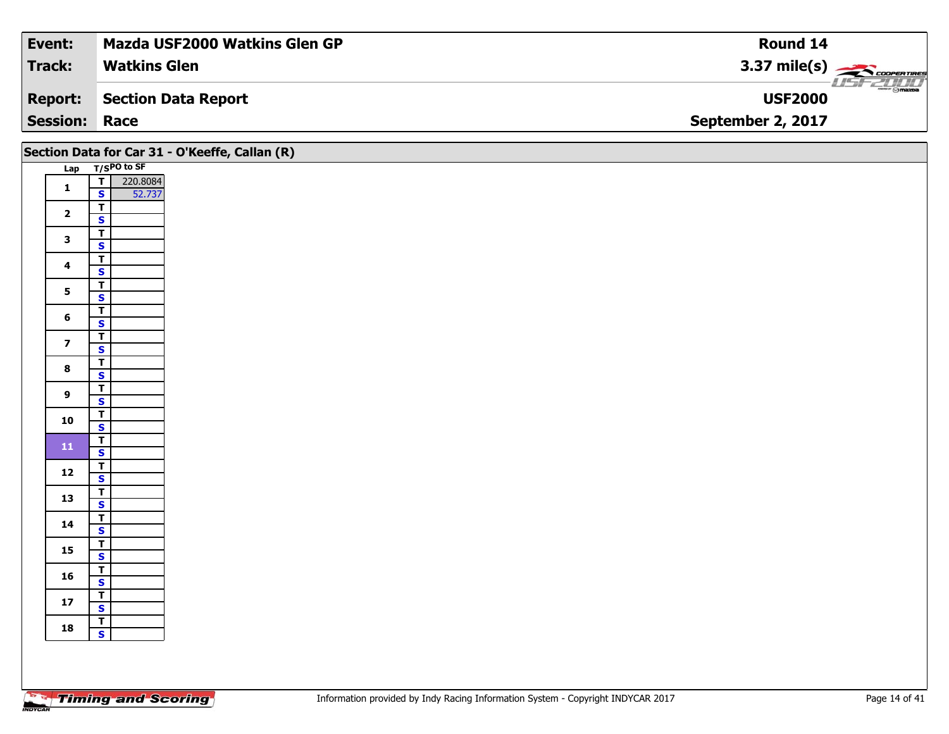| Event:          | <b>Mazda USF2000 Watkins Glen GP</b> | Round 14               |
|-----------------|--------------------------------------|------------------------|
| Track:          | <b>Watkins Glen</b>                  | $3.37 \text{ mile(s)}$ |
| <b>Report:</b>  | Section Data Report                  | <b>USF2000</b>         |
| <b>Session:</b> | Race                                 | September 2, 2017      |

|                         |                                | Section Data for Car 31 - O'Keeffe, Callan (R) |
|-------------------------|--------------------------------|------------------------------------------------|
|                         | Lap T/SPO to SF                |                                                |
| $\mathbf{1}$            | $\overline{r}$<br>220.8084     |                                                |
|                         | 52.737<br>$\mathbf{s}$         |                                                |
| $\overline{\mathbf{2}}$ | $\overline{\mathbf{T}}$        |                                                |
|                         | $\mathbf{s}$                   |                                                |
| $\mathbf{3}$            | $\overline{\mathsf{T}}$        |                                                |
|                         | $\overline{\mathbf{s}}$        |                                                |
| $\overline{\mathbf{4}}$ | $\overline{\mathsf{T}}$        |                                                |
|                         | $\mathbf{s}$                   |                                                |
| $\mathbf{5}$            | $\mathbf{T}$                   |                                                |
|                         | $\overline{\mathbf{s}}$        |                                                |
| 6                       | $\frac{1}{s}$                  |                                                |
|                         |                                |                                                |
| $\overline{\mathbf{z}}$ | $\frac{1}{s}$                  |                                                |
|                         |                                |                                                |
| $\bf8$                  | $\overline{\mathsf{T}}$        |                                                |
|                         | $\overline{\mathbf{s}}$        |                                                |
| $\boldsymbol{9}$        | $\overline{1}$                 |                                                |
|                         | $\mathsf{s}$                   |                                                |
| 10                      | $\frac{T}{S}$                  |                                                |
|                         |                                |                                                |
| ${\bf 11}$              | $\frac{1}{s}$                  |                                                |
|                         |                                |                                                |
| $12$                    | $\overline{\mathsf{T}}$        |                                                |
|                         | $\mathbf{s}$                   |                                                |
| 13                      | $rac{1}{s}$                    |                                                |
|                         |                                |                                                |
| 14                      | $\frac{1}{s}$                  |                                                |
|                         |                                |                                                |
| 15                      | $\frac{1}{s}$                  |                                                |
|                         |                                |                                                |
| 16                      | $\overline{I}$<br>$\mathsf{s}$ |                                                |
|                         |                                |                                                |
| ${\bf 17}$              | $rac{1}{s}$                    |                                                |
|                         |                                |                                                |
| 18                      | $\frac{1}{s}$                  |                                                |
|                         |                                |                                                |
|                         |                                |                                                |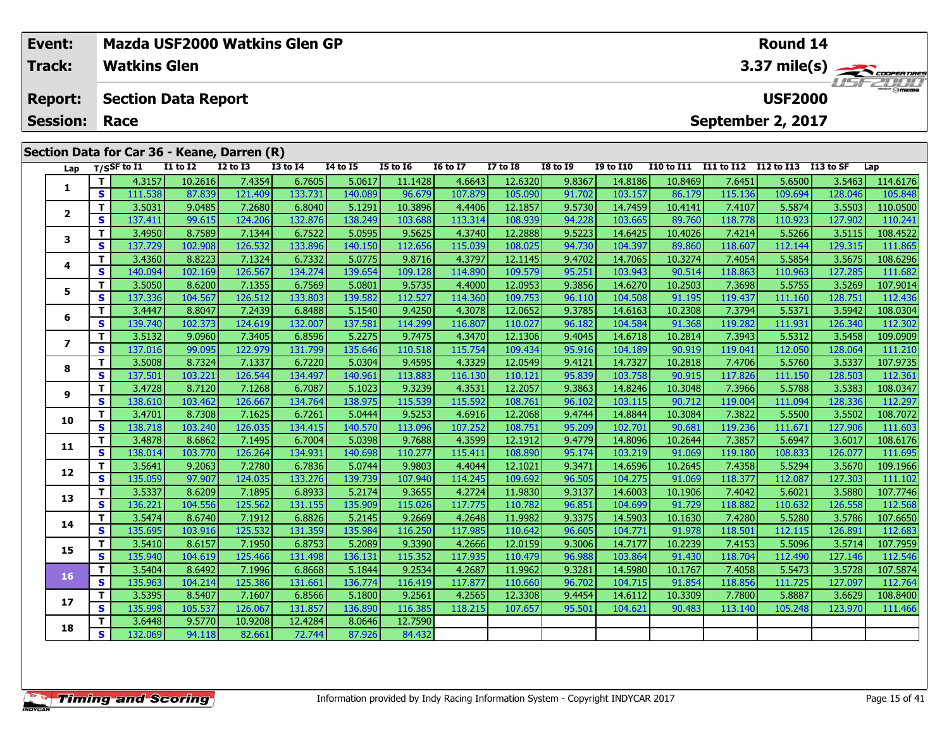| Event:<br><b>Track:</b>           |    | <b>Watkins Glen</b>                                                       | Mazda USF2000 Watkins Glen GP                                  |                   |                   |                   |                   |                   |                    |                  |                    |                   |                   | <b>Round 14</b>   |                   | 3.37 mile(s)        |
|-----------------------------------|----|---------------------------------------------------------------------------|----------------------------------------------------------------|-------------------|-------------------|-------------------|-------------------|-------------------|--------------------|------------------|--------------------|-------------------|-------------------|-------------------|-------------------|---------------------|
| <b>Report:</b><br><b>Session:</b> |    | <b>USF2000</b><br><b>Section Data Report</b><br>September 2, 2017<br>Race |                                                                |                   |                   |                   |                   |                   |                    |                  |                    |                   |                   |                   |                   |                     |
| Lap                               |    | T/SSF to $I1$                                                             | Section Data for Car 36 - Keane, Darren (R)<br><b>I1 to I2</b> | <b>I2 to I3</b>   | <b>I3 to I4</b>   | <b>I4 to I5</b>   | <b>I5 to 16</b>   | <b>16 to 17</b>   | <b>I7 to I8</b>    | <b>I8 to I9</b>  | <b>I9 to I10</b>   | <b>I10 to I11</b> | <b>I11 to I12</b> | I12 to I13        | I13 to SF         | Lap                 |
|                                   |    | 4.3157                                                                    | 10.2616                                                        | 7.4354            | 6.7605            | 5.0617            | 11.1428           | 4.6643            | 12.6320            | 9.8367           | 14.8186            | 10.8469           | 7.6451            | 5.6500            | 3.5463            | 114.6176            |
|                                   | S. | 111.538<br>3.5031                                                         | 87.839<br>9.0485                                               | 121.409<br>7.2680 | 133.731<br>6.8040 | 140.089<br>5.1291 | 96.679<br>10.3896 | 107.879<br>4.4406 | 105.090<br>12.1857 | 91.702<br>9.5730 | 103.157<br>14.7459 | 86.179<br>10.4141 | 115.136<br>7.4107 | 109.694<br>5.5874 | 128.046<br>3.5503 | 105.848<br>110.0500 |
| $\mathbf{2}$                      | S. | 137.411                                                                   | 99.615                                                         | 124.206           | 132.876           | 138.249           | 103.688           | 113.314           | 108.939            | 94.228           | 103.665            | 89.760            | 118.778           | 110.923           | 127.902           | 110.241             |
|                                   |    | 3.4950                                                                    | 8.7589                                                         | 7.1344            | 6.7522            | 5.0595            | 9.5625            | 4.3740            | 12.2888            | 9.5223           | 14.6425            | 10.4026           | 7.4214            | 5.5266            | 3.5115            | 108.4522            |
|                                   | S. | 137.729                                                                   | 102.908                                                        | 126.532           | 133.896           | 140.150           | 112.656           | 115.039           | 108.025            | 94.730           | 104.397            | 89.860            | 118.607           | 112.144           | 129.315           | 111.865             |
|                                   |    | 3.4360                                                                    | 8.8223                                                         | 7.1324            | 6.7332            | 5.0775            | 9.8716            | 4.3797            | 12.1145            | 9.4702           | 14.7065            | 10.3274           | 7.4054            | 5.5854            | 3.5675            | 108.6296            |
|                                   | S. | 140.094                                                                   | 102.169                                                        | 126,567           | 134.274           | 139.654           | 109.128           | 114.890           | 109.579            | 95.251           | 103.943            | 90.514            | 118,863           | 110.963           | 127.285           | 111.682             |

**<sup>T</sup>** 3.5050 8.6200 7.1355 6.7569 5.0801 9.5735 4.4000 12.0953 9.3856 14.6270 10.2503 7.3698 5.5755 3.5269 107.9014 **<sup>S</sup>** 137.336 104.567 126.512 133.803 139.582 112.527 114.360 109.753 96.110 104.508 91.195 119.437 111.160 128.751 112.436

**<sup>T</sup>** 3.4447 8.8047 7.2439 6.8488 5.1540 9.4250 4.3078 12.0652 9.3785 14.6163 10.2308 7.3794 5.5371 3.5942 108.0304 **<sup>S</sup>** 139.740 102.373 124.619 132.007 137.581 114.299 116.807 110.027 96.182 104.584 91.368 119.282 111.931 126.340 112.302

7 | T | 3.5132 | 9.0960 | 7.3405 | 6.8596 | 5.2275 | 9.7475 | 4.3470 | 12.1306 | 9.4045 | 14.6718 | 10.2814 | 7.3943 | 5.5312 | 3.5458 |109.0909<br>7 | S | 137.016 | 99.095 | 122.979 | 131.799 | 135.646 | 110.518 | 115.754 |

8 | T | 3.5008| 8.7324| 7.1337| 6.7220| 5.0304| 9.4595| 4.3329| 12.0549| 9.4121| 14.7327| 10.2818| 7.4706| 5.5760| 3.5337| 107.9735<br>| S | 137.501 103.221 126.544 134.497 140.961 113.883 116.130 110.121 95.839 103.758 90.91

108.0347 | 11 | 3.4728 | 8.7120 | 7.1268 | 6.7087 | 5.1023 | 9.3239 | 4.3531 | 12.2057 | 9.3863 | 14.8246 | 10.3048 | 7.3966 | 5.5788 | 3.5383 | 108.0347 | 9 | 9 | 9 | 9.115 | 9 | 9 | 9<br>[ S | 138.610 | 103.462 | 126.667 |

0 | T | 3.4701| 8.7308| 7.1625| 6.7261| 5.0444| 9.5253| 4.6916| 12.2068| 9.4744| 14.8844| 10.3084| 7.3822| 5.5500| 3.5502| 108.7072<br>| S | 138.718| 103.240| 126.035| 134.415| 140.570| 113.096| 107.252| 108.751| 95.209| 102.

**<sup>T</sup>** 3.4878 8.6862 7.1495 6.7004 5.0398 9.7688 4.3599 12.1912 9.4779 14.8096 10.2644 7.3857 5.6947 3.6017 108.6176 **<sup>S</sup>** 138.014 103.770 126.264 134.931 140.698 110.277 115.411 108.890 95.174 103.219 91.069 119.180 108.833 126.077 111.695

2 T 3.5641 9.2063 7.2780 6.7836 5.0744 9.9803 4.4044 12.1021 9.3471 14.6596 10.2645 7.4358 5.5294 3.5670 109.1966<br>2 S 135.059 97.907 124.035 133.276 139.739 107.940 114.245 109.692 96.505 104.275 91.069 118.377 112.087 127

3 T 3.5337 8.6209 7.1895 6.8933 5.2174 9.3655 4.2724 11.9830 9.3137 14.6003 10.1906 7.4042 5.6021 3.5880 107.7746<br>S 136.221 104.556 125.562 131.155 135.909 115.026 117.775 110.782 96.851 104.699 91.729 118.882 110.632 126.

**<sup>T</sup>** 3.5474 8.6740 7.1912 6.8826 5.2145 9.2669 4.2648 11.9982 9.3375 14.5903 10.1630 7.4280 5.5280 3.5786 107.6650 **<sup>S</sup>** 135.695 103.916 125.532 131.359 135.984 116.250 117.985 110.642 96.605 104.771 91.978 118.501 112.115 126.891 112.683

5 | T | 3.5410| 8.6157| 7.1950| 6.8753| 5.2089| 9.3390| 4.2666| 12.0159| 9.3006| 14.7177| 10.2239| 7.4153| 5.5096| 3.5714| 107.7959<br>| S | 135.940| 104.619| 125.466| 131.498| 136.131| 115.352| 117.935| 110.479| 96.988| 103.

6 | T | 3.5404| 8.6492| 7.1996| 6.8668| 5.1844| 9.2534| 4.2687| 11.9962| 9.3281| 14.5980| 10.1767| 7.4058| 5.5473| 3.5728| 107.5874<br>| S | 135.963| 104.214| 125.386| 131.661| 136.774| 116.419| 117.877| 110.660| 96.702| 104.

7 T 3.5395| 8.5407| 7.1607| 6.8566| 5.1800| 9.2561| 4.2565| 12.3308| 9.4454| 14.6112| 10.3309| 7.7800| 5.8887| 3.6629| 108.8400<br>7 S 135.998| 105.537| 126.067| 131.857| 136.890| 116.385| 118.215| 107.657| 95.501| 104.621| 9

84.432

**<sup>T</sup>** 3.6448 9.5770 10.9208 12.4284 8.0646 12.7590 **<sup>S</sup>** 132.069 94.118 82.661 72.744 87.926 84.432

**5**

**6**

**7**

**8**

**9**

**10**

**11**

**12**

**13**

**14**

**15**

**16**

**17**

**18**

112.683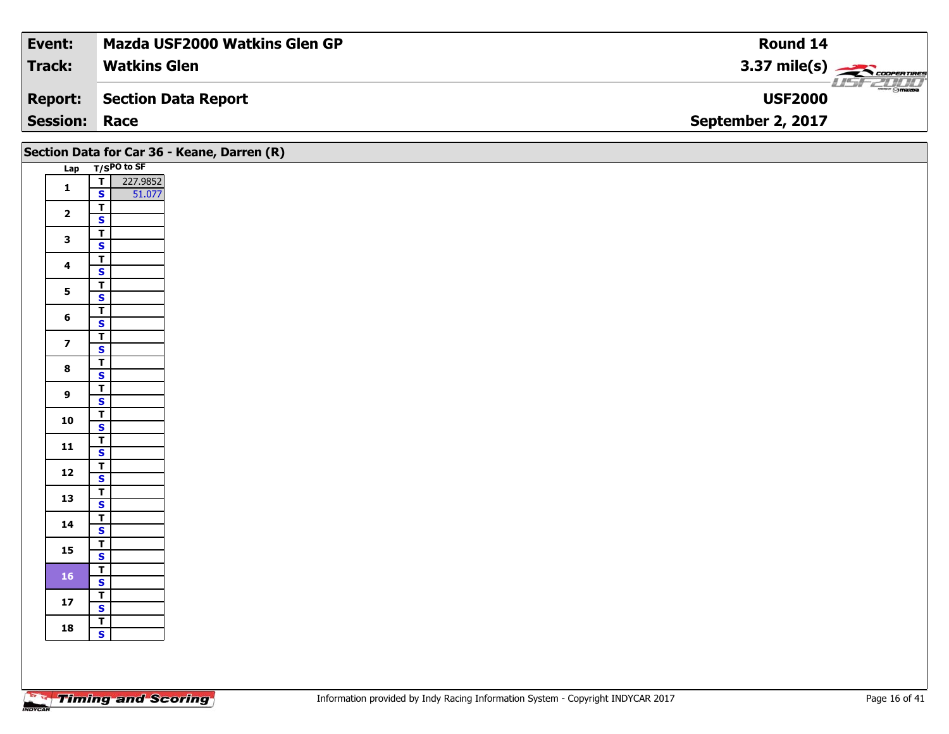| Event:               | <b>Mazda USF2000 Watkins Glen GP</b> | Round 14                                                 |
|----------------------|--------------------------------------|----------------------------------------------------------|
| <b>Track:</b>        | <b>Watkins Glen</b>                  | $3.37 \text{ mile(s)}$                                   |
| <b>Report:</b>       | Section Data Report                  | $\overline{\phantom{m}}$ $\odot$ mazpa<br><b>USF2000</b> |
| <b>Session: Race</b> |                                      | September 2, 2017                                        |

|                         |                                                      | Section Data for Car 36 - Keane, Darren (R) |
|-------------------------|------------------------------------------------------|---------------------------------------------|
|                         | Lap T/SPO to SF                                      |                                             |
| $\mathbf{1}$            | 227.9852<br>51.077<br>$\overline{r}$<br>$\mathbf{s}$ |                                             |
| $\overline{2}$          | $\overline{1}$<br>$\mathbf{s}$                       |                                             |
| $\mathbf{3}$            | $\overline{\mathbf{r}}$<br>$\overline{\mathbf{s}}$   |                                             |
| $\overline{\mathbf{4}}$ | $\overline{\mathbf{r}}$<br>$\mathbf{s}$              |                                             |
| $5\phantom{a}$          | $\overline{\mathsf{T}}$<br>$\overline{\mathbf{s}}$   |                                             |
| $6\phantom{a}$          | $\overline{\mathbf{T}}$                              |                                             |
| $\overline{\mathbf{z}}$ | $\mathbf{s}$<br>$\overline{\mathbf{r}}$              |                                             |
| $\bf{8}$                | $\overline{\mathbf{s}}$<br>$\overline{\mathbf{r}}$   |                                             |
| 9                       | $\overline{\mathbf{s}}$<br>$rac{1}{s}$               |                                             |
| 10                      | $\overline{\mathsf{r}}$                              |                                             |
| 11                      | $\overline{\mathbf{s}}$<br>$\overline{\mathbf{r}}$   |                                             |
|                         | $\mathbf{s}$<br>$\overline{\mathbf{r}}$              |                                             |
| $12$                    | $\mathbf{s}$<br>$\overline{r}$                       |                                             |
| 13                      | $\mathbf{s}$<br>$\overline{\mathbf{r}}$              |                                             |
| 14                      | $\mathbf{s}$<br>$\overline{\mathbf{r}}$              |                                             |
| 15                      | $\overline{\mathbf{s}}$                              |                                             |
| 16                      | $rac{1}{s}$<br>$\overline{r}$                        |                                             |
| $17$                    | $\mathbf{s}$<br>$\overline{1}$                       |                                             |
| 18                      | $\mathbf{s}$                                         |                                             |
|                         |                                                      |                                             |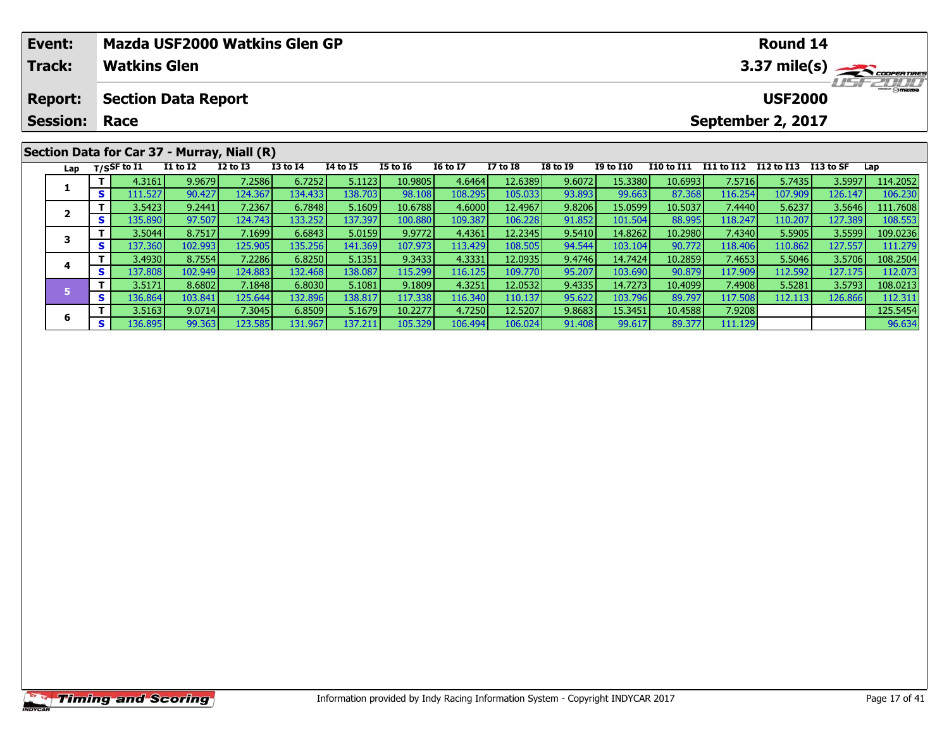| Event:         |     |                                           | Mazda USF2000 Watkins Glen GP               |                 |              |          |                 |                 |                 |                 |                  |                   |            | <b>Round 14</b> |            |          |
|----------------|-----|-------------------------------------------|---------------------------------------------|-----------------|--------------|----------|-----------------|-----------------|-----------------|-----------------|------------------|-------------------|------------|-----------------|------------|----------|
| <b>Track:</b>  |     | <b>Watkins Glen</b>                       |                                             |                 |              |          |                 | 3.37 mile(s)    |                 |                 |                  |                   |            |                 |            |          |
| <b>Report:</b> |     |                                           | <b>Section Data Report</b>                  |                 |              |          | <b>USF2000</b>  |                 |                 |                 |                  |                   |            |                 |            |          |
|                |     | <b>Session: Race</b><br>September 2, 2017 |                                             |                 |              |          |                 |                 |                 |                 |                  |                   |            |                 |            |          |
|                |     |                                           | Section Data for Car 37 - Murray, Niall (R) |                 |              |          |                 |                 |                 |                 |                  |                   |            |                 |            |          |
| Lap            |     | $_{\rm T/SS}$ F to I1                     | <b>I1 to I2</b>                             | <b>I2 to I3</b> | $I3$ to $I4$ | 14 to 15 | <b>I5 to 16</b> | <b>16 to 17</b> | <b>I7 to I8</b> | <b>I8 to I9</b> | <b>I9 to I10</b> | <b>I10 to I11</b> | I11 to I12 | I12 to I13      | I 13 to SF | Lap      |
|                |     | 4.3161                                    | 9.9679                                      | 7.2586          | 6.7252       | 5.1123   | 10.9805         | 4.6464          | 12.6389         | 9.6072          | 15.3380          | 10.6993           | 7.5716     | 5.7435          | 3.5997     | 114.2052 |
|                | S I | 111.527                                   | 90.427                                      | 124.367         | 134.433      | 138.703  | 98.108          | 108.295         | 105.033         | 93.893          | 99.663           | 87.368            | 116.254    | 107.909         | 126.147    | 106.230  |
|                |     | 3.5423                                    | 9.2441                                      | 7.2367          | 6.7848       | 5.1609   | 10.6788         | 4.6000          | 12.4967         | 9.8206          | 15.0599          | 10.5037           | 7.4440     | 5.6237          | 3.5646     | 111.7608 |
| ◢              | s.  | 135.890                                   | 97.507                                      | 124.743         | 133.252      | 137.397  | 100.880         | 109.387         | 106.228         | 91.852          | 101.504          | 88.995            | 118.247    | 110.207         | 127.389    | 108.553  |

3 T 3.5044 8.7517 7.1699 6.6843 5.0159 9.9772 4.4361 12.2345 9.5410 14.8262 10.2980 7.4340 5.5905 3.5599 109.0236<br>S S 137.360 102.993 125.905 135.256 141.369 107.973 113.429 108.505 94.544 103.104 90.772 118.406 110.862 12

4 | T | 3.4930 | 8.7554 7.2286| 6.8250| 5.1351| 9.3433| 4.3331| 12.0935| 9.4746| 14.7424| 10.2859| 7.4653| 5.5046| 3.5706| 108.2504<br>- S | 137.808 102.949 124.883 132.468 138.087 115.299 116.125 109.770 95.207 103.690 90.87

5 11 3.5171| 8.6802| 7.1848| 6.8030| 5.1081| 9.1809| 4.3251| 12.0532| 9.4335| 14.7273| 10.4099| 7.4908| 5.5281| 3.5793| 108.0213<br>- S 136.864| 103.841| 125.644| 132.896| 138.817| 117.338| 116.340| 110.137| 95.622| 103.796|

**<sup>T</sup>** 3.5163 9.0714 7.3045 6.8509 5.1679 10.2277 4.7250 12.5207 9.8683 15.3451 10.4588 7.9208 125.5454 **<sup>S</sup>** 136.895 99.363 123.585 131.967 137.211 105.329 106.494 106.024 91.408 99.617 89.377 111.129 96.634

## **Timing and Scoring**

**3**

**4**

**5**

**6**

108.553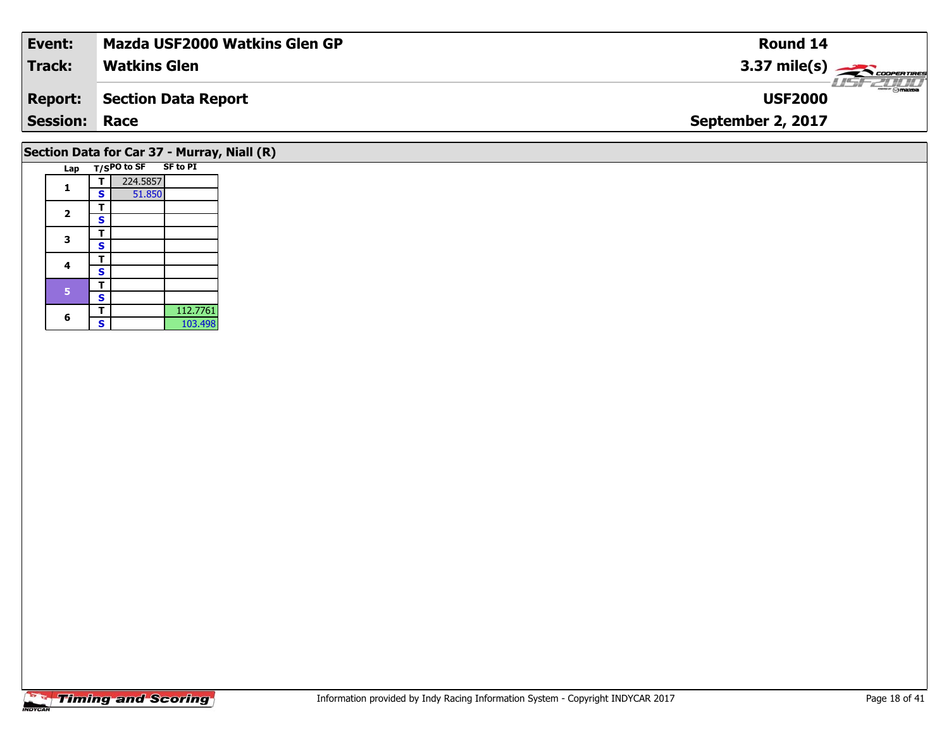| Event:               | <b>Mazda USF2000 Watkins Glen GP</b>        | <b>Round 14</b>        |  |  |  |  |  |  |  |  |  |
|----------------------|---------------------------------------------|------------------------|--|--|--|--|--|--|--|--|--|
| <b>Track:</b>        | <b>Watkins Glen</b>                         | $3.37 \text{ mile(s)}$ |  |  |  |  |  |  |  |  |  |
| <b>Report:</b>       | <b>Section Data Report</b>                  | <b>USF2000</b>         |  |  |  |  |  |  |  |  |  |
| <b>Session: Race</b> |                                             | September 2, 2017      |  |  |  |  |  |  |  |  |  |
|                      | Section Data for Car 37 - Murray, Niall (R) |                        |  |  |  |  |  |  |  |  |  |

| Lap            |   | T/SPO to SF SF to PI |          |
|----------------|---|----------------------|----------|
|                | т | 224.5857             |          |
| 1              | S | 51.850               |          |
| $\overline{2}$ | т |                      |          |
|                | S |                      |          |
| 3              | т |                      |          |
|                | S |                      |          |
| 4              | т |                      |          |
|                | S |                      |          |
| 5              | т |                      |          |
|                | S |                      |          |
| 6              | т |                      | 112.7761 |
|                |   |                      | 103.498  |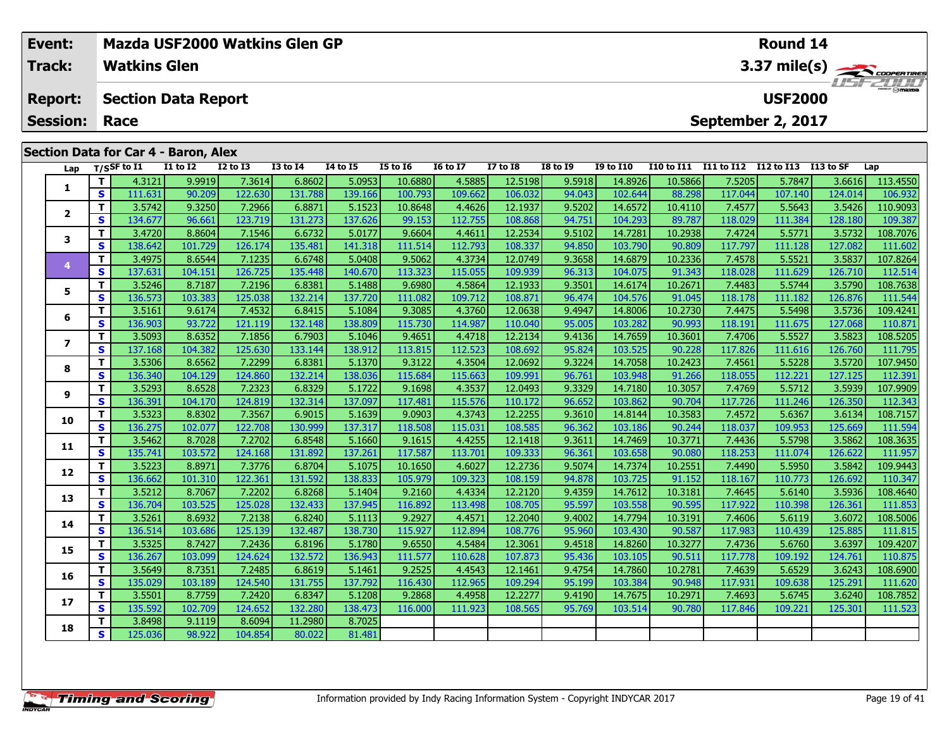|                 | Event:         |    |                            |                                             | Mazda USF2000 Watkins Glen GP |                 |                  |                 |                 |          |                 |                |            |                                     | <b>Round 14</b>      |         |          |  |  |  |
|-----------------|----------------|----|----------------------------|---------------------------------------------|-------------------------------|-----------------|------------------|-----------------|-----------------|----------|-----------------|----------------|------------|-------------------------------------|----------------------|---------|----------|--|--|--|
| <b>Track:</b>   |                |    | <b>Watkins Glen</b>        |                                             |                               |                 |                  |                 |                 |          |                 |                |            | $3.37 \text{ mile(s)}$<br>LISF 2000 |                      |         |          |  |  |  |
|                 | <b>Report:</b> |    | <b>Section Data Report</b> |                                             |                               |                 |                  |                 |                 |          |                 | <b>USF2000</b> |            |                                     |                      |         |          |  |  |  |
| <b>Session:</b> |                |    | Race                       |                                             |                               |                 |                  |                 |                 |          |                 |                |            |                                     | September 2, 2017    |         |          |  |  |  |
|                 |                |    |                            | <b>Section Data for Car 4 - Baron, Alex</b> |                               |                 |                  |                 |                 |          |                 |                |            |                                     |                      |         |          |  |  |  |
|                 | Lap            |    | T/SSF to I1                | <b>I1 to I2</b>                             | <b>I2 to I3</b>               | <b>I3 to I4</b> | 14 to 15         | <b>I5 to 16</b> | <b>I6 to I7</b> | I7 to I8 | <b>I8 to I9</b> | I9 to I10      | I10 to I11 | I11 to I12                          | I12 to I13 I13 to SF |         | Lap      |  |  |  |
|                 |                |    | 4.3121                     | 9.9919                                      | 7.3614                        | 6.8602          | 5.0953           | 10.6880         | 4.5885          | 12.5198  | 9.5918          | 14.8926        | 10.5866    | 7.5205                              | 5.7847               | 3.6616  | 113.4550 |  |  |  |
|                 |                | S. | 111.631                    | 90.209                                      | 122.630                       | 131.788         | 139.166 <b>I</b> | 100.793         | 109.662         | 106.032  | 94.043          | 102.644        | 88.298     | 117.044                             | 107.140              | 124.014 | 106.932  |  |  |  |

2 | T | 3.5742| 9.3250| 7.2966| 6.8871| 5.1523| 10.8648| 4.4626| 12.1937| 9.5202| 14.6572| 10.4110| 7.4577| 5.5643| 3.5426| 110.9093<br>2 | S | 134.677| 96.661| 123.719| 131.273| 137.626| 99.153| 112.755| 108.868| 94.751| 104

**<sup>T</sup>** 3.4720 8.8604 7.1546 6.6732 5.0177 9.6604 4.4611 12.2534 9.5102 14.7281 10.2938 7.4724 5.5771 3.5732 108.7076 **<sup>S</sup>** 138.642 101.729 126.174 135.481 141.318 111.514 112.793 108.337 94.850 103.790 90.809 117.797 111.128 127.082 111.602

4 T 3.4975| 8.6544| 7.1235| 6.6748| 5.0408| 9.5062| 4.3734| 12.0749| 9.3658| 14.6879| 10.2336| 7.4578| 5.5521| 3.5837| 107.8264<br>- S 137.631 104.151 126.725 135.448 140.670 113.323 115.055 109.939 96.313 104.075 91.343 118.

5 | T | 3.5246| 8.7187| 7.2196| 6.8381| 5.1488| 9.6980| 4.5864| 12.1933| 9.3501| 14.6174| 10.2671| 7.4483| 5.5744| 3.5790| 108.7638<br>| S | 136.573| 103.383| 125.038| 132.214| 137.720| 111.082| 109.712| 108.871| 96.474| 104.

**<sup>T</sup>** 3.5161 9.6174 7.4532 6.8415 5.1084 9.3085 4.3760 12.0638 9.4947 14.8006 10.2730 7.4475 5.5498 3.5736 109.4241 **<sup>S</sup>** 136.903 93.722 121.119 132.148 138.809 115.730 114.987 110.040 95.005 103.282 90.993 118.191 111.675 127.068 110.871

7 | T | 3.5093 | 8.6352 | 7.1856 | 6.7903 | 5.1046 | 9.4651 | 4.4718 | 12.2134 | 9.4136 | 14.7659 | 10.3601 | 7.4706 | 5.5527 | 3.5823 | 108.5205<br>7 | S | 137.168 | 104.382 | 125.630 | 133.144 | 138.912 | 113.815 | 112.523

8 | T | 3.5306| 8.6562| 7.2299| 6.8381| 5.1370| 9.3122| 4.3504| 12.0692| 9.3224| 14.7058| 10.2423| 7.4561| 5.5228| 3.5720| 107.9450<br>| S | 136.340| 104.129| 124.860| 132.214| 138.036| 115.684| 115.663| 109.991| 96.761| 103.

107.9909 111.246 135.5712 1.55712 1.6989 1.722 1.6981 1.727 12.0493 1.7289 1.7289 1.7289 1.7289 1.55712 1.557<br>S 136.391 104.170 124.819 132.314 137.097 117.481 115.576 110.172 96.652 103.862 90.704 117.726 111.246 126.350

0 | T | 3.5323| 8.8302| 7.3567| 6.9015| 5.1639| 9.0903| 4.3743| 12.2255| 9.3610| 14.8144| 10.3583| 7.4572| 5.6367| 3.6134| 108.7157<br>| S | 136.275| 102.077| 122.708| 130.999| 137.317| 118.508| 115.031| 108.585| 96.362| 103.

**<sup>T</sup>** 3.5462 8.7028 7.2702 6.8548 5.1660 9.1615 4.4255 12.1418 9.3611 14.7469 10.3771 7.4436 5.5798 3.5862 108.3635 **<sup>S</sup>** 135.741 103.572 124.168 131.892 137.261 117.587 113.701 109.333 96.361 103.658 90.080 118.253 111.074 126.622 111.957

2 T 3.52231 8.89711 7.37761 6.87041 5.10751 10.16501 4.60271 12.27361 9.50741 14.73741 10.25511 7.44901 5.59501 3.58421 109.9443<br>2 S 136.6621 101.3101 122.3611 131.5921 138.8331 105.9791 109.3231 108.1591 94.8781 103.7251

3 T 3.5212 8.7067 7.2202 6.8268 5.1404 9.2160 4.4334 12.2120 9.4359 14.7612 10.3181 7.4645 5.6140 3.5936 108.4640<br>S 136.704 103.525 125.028 132.433 137.945 116.892 113.498 108.705 95.597 103.558 90.595 117.922 110.398 126.

4 T 3.5261 8.6932 7.2138 6.8240 5.1113 9.2927 4.4571 12.2040 9.4002 14.7794 10.3191 7.4606 5.6119 3.6072 108.5006<br>S 136.514 103.686 125.139 132.487 138.730 115.927 112.894 108.776 95.960 103.430 90.587 117.983 110.439 125.

**<sup>T</sup>** 3.5325 8.7427 7.2436 6.8196 5.1780 9.6550 4.5484 12.3061 9.4518 14.8260 10.3277 7.4736 5.6760 3.6397 109.4207 **<sup>S</sup>** 136.267 103.099 124.624 132.572 136.943 111.577 110.628 107.873 95.436 103.105 90.511 117.778 109.192 124.761 110.875

6 | T | 3.5649 8.7351 7.2485 6.8619 5.1461 9.2525 4.4543 12.1461 9.4754 14.7860 10.2781 7.4639 5.6529 3.6243 108.6900<br>--------------------------------

7 T 3.5501 8.7759 7.2420 6.8347 5.1208 9.2868 4.4958 12.2277 9.4190 14.7675 10.2971 7.4693 5.6745 3.6240 108.7852<br>7 S 135.592 102.709 124.652 132.280 138.473 116.000 111.923 108.565 95.769 103.514 90.780 117.846 109.221 12

**<sup>T</sup>** 3.8498 9.1119 8.6094 11.2980 8.7025 **<sup>S</sup>** 125.036 98.922 104.854 80.022 81.481

**2**

**3**

**4**

**5**

**6**

**7**

**8**

**9**

**10**

**11**

**12**

**13**

**14**

**15**

**16**

**17**

**18**

111.815

111.523

109.387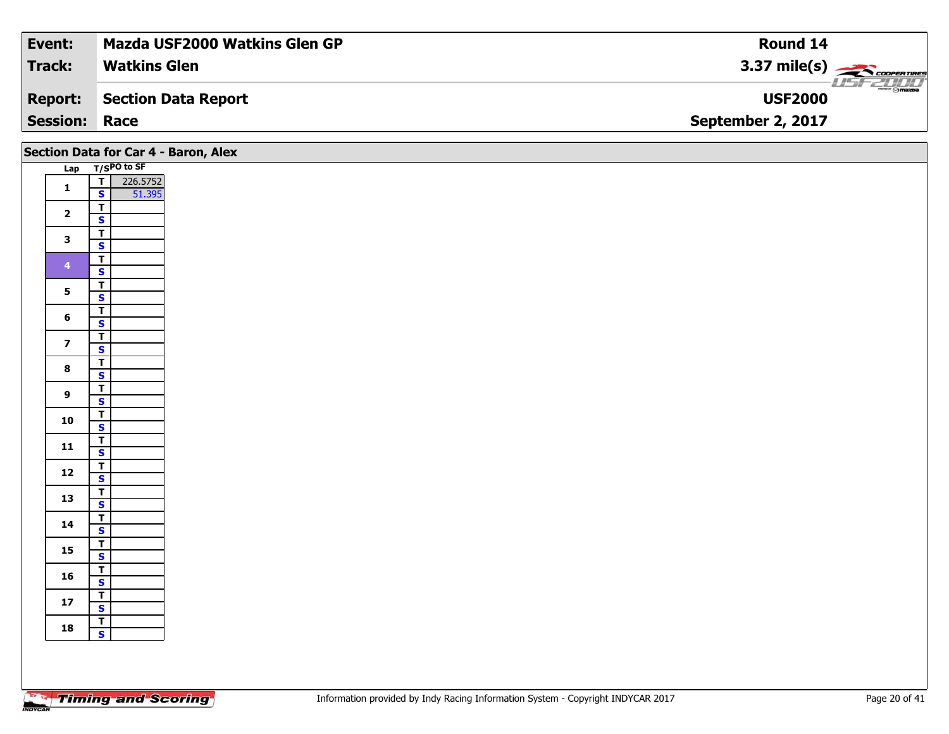| <b>Event:</b>        | <b>Mazda USF2000 Watkins Glen GP</b> | Round 14                                  |
|----------------------|--------------------------------------|-------------------------------------------|
| Track:               | <b>Watkins Glen</b>                  | $3.37 \text{ mile(s)}$                    |
| <b>Report:</b>       | Section Data Report                  | $\frac{1}{\odot}$ mazpa<br><b>USF2000</b> |
| <b>Session: Race</b> |                                      | September 2, 2017                         |

|                         | Section Data for Car 4 - Baron, Alex                          |
|-------------------------|---------------------------------------------------------------|
|                         | Lap T/SPO to SF                                               |
| $\mathbf{1}$            | 226.5752<br>$\overline{\mathbf{T}}$<br>$\mathbf{s}$<br>51.395 |
| $\overline{2}$          | $\overline{\mathbf{r}}$<br>$\mathbf{s}$                       |
| $\mathbf{3}$            | $\overline{\mathsf{r}}$<br>$\mathbf{s}$                       |
| $\overline{\mathbf{4}}$ | $\overline{\mathbf{r}}$<br>$\mathsf{s}$                       |
| $5\phantom{a}$          | $\overline{\mathbf{r}}$                                       |
| $6\phantom{1}$          | $\overline{\mathbf{s}}$<br>$\overline{\mathsf{r}}$            |
|                         | $\mathbf{s}$<br>$\overline{\mathbf{r}}$                       |
| $\overline{\mathbf{z}}$ | $\overline{\mathbf{s}}$<br>$\overline{\mathsf{r}}$            |
| $\bf{8}$                | $\overline{\mathbf{s}}$<br>$\overline{\mathsf{T}}$            |
| $\overline{9}$          | $\mathbf{s}$                                                  |
| 10                      | $rac{T}{S}$                                                   |
| 11                      | $\overline{\mathbf{r}}$<br>$\mathbf{s}$                       |
| $12$                    | $\overline{\mathsf{T}}$<br>$\mathbf{s}$                       |
| 13                      | $\overline{\mathsf{r}}$<br>$\mathbf{s}$                       |
| 14                      | $\overline{\mathsf{r}}$<br>$\mathbf{s}$                       |
| 15                      | $\overline{\mathsf{T}}$<br>$\overline{\mathbf{s}}$            |
| 16                      | $\overline{\mathsf{r}}$                                       |
| $17$                    | $\mathbf{s}$<br>$\overline{\mathbf{r}}$                       |
| 18                      | $\overline{\mathbf{s}}$<br>$\overline{\mathsf{T}}$            |
|                         | $\mathbf{s}$                                                  |
|                         |                                                               |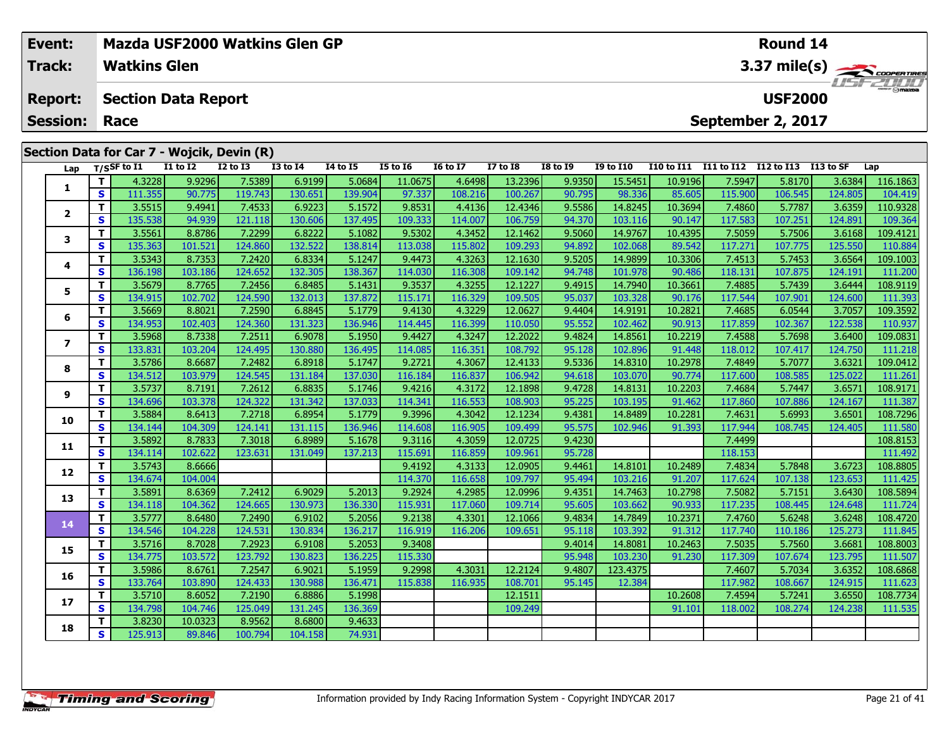|                                              | Event:<br><b>Track:</b>                      |          | <b>Watkins Glen</b> |              | Mazda USF2000 Watkins Glen GP              |                  |                 |                 |                 |                 |                 |                  |                   |            | Round 14       |                  | 3.37 mile(s) |
|----------------------------------------------|----------------------------------------------|----------|---------------------|--------------|--------------------------------------------|------------------|-----------------|-----------------|-----------------|-----------------|-----------------|------------------|-------------------|------------|----------------|------------------|--------------|
| <b>Section Data Report</b><br><b>Report:</b> |                                              |          |                     |              |                                            |                  |                 |                 |                 |                 |                 |                  |                   |            | <b>USF2000</b> |                  | TETZULI      |
|                                              | September 2, 2017<br><b>Session:</b><br>Race |          |                     |              |                                            |                  |                 |                 |                 |                 |                 |                  |                   |            |                |                  |              |
|                                              |                                              |          |                     |              | Section Data for Car 7 - Wojcik, Devin (R) |                  |                 |                 |                 |                 |                 |                  |                   |            |                |                  |              |
|                                              |                                              |          | Lap T/SSF to I1     | $I1$ to $I2$ | $I2$ to $I3$                               | <b>I3 to I4</b>  | <b>I4 to I5</b> | <b>I5 to 16</b> | <b>16 to 17</b> | <b>I7 to I8</b> | <b>I8 to I9</b> | <b>I9 to I10</b> | <b>I10 to I11</b> | I11 to I12 | I12 to I13     | I13 to SF        | Lap          |
|                                              |                                              |          | 4.3228              | 9.9296       | 7.5389                                     | 6.9199           | 5.0684          | 11.0675         | 4.6498          | 13.2396         | 9.9350          | 15.5451          | 10.9196           | 7.5947     | 5.8170         | 3.6384           | 116.1863     |
|                                              |                                              | <b>S</b> | 111.355             | 90.775       | 119.743                                    | 130.651          | 139.904         | 97.337          | 108.216         | 100.267         | 90.795          | 98.336           | 85.605            | 115.900    | 106.545        | 124.805          | 104.419      |
|                                              | $\overline{2}$                               |          | 3.5515              | 9.4941       | 7.4533                                     | 6.9223           | 5.1572          | 9.8531          | 4.4136          | 12.4346         | 9.5586          | 14.8245          | 10.3694           | 7.4860     | 5.7787         | 3.6359           | 110.9328     |
|                                              |                                              | S.       | 135.538             | 94.939       | 121.118                                    | 130.606          | 137.495         | 109.333         | 114.007         | 106.759         | 94.370          | 103.116          | 90.147            | 117.583    | 107.251        | 124.891          | 109.364      |
|                                              | 3                                            |          | 3.5561              | 8.8786       | 7.2299                                     | 6.8222           | 5.1082          | 9.5302          | 4.3452          | 12.1462         | 9.5060          | 14.9767          | 10.4395           | 7.5059     | 5.7506         | 3.6168           | 109.4121     |
|                                              |                                              | S.       | 135.363             | 101.521      | 124.860                                    | 132.522          | 138.814         | 113.038         | 115.802         | 109.293         | 94.892          | 102.068          | 89.542            | 117.271    | 107.775        | 125.550          | 110.884      |
|                                              | 4                                            |          | 3.5343              | 8.7353       | 7.2420                                     | 6.8334           | 5.1247          | 9.4473          | 4.3263          | 12.1630         | 9.5205          | 14.9899          | 10.3306           | 7.4513     | 5.7453         | 3.6564           | 109.1003     |
|                                              |                                              | S l      | 136.198             | 103.186      | 124.652                                    | 132.305          | 138.367         | 114.030         | 116.308         | 109.142         | 94.748          | 101.978          | 90.486            | 118.131    | 107.875        | 124.191          | 111.200      |
|                                              | 5                                            |          | 3.5679              | 8.7765       | 7.2456                                     | 6.8485           | 5.1431          | 9.3537          | 4.3255          | 12.1227         | 9.4915          | 14.7940          | 10.3661           | 7.4885     | 5.7439         | 3.6444           | 108.9119     |
|                                              |                                              | S.       | 134.915             | 102.702      | 124.590                                    | 132.013          | 137.872         | 115.171         | 116.329         | 109.505         | 95.037          | 103.328          | 90.176            | 117.544    | 107.901        | 124.600          | 111.393      |
|                                              | 6                                            |          | 3.5669              | 8.8021       | 7.2590                                     | 6.8845           | 5.1779          | 9.4130          | 4.3229          | 12.0627         | 9.4404          | 14.9191          | 10.2821           | 7.4685     | 6.0544         | 3.7057           | 109.3592     |
|                                              |                                              | S l      | 134.9531            | 102.403      | 124.360 <b>l</b>                           | 131.323 <b>I</b> | 136.946 l       | 114.445         | 116.399         | 110.050         | 95.552          | 102.462          | 90.913            | 117.859    | 102.367        | 122.538 <b>l</b> | 110.937      |

7 | T | 3.5968| 8.7338| 7.2511| 6.9078| 5.1950| 9.4427| 4.3247| 12.2022| 9.4824| 14.8561| 10.2219| 7.4588| 5.7698| 3.6400| 109.0831<br>7 | S | 133.831 103.204 124.495 130.880 136.495 114.085 116.351 108.792 95.128 102.896 91.

**<sup>T</sup>** 3.5786 8.6687 7.2482 6.8918 5.1747 9.2721 4.3067 12.4133 9.5336 14.8310 10.2978 7.4849 5.7077 3.6321 109.0412 **<sup>S</sup>** 134.512 103.979 124.545 131.184 137.030 116.184 116.837 106.942 94.618 103.070 90.774 117.600 108.585 125.022 111.261

108.9171 108.9171 108.9171 1.2612 12.1342 1.1746 1.1726 1.1898 1.1898 1.1898 1.18131 10.2203 7.4684 5.7447 3.6571 108.9171 108.9171 1.<br>S 134.696 103.378 124.322 131.342 137.033 114.341 116.553 108.903 95.225 103.195 91.46

0 | T | 3.5884| 8.6413| 7.2718| 6.8954| 5.1779| 9.3996| 4.3042| 12.1234| 9.4381| 14.8489| 10.2281| 7.4631| 5.6993| 3.6501| 108.7296<br>| S | 134.144| 104.309| 124.141| 131.115| 136.946| 114.608| 116.905| 109.499| 95.575| 102.

**<sup>T</sup>** 3.5892 8.7833 7.3018 6.8989 5.1678 9.3116 4.3059 12.0725 9.4230 7.4499 108.8153 **<sup>S</sup>** 134.114 102.622 123.631 131.049 137.213 115.691 116.859 109.961 95.728 118.153 111.492

**<sup>T</sup>** 3.5743 8.6666 9.4192 4.3133 12.0905 9.4461 14.8101 10.2489 7.4834 5.7848 3.6723 108.8805 **<sup>S</sup>** 134.674 104.004 114.370 116.658 109.797 95.494 103.216 91.207 117.624 107.138 123.653 111.425

3 T 3.5891 8.6369 7.2412 6.9029 5.2013 9.2924 4.2985 12.0996 9.4351 14.7463 10.2798 7.5082 5.7151 3.6430 108.5894<br>S 134.118 104.362 124.665 130.973 136.330 115.931 117.060 109.714 95.605 103.662 90.933 117.235 108.445 124.

**<sup>T</sup>** 3.5777 8.6480 7.2490 6.9102 5.2056 9.2138 4.3301 12.1066 9.4834 14.7849 10.2371 7.4760 5.6248 3.6248 108.4720 **<sup>S</sup>** 134.546 104.228 124.531 130.834 136.217 116.919 116.206 109.651 95.118 103.392 91.312 117.740 110.186 125.273 111.845

**<sup>T</sup>** 3.5716 8.7028 7.2923 6.9108 5.2053 9.3408 9.4014 14.8081 10.2463 7.5035 5.7560 3.6681 108.8003 **<sup>S</sup>** 134.775 103.572 123.792 130.823 136.225 115.330 95.948 103.230 91.230 117.309 107.674 123.795 111.507

6 | T | 3.5986 | 8.6761 | 7.2547 | 6.9021 | 5.1959 | 9.2998 | 4.3031 | 12.2124 | 9.4807 | 123.4375 | 7.4607 | 5.7034 | 3.6352 | 108.6868 | 12.

**<sup>T</sup>** 3.5710 8.6052 7.2190 6.8886 5.1998 12.1511 10.2608 7.4594 5.7241 3.6550 108.7734 **<sup>S</sup>** 134.798 104.746 125.049 131.245 136.369 109.249 91.101 118.002 108.274 124.238 111.535

74.931

**<sup>T</sup>** 3.8230 10.0323 8.9562 8.6800 9.4633 **<sup>S</sup>** 125.913 89.846 100.794 104.158 74.931

**7**

**8**

**9**

**10**

**11**

**12**

**13**

**14**

**15**

**16**

**17**

**18**

111.845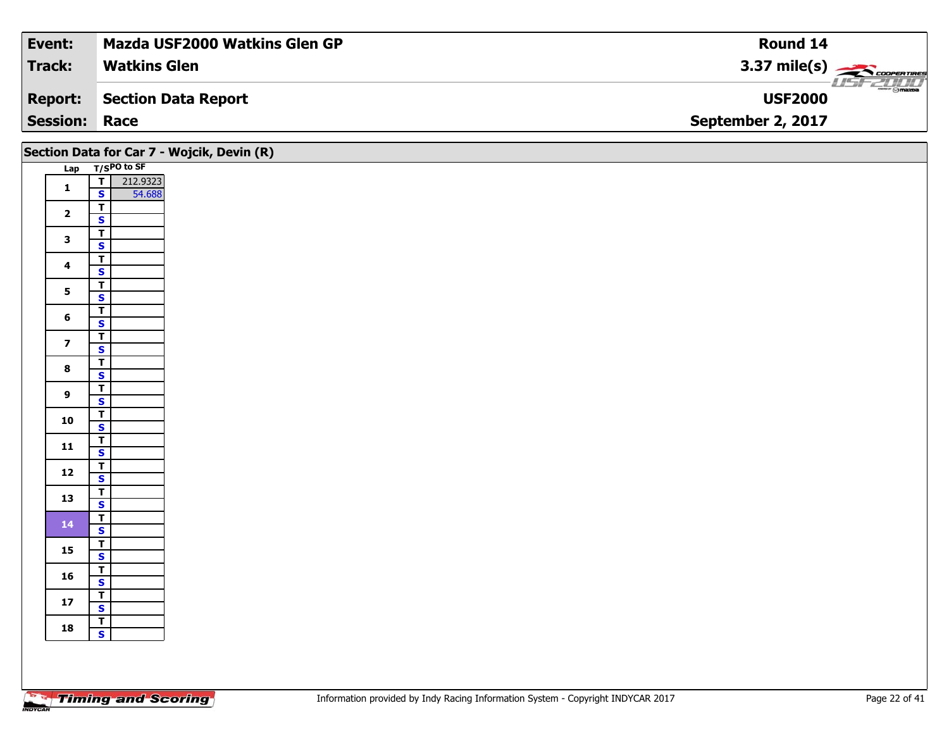| <b>Event:</b>   | <b>Mazda USF2000 Watkins Glen GP</b> | Round 14                             |
|-----------------|--------------------------------------|--------------------------------------|
| <b>Track:</b>   | <b>Watkins Glen</b>                  | 3.37 mile(s) $\leftarrow$            |
| <b>Report:</b>  | Section Data Report                  | <b>ment @mazpa</b><br><b>USF2000</b> |
| <b>Session:</b> | Race                                 | September 2, 2017                    |

|                         |                                                                 | Section Data for Car 7 - Wojcik, Devin (R) |
|-------------------------|-----------------------------------------------------------------|--------------------------------------------|
|                         | Lap T/SPO to SF                                                 |                                            |
| $\mathbf{1}$            | $\overline{I}$<br>212.9323<br>$\overline{\mathbf{s}}$<br>54.688 |                                            |
| $\overline{\mathbf{2}}$ | $\overline{\mathbf{T}}$<br>$\overline{\mathbf{s}}$              |                                            |
| $\mathbf{3}$            | $\frac{1}{s}$                                                   |                                            |
| $\overline{\mathbf{4}}$ | $\frac{T}{S}$                                                   |                                            |
| $5\phantom{a}$          | $\overline{\mathbf{r}}$<br>$\overline{\mathbf{s}}$              |                                            |
| $\bf 6$                 | $\overline{\mathbf{T}}$<br>$\mathbf{s}$                         |                                            |
| $\overline{\mathbf{z}}$ | $\overline{\mathbf{T}}$<br>$\mathbf{s}$                         |                                            |
| $\bf{8}$                | $\frac{1}{s}$                                                   |                                            |
| $\boldsymbol{9}$        | $\overline{\mathbf{T}}$<br>$\mathsf{s}$                         |                                            |
| 10                      | $rac{1}{s}$                                                     |                                            |
| 11                      | $\frac{1}{s}$                                                   |                                            |
| $12$                    | $\overline{\mathbf{r}}$<br>$\mathbf{s}$                         |                                            |
| 13                      | $\overline{\mathsf{r}}$<br>$\overline{\mathbf{s}}$              |                                            |
| 14                      | $\frac{T}{S}$                                                   |                                            |
| 15                      | $\overline{\mathbf{r}}$<br>$\overline{\mathbf{s}}$              |                                            |
| 16                      | $\overline{\mathbf{T}}$<br>$\mathsf{s}$                         |                                            |
| $17$                    | $\mathbf{T}$<br>$\mathbf{s}$                                    |                                            |
| 18                      | $rac{1}{s}$                                                     |                                            |
|                         |                                                                 |                                            |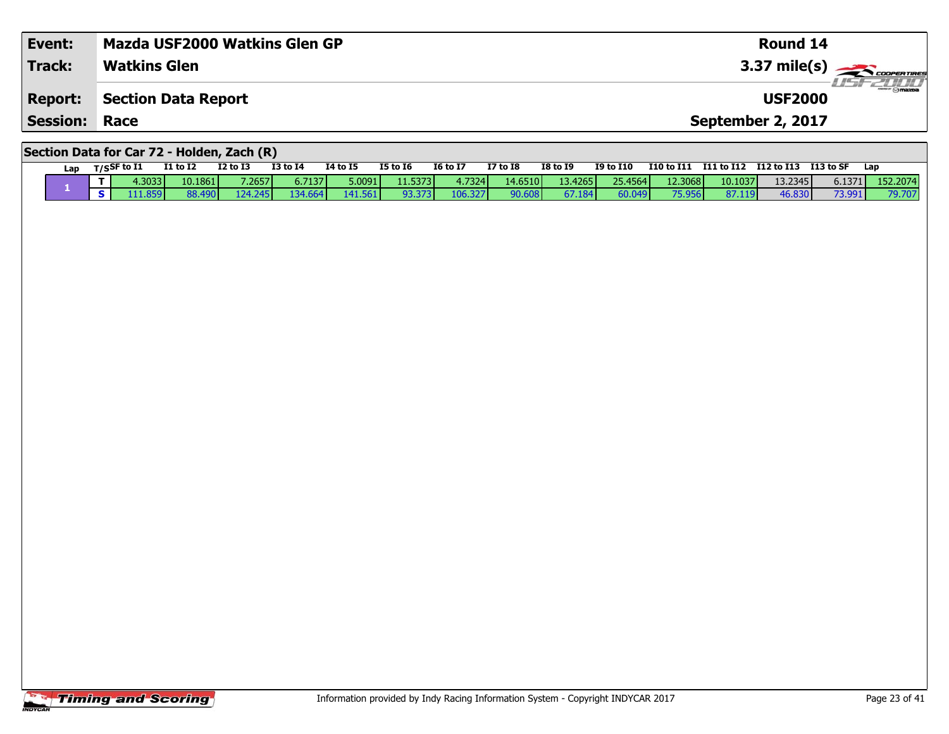| Event:                                     | Mazda USF2000 Watkins Glen GP | Round 14               |  |  |  |  |  |  |  |  |
|--------------------------------------------|-------------------------------|------------------------|--|--|--|--|--|--|--|--|
| <b>Track:</b>                              | <b>Watkins Glen</b>           | $3.37 \text{ mile(s)}$ |  |  |  |  |  |  |  |  |
| <b>Report:</b>                             | Section Data Report           | <b>USF2000</b>         |  |  |  |  |  |  |  |  |
| <b>Session: Race</b>                       |                               | September 2, 2017      |  |  |  |  |  |  |  |  |
| Section Data for Car 72 - Holden, Zach (R) |                               |                        |  |  |  |  |  |  |  |  |

| Lap | T/SSF to $I1$ |                 | <b>I1 to I2</b> | <b>I2 to I3</b> | $I3$ to $I4$ | 14 to 15 | <b>I5 to 16</b> | <b>16 to 17</b> | <b>I7 to I8</b> | <b>I8 to 19</b> | <b>I9 to I10</b> | <b>I10 to I11</b> | I11 to I12 | I12 to I13 | I 13 to SF | Lap      |
|-----|---------------|-----------------|-----------------|-----------------|--------------|----------|-----------------|-----------------|-----------------|-----------------|------------------|-------------------|------------|------------|------------|----------|
|     |               | 4.3033 <b>I</b> | 10.1861         | 7.26571         | 6.7137       | 5.0091   | 11.5373         | 4.7324          | 14.6510         | 13.4265         | 25.4564          | 12.3068           | 10.1037    | 13.2345    | 6.1371     | 152.2074 |
|     |               | 111.859         | 88.490          | 124.245         | 134.664      | 141.561  | 93.373          | 106.327         | 90.608          | 67.184          | 60.049           | 75.956            | 87.119     | 46.830     | 73.991     | 79.707   |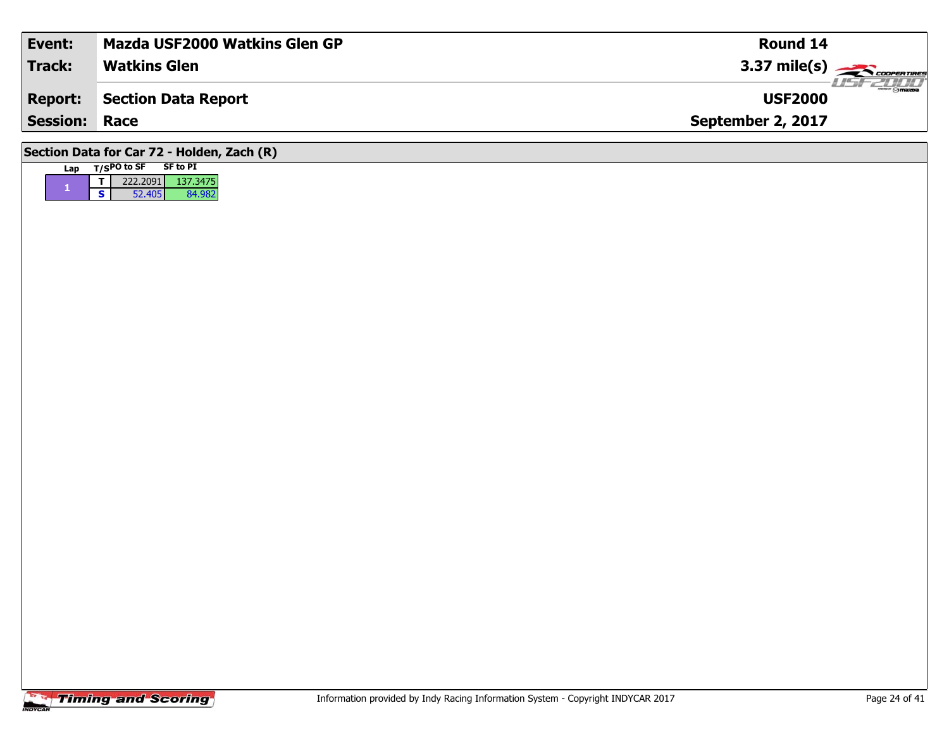| Event:                                     | <b>Mazda USF2000 Watkins Glen GP</b> | Round 14                                 |  |  |  |  |  |  |  |  |
|--------------------------------------------|--------------------------------------|------------------------------------------|--|--|--|--|--|--|--|--|
| <b>Track:</b>                              | <b>Watkins Glen</b>                  | $3.37 \text{ mile(s)}$                   |  |  |  |  |  |  |  |  |
| <b>Report:</b>                             | Section Data Report                  | $\frac{1}{\sinh 2\pi}$<br><b>USF2000</b> |  |  |  |  |  |  |  |  |
| <b>Session: Race</b>                       |                                      | September 2, 2017                        |  |  |  |  |  |  |  |  |
| Section Data for Car 72 - Holden, Zach (R) |                                      |                                          |  |  |  |  |  |  |  |  |

## **Timing and Scoring**

Lap T/SPO to SF SF to PI

**<sup>T</sup>** 222.2091 137.3475 **<sup>S</sup>** 52.405 84.982

84.982

**1**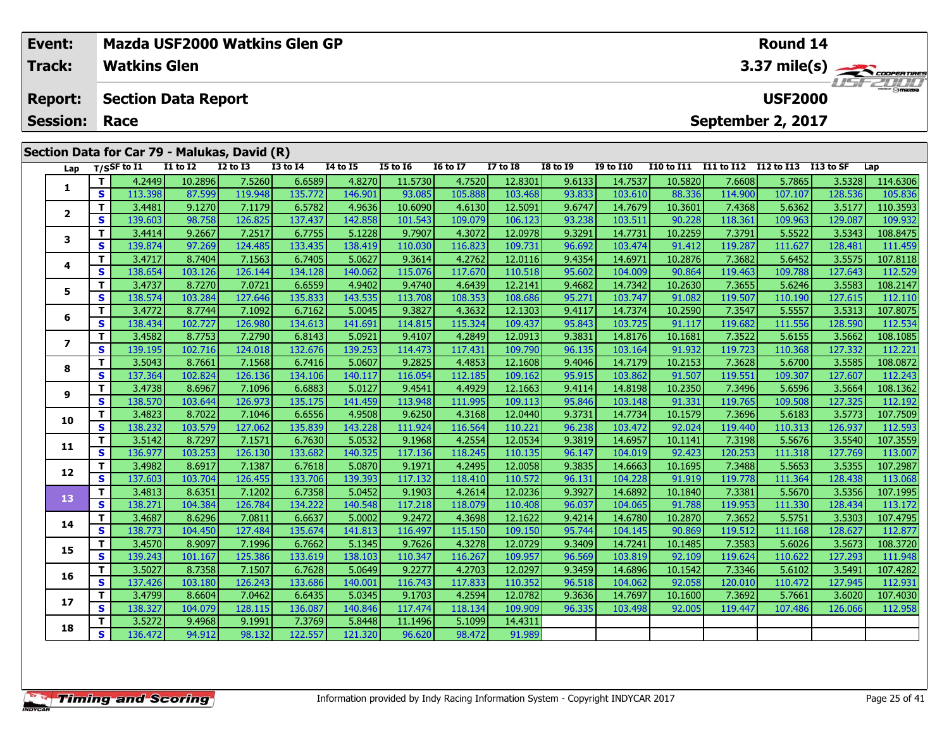|                                              | Event:       |    |                     |                 | Mazda USF2000 Watkins Glen GP |                 |                 |                 |                 | Round 14        |                 |                  |                   |            |            |           |          |  |
|----------------------------------------------|--------------|----|---------------------|-----------------|-------------------------------|-----------------|-----------------|-----------------|-----------------|-----------------|-----------------|------------------|-------------------|------------|------------|-----------|----------|--|
|                                              | Track:       |    | <b>Watkins Glen</b> |                 |                               |                 |                 |                 |                 |                 |                 | 3.37 mile(s)     |                   |            |            |           |          |  |
| <b>Section Data Report</b><br><b>Report:</b> |              |    |                     |                 |                               |                 |                 |                 |                 |                 |                 | <b>USF2000</b>   |                   |            |            |           |          |  |
| September 2, 2017<br><b>Session:</b><br>Race |              |    |                     |                 |                               |                 |                 |                 |                 |                 |                 |                  |                   |            |            |           |          |  |
| Section Data for Car 79 - Malukas, David (R) |              |    |                     |                 |                               |                 |                 |                 |                 |                 |                 |                  |                   |            |            |           |          |  |
|                                              | Lap          |    | T/SSF to I1         | <b>I1 to I2</b> | <b>I2 to I3</b>               | <b>I3 to I4</b> | <b>I4 to I5</b> | <b>I5 to 16</b> | <b>16 to 17</b> | <b>I7 to I8</b> | <b>I8 to I9</b> | <b>I9 to I10</b> | <b>I10 to I11</b> | I11 to I12 | I12 to I13 | I13 to SF | Lap      |  |
|                                              |              |    | 4.2449              | 10.2896         | 7.5260                        | 6.6589          | 4.8270          | 11.5730         | 4.7520          | 12.8301         | 9.6133          | 14.7537          | 10.5820           | 7.6608     | 5.7865     | 3.5328    | 114.6306 |  |
|                                              |              | S. | 113.398             | 87.599          | 119.948                       | 135.772         | 146.901         | 93.085          | 105.888         | 103.468         | 93.833          | 103.610          | 88.336            | 114.900    | 107.107    | 128.536   | 105.836  |  |
|                                              |              |    | 3.4481              | 9.1270          | 7.1179                        | 6.5782          | 4.9636          | 10.6090         | 4.6130          | 12.5091         | 9.6747          | 14.7679          | 10.3601           | 7.4368     | 5.6362     | 3.5177    | 110.3593 |  |
|                                              | $\mathbf{2}$ | S. | 139.603             | 98.758          | 126.825                       | 137.437         | 142.858         | 101.543         | 109.079         | 106.123         | 93.238          | 103.511          | 90.228            | 118.361    | 109.963    | 129.087   | 109.932  |  |
|                                              | 3            |    | 3.4414              | 9.2667          | 7.2517                        | 6.7755          | 5.1228          | 9.7907          | 4.3072          | 12.0978         | 9.3291          | 14.7731          | 10.2259           | 7.3791     | 5.5522     | 3.5343    | 108.8475 |  |
|                                              |              | S. | 139.874             | 97.269          | 124.485                       | 133.435         | 138.419         | 110.030         | 116.823         | 109.731         | 96.692          | 103.474          | 91.412            | 119.287    | 111.627    | 128.481   | 111.459  |  |
|                                              |              |    | 3.4717              | 8.7404          | 7.1563                        | 6.7405          | 5.0627          | 9.3614          | 4.2762          | 12.0116         | 9.4354          | 14.6971          | 10.2876           | 7.3682     | 5.6452     | 3.5575    | 107.8118 |  |
|                                              | 4            | S. | 138.654             | 103.126         | 126.144                       | 134.128         | 140.062         | 115.076         | 117.670         | 110.518         | 95.602          | 104.009          | 90.864            | 119.463    | 109.788    | 127.643   | 112.529  |  |
|                                              | 5            |    | 3.4737              | 8.7270          | 7.0721                        | 6.6559          | 4.9402          | 9.4740          | 4.6439          | 12.2141         | 9.4682          | 14.7342          | 10.2630           | 7.3655     | 5.6246     | 3.5583    | 108.2147 |  |
|                                              |              | S. | 138.574             | 103.284         | 127.646                       | 135.833         | 143.535         | 113.708         | 108.353         | 108.686         | 95.271          | 103.747          | 91.082            | 119.507    | 110.190    | 127.615   | 112.110  |  |
|                                              |              |    | 3.4772              | 8.7744          | 7.1092                        | 6.7162          | 5.0045          | 9.3827          | 4.3632          | 12.1303         | 9.4117          | 14.7374          | 10.2590           | 7.3547     | 5.5557     | 3.5313    | 107.8075 |  |
|                                              | 6            | s. | 138.4341            | 102.727         | 126.980                       | 134.613         | 141.691         | 114.815         | 115.324         | 109.437         | 95.843          | 103.725          | 91.117            | 119.682    | 111.556    | 128.590   | 112.534  |  |

## **<sup>T</sup>** 3.4772 8.7744 7.1092 6.7162 5.0045 9.3827 4.3632 12.1303 9.4117 14.7374 10.2590 7.3547 5.5557 3.5313 107.8075 **<sup>S</sup>** 138.434 102.727 126.980 134.613 141.691 114.815 115.324 109.437 95.843 103.725 91.117 119.682 111.556 128.590 112.534**7**7 | T | 3.4582 | 8.7753 | 7.2790 | 6.8143 | 5.0921 | 9.4107 | 4.2849 | 12.0913 | 9.3831 | 14.8176 | 10.1681 | 7.3522 | 5.6155 | 3.5662 |108.1085<br>7 | S | 139.195 | 102.716 | 124.018 | 132.676 | 139.253 | 114.473 | 117.431 | 112.221 **8**8 T 3.5043 8.7661 7.1568 6.7416 5.0607 9.2825 4.4853 12.1608 9.4046 14.7179 10.2153 7.3628 5.6700 3.5585 108.0872<br>8 S 137.364 102.824 126.136 134.106 140.117 116.054 112.185 109.162 95.915 103.862 91.507 119.551 109.307 12 **9**11 3.4738| 8.6967| 7.1096| 6.6883| 5.0127| 9.4541| 4.4929| 12.1663| 9.4114| 14.8198| 10.2350| 7.3496| 5.6596| 3.5664| 108.1362| 9<br>S | 138.570| 103.644| 126.973| 135.175| 141.459| 113.948| 111.995| 109.113| 95.846| 103.148 112.192 **10**0 | T | 3.4823| 8.7022| 7.1046| 6.6556| 4.9508| 9.6250| 4.3168| 12.0440| 9.3731| 14.7734| 10.1579| 7.3696| 5.6183| 3.5773| 107.7509<br>| S | 138.232| 103.579| 127.062| 135.839| 143.228| 111.924| 116.564| 110.221| 96.238| 103. **11 <sup>T</sup>** 3.5142 8.7297 7.1571 6.7630 5.0532 9.1968 4.2554 12.0534 9.3819 14.6957 10.1141 7.3198 5.5676 3.5540 107.3559 **<sup>S</sup>** 136.977 103.253 126.130 133.682 140.325 117.136 118.245 110.135 96.147 104.019 92.423 120.253 111.318 127.769 113.007**12**2 | T | 3.4982 | 8.6917| 7.1387| 6.7618| 5.0870| 9.1971| 4.2495| 12.0058| 9.3835| 14.6663| 10.1695| 7.3488| 5.5653| 3.5355| 107.2987<br>| S | 137.603| 103.704| 126.455| 133.706| 139.393| 117.132| 118.410| 110.572| 96.131| 104 **13**3 T 3.4813 8.6351 7.1202 6.7358 5.0452 9.1903 4.2614 12.0236 9.3927 14.6892 10.1840 7.3381 5.5670 3.5356 107.1995<br>5 138.271 104.384 126.784 134.222 140.548 117.218 118.079 110.408 96.037 104.065 91.788 119.953 111.330 128. **14 <sup>T</sup>** 3.4687 8.6296 7.0811 6.6637 5.0002 9.2472 4.3698 12.1622 9.4214 14.6780 10.2870 7.3652 5.5751 3.5303 107.4795 **<sup>S</sup>** 138.773 104.450 127.484 135.674 141.813 116.497 115.150 109.150 95.744 104.145 90.869 119.512 111.168 128.627 112.877112.877 **15**5 | T | 3.4570| 8.9097| 7.1996| 6.7662| 5.1345| 9.7626| 4.3278| 12.0729| 9.3409| 14.7241| 10.1485| 7.3583| 5.6026| 3.5673| 108.3720<br>| S | 139.243| 101.167| 125.386| 133.619| 138.103| 110.347| 116.267| 109.957| 96.569| 103. **16**6 | T | 3.5027| 8.7358| 7.1507| 6.7628| 5.0649| 9.2277| 4.2703| 12.0297| 9.3459| 14.6896| 10.1542| 7.3346| 5.6102| 3.5491| 107.4282<br>| S | 137.426| 103.180| 126.243| 133.686| 140.001| 116.743| 117.833| 110.352| 96.518| 104. **17**7 T 3.4799 8.6604 7.0462 6.6435 5.0345 9.1703 4.2594 12.0782 9.3636 14.7697 10.1600 7.3692 5.7661 3.6020 107.4030<br>7 S 138.327 104.079 128.115 136.087 140.846 117.474 118.134 109.909 96.335 103.498 92.005 119.447 107.486 12 112.958 **18<sup>T</sup>** 3.5272 9.4968 9.1991 7.3769 5.8448 11.1496 5.1099 14.4311 **<sup>S</sup>** 136.472 94.912 98.132 122.557 121.320 96.620 98.472 91.989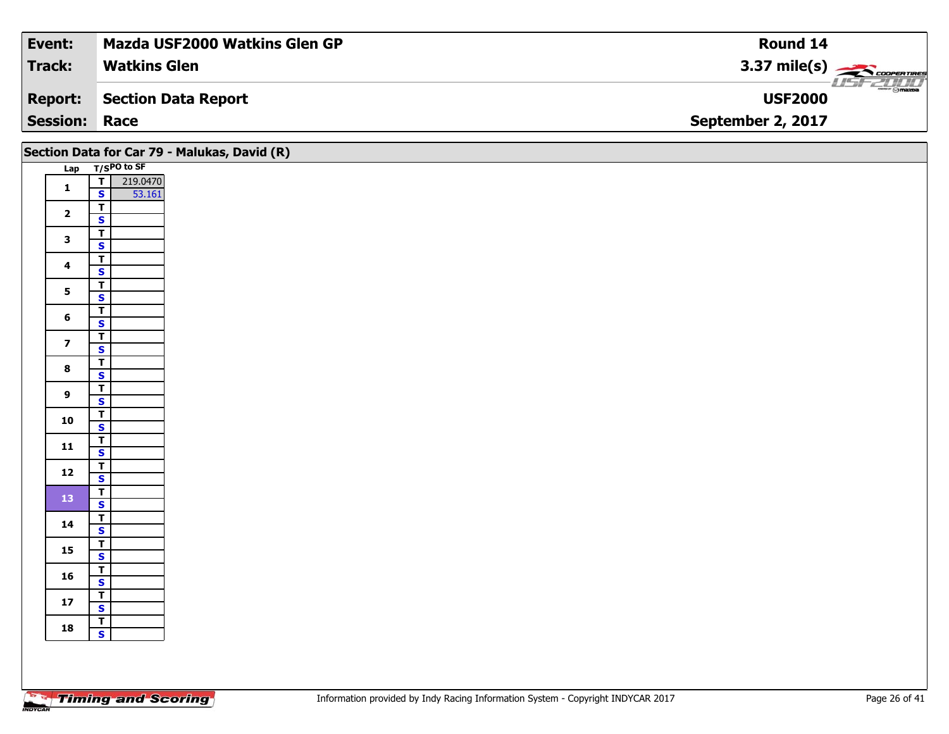| Event:               | <b>Mazda USF2000 Watkins Glen GP</b> | Round 14                               |
|----------------------|--------------------------------------|----------------------------------------|
| <b>Track:</b>        | <b>Watkins Glen</b>                  | 3.37 mile(s) $\sum$ coorewines         |
| <b>Report:</b>       | Section Data Report                  | <b>WWW.Fr @mazoa</b><br><b>USF2000</b> |
| <b>Session: Race</b> |                                      | September 2, 2017                      |

|                         |                                                                                                         | Section Data for Car 79 - Malukas, David (R) |
|-------------------------|---------------------------------------------------------------------------------------------------------|----------------------------------------------|
|                         | Lap T/SPO to SF                                                                                         |                                              |
| $\mathbf{1}$            | $\begin{array}{ c c } \hline \textbf{I} & 219.0470 \\ \hline \textbf{S} & 53.161 \\ \hline \end{array}$ |                                              |
|                         |                                                                                                         |                                              |
| $\mathbf{2}$            | $\overline{\mathsf{r}}$                                                                                 |                                              |
|                         | $\mathbf{s}$                                                                                            |                                              |
| $\mathbf{3}$            | $\vert$ T                                                                                               |                                              |
|                         | $\mathbf{s}$<br>$\overline{\mathsf{T}}$                                                                 |                                              |
| $\overline{\mathbf{4}}$ | $\mathsf{s}$                                                                                            |                                              |
|                         | $\overline{1}$                                                                                          |                                              |
| 5                       | $\overline{\mathbf{s}}$                                                                                 |                                              |
|                         | $\overline{t}$                                                                                          |                                              |
| 6                       | $\mathbf{s}$                                                                                            |                                              |
| $\overline{\mathbf{z}}$ | $\overline{\mathbf{r}}$                                                                                 |                                              |
|                         | $\overline{\mathbf{s}}$                                                                                 |                                              |
| $\bf{8}$                | $\overline{\mathbf{r}}$<br>$\overline{\mathbf{s}}$                                                      |                                              |
|                         | $\overline{\mathsf{T}}$                                                                                 |                                              |
| $\overline{9}$          | $\mathbf{s}$                                                                                            |                                              |
|                         | $\mathbf{T}$                                                                                            |                                              |
| 10                      | $\overline{\mathbf{s}}$                                                                                 |                                              |
| $\mathbf{11}$           | $\overline{\mathsf{r}}$                                                                                 |                                              |
|                         | $\mathbf{s}$                                                                                            |                                              |
| $12$                    | $rac{T}{s}$                                                                                             |                                              |
|                         | $\overline{1}$                                                                                          |                                              |
| 13                      | $\mathbf{s}$                                                                                            |                                              |
|                         | $\overline{\mathbf{r}}$                                                                                 |                                              |
| 14                      | $\mathsf{s}$                                                                                            |                                              |
| 15                      | $rac{T}{s}$                                                                                             |                                              |
|                         |                                                                                                         |                                              |
| 16                      | $\overline{\mathsf{s}}$                                                                                 |                                              |
|                         | $\overline{r}$                                                                                          |                                              |
| $17$                    | $\overline{\mathbf{s}}$                                                                                 |                                              |
|                         | $\overline{1}$                                                                                          |                                              |
| 18                      | $\mathbf{s}$                                                                                            |                                              |
|                         |                                                                                                         |                                              |
|                         |                                                                                                         |                                              |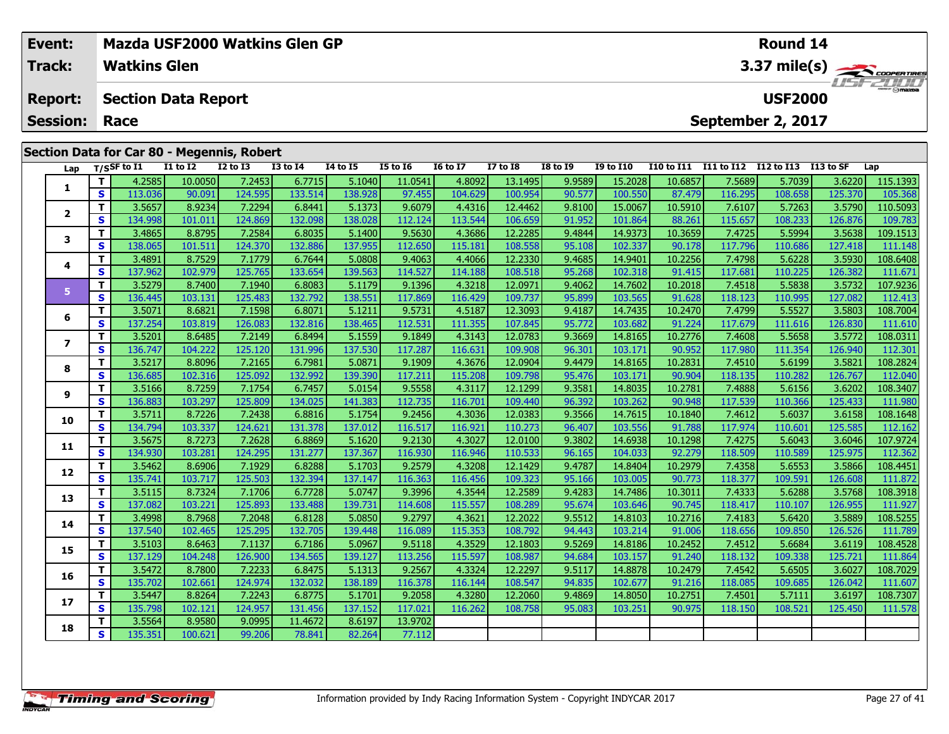|                                            | Mazda USF2000 Watkins Glen GP<br>Event: |          |                            |                 |              |                 |                 |                 |                 |                 |                 | Round 14               |                   |                                  |            |            |          |  |  |
|--------------------------------------------|-----------------------------------------|----------|----------------------------|-----------------|--------------|-----------------|-----------------|-----------------|-----------------|-----------------|-----------------|------------------------|-------------------|----------------------------------|------------|------------|----------|--|--|
| <b>Track:</b><br><b>Watkins Glen</b>       |                                         |          |                            |                 |              |                 |                 |                 |                 |                 |                 | $3.37 \text{ mile(s)}$ |                   |                                  |            |            |          |  |  |
|                                            | <b>Report:</b>                          |          | <b>Section Data Report</b> |                 |              |                 |                 |                 |                 |                 |                 |                        |                   | <b>USFZULU</b><br><b>USF2000</b> |            |            |          |  |  |
|                                            |                                         |          | <b>Session: Race</b>       |                 |              |                 |                 |                 |                 |                 |                 |                        |                   | September 2, 2017                |            |            |          |  |  |
| Section Data for Car 80 - Megennis, Robert |                                         |          |                            |                 |              |                 |                 |                 |                 |                 |                 |                        |                   |                                  |            |            |          |  |  |
|                                            | Lap                                     |          | $_{\rm T/SSF}$ to I1       | <b>I1 to I2</b> | $I2$ to $I3$ | <b>I3 to I4</b> | <b>I4 to I5</b> | <b>I5 to I6</b> | <b>I6 to I7</b> | <b>I7 to I8</b> | <b>I8 to I9</b> | <b>I9 to I10</b>       | <b>I10 to I11</b> | I11 to I12                       | I12 to I13 | I 13 to SF | Lap      |  |  |
|                                            |                                         |          | 4.2585                     | 10.0050         | 7.2453       | 6.7715          | 5.1040          | 11.0541         | 4.8092          | 13.1495         | 9.9589          | 15.2028                | 10.6857           | 7.5689                           | 5.7039     | 3.6220     | 115.1393 |  |  |
|                                            |                                         | <b>S</b> | 113.036                    | 90.091          | 124.595      | 133.514         | 138.928         | 97.455          | 104.629         | 100.954         | 90.577          | 100.550                | 87.479            | 116.295                          | 108.658    | 125.370    | 105.368  |  |  |
|                                            |                                         |          |                            |                 |              |                 |                 |                 |                 |                 |                 |                        |                   |                                  |            |            |          |  |  |

| 1                        | т            | 4.2585            | 10.0050           | 7.2453            | 6.7715            | 5.1040            | 11.0541           | 4.8092            | 13.1495            | 9.9589           | 15.2028            | 10.6857           | 7.5689            | 5.7039            | 3.6220            | 115.1393            |
|--------------------------|--------------|-------------------|-------------------|-------------------|-------------------|-------------------|-------------------|-------------------|--------------------|------------------|--------------------|-------------------|-------------------|-------------------|-------------------|---------------------|
|                          | s            | 113.036           | 90.091            | 124.595           | 133.514           | 138.928           | 97.455            | 104.629           | 100.954            | 90.577           | 100.550            | 87.479            | 116.295           | 108.658           | 125.370           | 105.368             |
| $\overline{2}$           | т            | 3.5657            | 8.9234            | 7.2294            | 6.8441            | 5.1373            | 9.6079            | 4.4316            | 12.4462            | 9.8100           | 15.0067            | 10.5910           | 7.6107            | 5.7263            | 3.5790            | 110.5093            |
|                          | S            | 134.998           | 101.011           | 124.869           | 132.098           | 138.028           | 112.124           | 113.544           | 106.659            | 91.952           | 101.864            | 88.261            | 115.657           | 108.233           | 126.876           | 109.783             |
| 3                        | т            | 3.4865            | 8.8795            | 7.2584            | 6.8035            | 5.1400            | 9.5630            | 4.3686            | 12.2285            | 9.4844           | 14.9373            | 10.3659           | 7.4725            | 5.5994            | 3.5638            | 109.1513            |
|                          | S            | 138.065           | 101.511           | 124.370           | 132.886           | 137.955           | 112.650           | 115.181           | 108.558            | 95.108           | 102.337            | 90.178            | 117.796           | 110.686           | 127.418           | 111.148             |
| 4                        | т            | 3.4891            | 8.7529            | 7.1779            | 6.7644            | 5.0808            | 9.4063            | 4.4066            | 12.2330            | 9.4685           | 14.9401            | 10.2256           | 7.4798            | 5.6228            | 3.5930            | 108.6408            |
|                          | S            | 137.962           | 102.979           | 125.765           | 133.654           | 139.563           | 114.527           | 114.188           | 108.518            | 95.268           | 102.318            | 91.415            | 117.681           | 110.225           | 126.382           | 111.671             |
| 5                        | т            | 3.5279            | 8.7400            | 7.1940            | 6.8083            | 5.1179            | 9.1396            | 4.3218            | 12.0971            | 9.4062           | 14.7602            | 10.2018           | 7.4518            | 5.5838            | 3.5732            | 107.9236            |
|                          | $\mathbf{s}$ | 136.445           | 103.131           | 125.483           | 132.792           | 138.551           | 117.869           | 116.429           | 109.737            | 95.899           | 103.565            | 91.628            | 118.123           | 110.995           | 127.082           | 112.413             |
| 6                        | т            | 3.5071            | 8.6821            | 7.1598            | 6.8071            | 5.1211            | 9.5731            | 4.5187            | 12.3093            | 9.4187           | 14.7435            | 10.2470           | 7.4799            | 5.5527            | 3.5803            | 108.7004            |
|                          | $\mathbf{s}$ | 137.254           | 103.819           | 126.083           | 132.816           | 138.465           | 112.531           | 111.355           | 107.845            | 95.772           | 103.682            | 91.224            | 117.679           | 111.616           | 126.830           | 111.610             |
| $\overline{\phantom{a}}$ | т            | 3.5201            | 8.6485            | 7.2149            | 6.8494            | 5.1559            | 9.1849            | 4.3143            | 12.0783            | 9.3669           | 14.8165            | 10.2776           | 7.4608            | 5.5658            | 3.5772            | 108.0311            |
|                          | S            | 136.747           | 104.222           | 125.120           | 131.996           | 137.530           | 117.287           | 116.631           | 109.908            | 96.301           | 103.171            | 90.952            | 117.980           | 111.354           | 126.940           | 112.301             |
| 8                        | т            | 3.5217            | 8.8096            | 7.2165            | 6.7981            | 5.0871            | 9.1909            | 4.3676            | 12.0904            | 9.4479           | 14.8165            | 10.2831           | 7.4510            | 5.6199            | 3.5821            | 108.2824            |
|                          | S            | 136.685           | 102.316           | 125.092           | 132.992           | 139.390           | 117.211           | 115.208           | 109.798            | 95.476           | 103.171            | 90.904            | 118.135           | 110.282           | 126.767           | 112.040             |
| 9                        | т            | 3.5166            | 8.7259            | 7.1754            | 6.7457            | 5.0154            | 9.5558            | 4.3117            | 12.1299            | 9.3581           | 14.8035            | 10.2781           | 7.4888            | 5.6156            | 3.6202            | 108.3407            |
|                          | s            | 136.883           | 103.297           | 125.809           | 134.025           | 141.383           | 112.735           | 116.701           | 109.440            | 96.392           | 103.262            | 90.948            | 117.539           | 110.366           | 125.433           | 111.980             |
| 10                       | т            | 3.5711            | 8.7226            | 7.2438            | 6.8816            | 5.1754            | 9.2456            | 4.3036            | 12.0383            | 9.3566           | 14.7615            | 10.1840           | 7.4612            | 5.6037            | 3.6158            | 108.1648            |
|                          | S<br>т       | 134.794<br>3.5675 | 103.337<br>8.7273 | 124.621<br>7.2628 | 131.378<br>6.8869 | 137.012<br>5.1620 | 116.517           | 116.921<br>4.3027 | 110.273<br>12.0100 | 96.407<br>9.3802 | 103.556<br>14.6938 | 91.788<br>10.1298 | 117.974<br>7.4275 | 110.601           | 125.585<br>3.6046 | 112.162<br>107.9724 |
| 11                       | S            | 134.930           | 103.281           | 124.295           | 131.277           | 137.367           | 9.2130<br>116.930 | 116.946           | 110.533            | 96.165           | 104.033            | 92.279            | 118.509           | 5.6043<br>110.589 | 125.975           | 112.362             |
|                          | т            | 3.5462            | 8.6906            | 7.1929            | 6.8288            | 5.1703            | 9.2579            | 4.3208            | 12.1429            | 9.4787           | 14.8404            | 10.2979           | 7.4358            | 5.6553            | 3.5866            | 108.4451            |
| 12                       | $\mathbf{s}$ | 135.741           | 103.717           | 125.503           | 132.394           | 137.147           | 116.363           | 116.456           | 109.323            | 95.166           | 103.005            | 90.773            | 118.377           | 109.591           | 126.608           | 111.872             |
|                          | т            | 3.5115            | 8.7324            | 7.1706            | 6.7728            | 5.0747            | 9.3996            | 4.3544            | 12.2589            | 9.4283           | 14.7486            | 10.3011           | 7.4333            | 5.6288            | 3.5768            | 108.3918            |
| 13                       | s            | 137.082           | 103.221           | 125.893           | 133.488           | 139.731           | 114.608           | 115.557           | 108.289            | 95.674           | 103.646            | 90.745            | 118.417           | 110.107           | 126.955           | 111.927             |
|                          | т            | 3.4998            | 8.7968            | 7.2048            | 6.8128            | 5.0850            | 9.2797            | 4.3621            | 12.2022            | 9.5512           | 14.8103            | 10.2716           | 7.4183            | 5.6420            | 3.5889            | 108.5255            |
| 14                       | s            | 137.540           | 102.465           | 125.295           | 132.705           | 139.448           | 116.089           | 115.353           | 108.792            | 94.443           | 103.214            | 91.006            | 118.656           | 109.850           | 126.526           | 111.789             |
| 15                       | T.           | 3.5103            | 8.6463            | 7.1137            | 6.7186            | 5.0967            | 9.5118            | 4.3529            | 12.1803            | 9.5269           | 14.8186            | 10.2452           | 7.4512            | 5.6684            | 3.6119            | 108.4528            |
|                          | $\mathbf{s}$ | 137.129           | 104.248           | 126.900           | 134.565           | 139.127           | 113.256           | 115.597           | 108.987            | 94.684           | 103.157            | 91.240            | 118.132           | 109.338           | 125.721           | 111.864             |
| 16                       | т            | 3.5472            | 8.7800            | 7.2233            | 6.8475            | 5.1313            | 9.2567            | 4.3324            | 12.2297            | 9.5117           | 14.8878            | 10.2479           | 7.4542            | 5.6505            | 3.6027            | 108.7029            |
|                          | $\mathbf{s}$ | 135.702           | 102.661           | 124.974           | 132.032           | 138.189           | 116.378           | 116.144           | 108.547            | 94.835           | 102.677            | 91.216            | 118.085           | 109.685           | 126.042           | 111.607             |
| 17                       | т            | 3.5447            | 8.8264            | 7.2243            | 6.8775            | 5.1701            | 9.2058            | 4.3280            | 12.2060            | 9.4869           | 14.8050            | 10.2751           | 7.4501            | 5.7111            | 3.6197            | 108.7307            |
|                          | S            | 135.798           | 102.121           | 124.957           | 131.456           | 137.152           | 117.021           | 116.262           | 108.758            | 95.083           | 103.251            | 90.975            | 118.150           | 108.521           | 125.450           | 111.578             |
| 18                       | т            | 3.5564            | 8.9580            | 9.0995            | 11.4672           | 8.6197            | 13.9702           |                   |                    |                  |                    |                   |                   |                   |                   |                     |
|                          | S            | 135.351           | 100.621           | 99.206            | 78.841            | 82.264            | 77.112            |                   |                    |                  |                    |                   |                   |                   |                   |                     |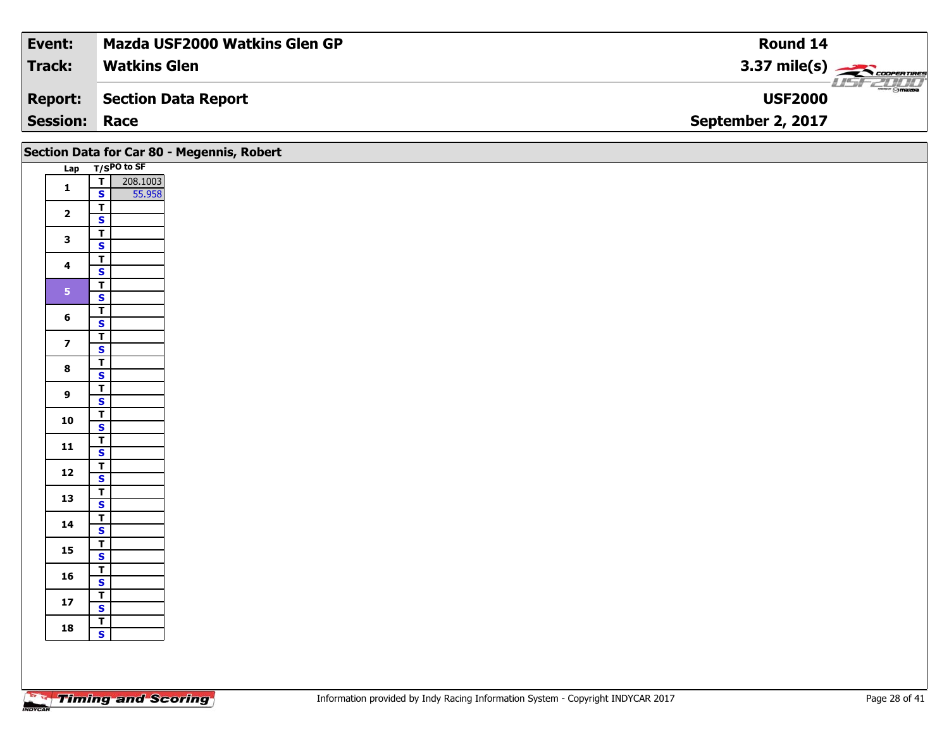| <b>Event:</b>        | <b>Mazda USF2000 Watkins Glen GP</b> | Round 14                               |
|----------------------|--------------------------------------|----------------------------------------|
| <b>Track:</b>        | <b>Watkins Glen</b>                  | 3.37 mile(s) $\rightarrow$ COOPERTIRES |
| Report:              | Section Data Report                  | $ \Theta$ mazpa<br><b>USF2000</b>      |
| <b>Session: Race</b> |                                      | September 2, 2017                      |

|                         | Section Data for Car 80 - Megennis, Robert |  |
|-------------------------|--------------------------------------------|--|
|                         | Lap T/SPO to SF                            |  |
| $\mathbf{1}$            | 208.1003<br>55.958<br>$\overline{I}$       |  |
|                         | $\mathbf{s}$                               |  |
| $\mathbf{2}$            | $\overline{\mathsf{T}}$                    |  |
|                         | $\mathbf{s}$                               |  |
| $\mathbf{3}$            | $\overline{\mathbf{r}}$<br>$\mathbf{s}$    |  |
|                         | $\overline{\mathsf{r}}$                    |  |
| $\overline{\mathbf{4}}$ | $\mathbf{s}$                               |  |
|                         | $\overline{\mathsf{T}}$                    |  |
| 5 <sub>1</sub>          | $\overline{\mathbf{s}}$                    |  |
| 6                       | $\overline{\mathsf{T}}$                    |  |
|                         | $\mathsf{s}$                               |  |
| $\overline{7}$          | $\overline{\mathbf{r}}$                    |  |
|                         | $\mathbf{s}$                               |  |
| $\bf{8}$                | $rac{1}{s}$                                |  |
|                         | $\overline{\mathsf{r}}$                    |  |
| $\overline{9}$          | $\mathbf{s}$                               |  |
| 10                      | $\overline{I}$                             |  |
|                         | $\overline{\mathbf{s}}$                    |  |
| $\mathbf{11}$           | $\frac{1}{s}$                              |  |
|                         | $\overline{\mathbf{T}}$                    |  |
| $12$                    | $\overline{\mathbf{s}}$                    |  |
| 13                      |                                            |  |
|                         | $rac{1}{s}$                                |  |
| 14                      | $rac{1}{s}$                                |  |
|                         |                                            |  |
| $15\phantom{.0}$        | $\frac{T}{S}$                              |  |
|                         | $\overline{r}$                             |  |
| 16                      | $\overline{\mathbf{s}}$                    |  |
| $17$                    | $\overline{\mathbf{r}}$                    |  |
|                         | $\overline{\mathbf{s}}$                    |  |
| 18                      | $\overline{I}$<br>$\overline{\mathbf{s}}$  |  |
|                         |                                            |  |
|                         |                                            |  |
|                         |                                            |  |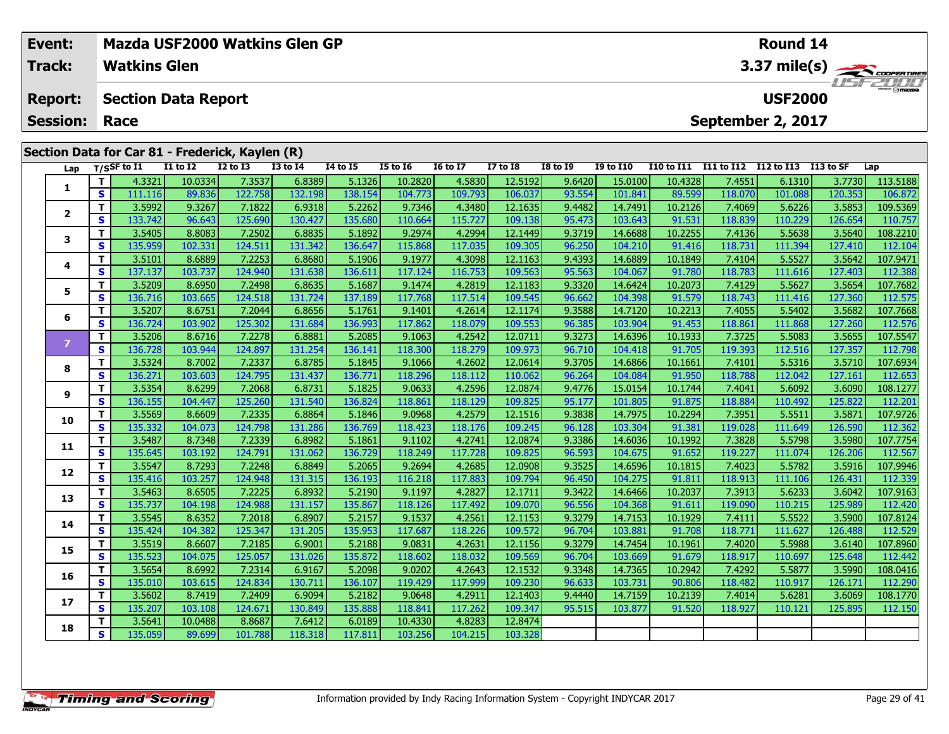|  | Event:                            |              | <b>Mazda USF2000 Watkins Glen GP</b> |                                                 |                   | Round 14          |                   |                   |                   |                    |                     |                    |                                  |                   |                                     |                   |                     |
|--|-----------------------------------|--------------|--------------------------------------|-------------------------------------------------|-------------------|-------------------|-------------------|-------------------|-------------------|--------------------|---------------------|--------------------|----------------------------------|-------------------|-------------------------------------|-------------------|---------------------|
|  | Track:                            |              | <b>Watkins Glen</b>                  |                                                 |                   |                   |                   |                   |                   |                    |                     |                    |                                  |                   |                                     |                   | 3.37 mile(s)        |
|  | <b>Report:</b><br><b>Session:</b> |              | <b>Section Data Report</b><br>Race   |                                                 |                   |                   |                   |                   |                   |                    |                     |                    |                                  |                   | <b>USF2000</b><br>September 2, 2017 |                   |                     |
|  |                                   |              |                                      |                                                 |                   |                   |                   |                   |                   |                    |                     |                    |                                  |                   |                                     |                   |                     |
|  |                                   |              |                                      | Section Data for Car 81 - Frederick, Kaylen (R) |                   |                   |                   |                   |                   |                    |                     |                    |                                  |                   |                                     |                   |                     |
|  | Lap                               |              | T/SSF to I1                          | <b>I1 to I2</b>                                 | <b>I2 to I3</b>   | <b>I3 to I4</b>   | $I4$ to $I5$      | <b>I5 to 16</b>   | <b>I6 to I7</b>   | <b>I7 to 18</b>    | $18 \text{ to } 19$ | <b>I9 to I10</b>   | I10 to I11 I11 to I12 I12 to I13 |                   |                                     | I13 to SF         | Lap                 |
|  |                                   | т            | 4.3321                               | 10.0334                                         | 7.3537            | 6.8389            | 5.1326            | 10.2820           | 4.5830            | 12.5192            | 9.6420              | 15.0100            | 10.4328                          | 7.4551            | 6.1310                              | 3.7730            | 113.5188            |
|  | 1                                 | S            | 111.116                              | 89.836                                          | 122.758           | 132.198           | 138.154           | 104.773           | 109.793           | 106.037            | 93.554              | 101.841            | 89.599                           | 118.070           | 101.088                             | 120.353           | 106.872             |
|  |                                   | T.           | 3.5992                               | 9.3267                                          | 7.1822            | 6.9318            | 5.2262            | 9.7346            | 4.3480            | 12.1635            | 9.4482              | 14.7491            | 10.2126                          | 7.4069            | 5.6226                              | 3.5853            | 109.5369            |
|  | $\mathbf{2}$                      | S.           | 133.742                              | 96.643                                          | 125.690           | 130.427           | 135.680           | 110.664           | 115.727           | 109.138            | 95.473              | 103.643            | 91.531                           | 118.839           | 110.229                             | 126.654           | 110.757             |
|  | 3                                 | T            | 3.5405                               | 8.8083                                          | 7.2502            | 6.8835            | 5.1892            | 9.2974            | 4.2994            | 12.1449            | 9.3719              | 14.6688            | 10.2255                          | 7.4136            | 5.5638                              | 3.5640            | 108.2210            |
|  |                                   | S            | 135.959                              | 102.331                                         | 124.511           | 131.342           | 136.647           | 115.868           | 117.035           | 109.305            | 96.250              | 104.210            | 91.416                           | 118.731           | 111.394                             | 127.410           | 112.104             |
|  | 4                                 | T            | 3.5101                               | 8.6889                                          | 7.2253            | 6.8680            | 5.1906            | 9.1977            | 4.3098            | 12.1163            | 9.4393              | 14.6889            | 10.1849                          | 7.4104            | 5.5527                              | 3.5642            | 107.9471            |
|  |                                   | s            | 137.137                              | 103.737                                         | 124.940           | 131.638           | 136.611           | 117.124           | 116.753           | 109.563            | 95.563              | 104.067            | 91.780                           | 118.783           | 111.616                             | 127.403           | 112.388             |
|  | 5                                 | T            | 3.5209                               | 8.6950                                          | 7.2498            | 6.8635            | 5.1687            | 9.1474            | 4.2819            | 12.1183            | 9.3320              | 14.6424            | 10.2073                          | 7.4129            | 5.5627                              | 3.5654            | 107.7682            |
|  |                                   | S            | 136.716                              | 103.665                                         | 124.518           | 131.724           | 137.189           | 117.768           | 117.514           | 109.545            | 96.662              | 104.398            | 91.579                           | 118.743           | 111.416                             | 127.360           | 112.575             |
|  | 6                                 | т            | 3.5207                               | 8.6751                                          | 7.2044            | 6.8656            | 5.1761            | 9.1401            | 4.2614            | 12.1174            | 9.3588              | 14.7120            | 10.2213                          | 7.4055            | 5.5402                              | 3.5682            | 107.7668            |
|  |                                   | $\mathbf{s}$ | 136.724                              | 103.902                                         | 125.302           | 131.684           | 136.993           | 117.862           | 118.079           | 109.553            | 96.385              | 103.904            | 91.453                           | 118.861           | 111.868                             | 127.260           | 112.576             |
|  | $\overline{z}$                    | $\mathbf{T}$ | 3.5206                               | 8.6716                                          | 7.2278            | 6.8881            | 5.2085            | 9.1063            | 4.2542            | 12.0711            | 9.3273              | 14.6396            | 10.1933                          | 7.3725            | 5.5083                              | 3.5655            | 107.5547            |
|  |                                   | S<br>T       | 136.728                              | 103.944<br>8.7002                               | 124.897           | 131.254<br>6.8785 | 136.141           | 118.300           | 118.279           | 109.973<br>12.0614 | 96.710              | 104.418<br>14.6866 | 91.705                           | 119.393           | 112.516                             | 127.357           | 112.798             |
|  | 8                                 | S            | 3.5324<br>136.271                    | 103.603                                         | 7.2337<br>124.795 | 131.437           | 5.1845<br>136.771 | 9.1066<br>118.296 | 4.2602<br>118.112 | 110.062            | 9.3705<br>96.264    | 104.084            | 10.1661<br>91.950                | 7.4101<br>118.788 | 5.5316<br>112.042                   | 3.5710<br>127.161 | 107.6934<br>112.653 |
|  |                                   | T            | 3.5354                               | 8.6299                                          | 7.2068            | 6.8731            | 5.1825            | 9.0633            | 4.2596            | 12.0874            | 9.4776              | 15.0154            | 10.1744                          | 7.4041            | 5.6092                              | 3.6090            | 108.1277            |
|  | 9                                 | $\mathbf{s}$ | 136.155                              | 104.447                                         | 125.260           | 131.540           | 136.824           | 118.861           | 118.129           | 109.825            | 95.177              | 101.805            | 91.875                           | 118.884           | 110.492                             | 125.822           | 112.201             |
|  |                                   | T            | 3.5569                               | 8.6609                                          | 7.2335            | 6.8864            | 5.1846            | 9.0968            | 4.2579            | 12.1516            | 9.3838              | 14.7975            | 10.2294                          | 7.3951            | 5.5511                              | 3.5871            | 107.9726            |
|  | 10                                | S            | 135.332                              | 104.073                                         | 124.798           | 131.286           | 136.769           | 118.423           | 118.176           | 109.245            | 96.128              | 103.304            | 91.381                           | 119.028           | 111.649                             | 126.590           | 112.362             |
|  |                                   | T            | 3.5487                               | 8.7348                                          | 7.2339            | 6.8982            | 5.1861            | 9.1102            | 4.2741            | 12.0874            | 9.3386              | 14.6036            | 10.1992                          | 7.3828            | 5.5798                              | 3.5980            | 107.7754            |
|  | 11                                | <b>S</b>     | 135.645                              | 103.192                                         | 124.791           | 131.062           | 136.729           | 118.249           | 117.728           | 109.825            | 96.593              | 104.675            | 91.652                           | 119.227           | 111.074                             | 126.206           | 112.567             |
|  |                                   |              | 3.5547                               | 8.7293                                          | 7.2248            | 6.8849            | 5.2065            | 9.2694            | 4.2685            | 12.0908            | 9.3525              | 14.6596            | 10.1815                          | 7.4023            | 5.5782                              | 3.5916            | 107.9946            |
|  | 12                                | S            | 135.416                              | 103.257                                         | 124.948           | 131.315           | 136.193           | 116.218           | 117.883           | 109.794            | 96.450              | 104.275            | 91.811                           | 118.913           | 111.106                             | 126.431           | 112.339             |

**<sup>T</sup>** 3.5641 10.0488 8.8687 7.6412 6.0189 10.4330 4.8283 12.8474 **<sup>S</sup>** 135.059 89.699 101.788 118.318 117.811 103.256 104.215 103.328

**13**

**14**

**15**

**16**

**17**

**18**

3 T 3.5463 8.6505 7.2225 6.8932 5.2190 9.1197 4.2827 12.1711 9.3422 14.6466 10.2037 7.3913 5.6233 3.6042 107.9163<br>S 135.737 104.198 124.988 131.157 135.867 118.126 117.492 109.070 96.556 104.368 91.611 119.090 110.215 125.

4 | T | 3.5545| 8.6352| 7.2018| 6.8907| 5.2157| 9.1537| 4.2561| 12.1153| 9.3279| 14.7153| 10.1929| 7.4111| 5.5522| 3.5900| 107.8124<br>| S | 135.424 104.382 125.347 131.205 135.953 117.687 118.226 109.572 96.704 103.881 91.70

5 T 3.5519 8.6607 7.2185 6.9001 5.2188 9.0831 4.2631 12.1156 9.3279 14.7454 10.1961 7.4020 5.5988 3.6140 107.8960<br>5 S 135.523 104.075 125.057 131.026 135.872 118.602 118.032 109.569 96.704 103.669 91.679 118.917 110.697 12

6 | T | 3.5654| 8.6992| 7.2314| 6.9167| 5.2098| 9.0202| 4.2643| 12.1532| 9.3348| 14.7365| 10.2942| 7.4292| 5.5877| 3.5990| 108.0416<br>| S | 135.010| 103.615| 124.834| 130.711| 136.107| 119.429| 117.999| 109.230| 96.633| 103.

7 T 3.56021 8.74191 7.24091 6.90941 5.21821 9.06481 4.29111 12.14031 9.44401 14.71591 10.21391 7.40141 5.62811 3.6069 108.1770<br>7 S 135.2071 103.1081 124.671 130.8491 135.8881 118.8411 117.2621 109.3471 95.5151 103.8771 91.

103.328

112.420

112.529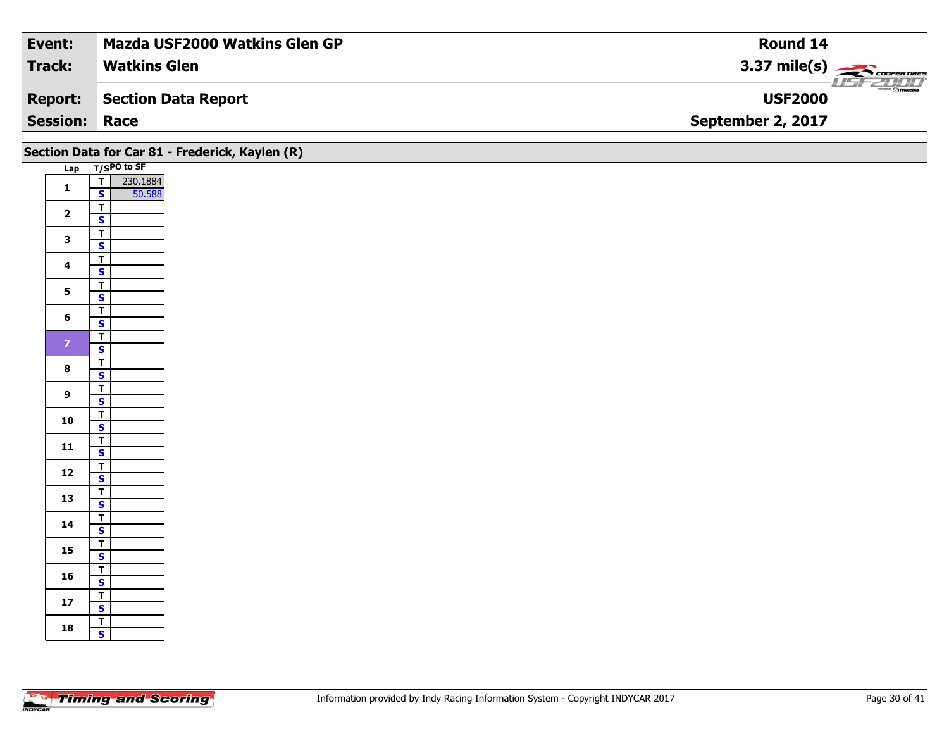| Event:               | <b>Mazda USF2000 Watkins Glen GP</b> | Round 14                                                                                                                                                                                                                                                                                                                                                                                                                                                                                          |
|----------------------|--------------------------------------|---------------------------------------------------------------------------------------------------------------------------------------------------------------------------------------------------------------------------------------------------------------------------------------------------------------------------------------------------------------------------------------------------------------------------------------------------------------------------------------------------|
| Track:               | <b>Watkins Glen</b>                  | $3.37 \text{ mile(s)}$                                                                                                                                                                                                                                                                                                                                                                                                                                                                            |
| <b>Report:</b>       | Section Data Report                  | $\overline{\phantom{a}}$ $\overline{\phantom{a}}$ $\overline{\phantom{a}}$ $\overline{\phantom{a}}$ $\overline{\phantom{a}}$ $\overline{\phantom{a}}$ $\overline{\phantom{a}}$ $\overline{\phantom{a}}$ $\overline{\phantom{a}}$ $\overline{\phantom{a}}$ $\overline{\phantom{a}}$ $\overline{\phantom{a}}$ $\overline{\phantom{a}}$ $\overline{\phantom{a}}$ $\overline{\phantom{a}}$ $\overline{\phantom{a}}$ $\overline{\phantom{a}}$ $\overline{\phantom{a}}$ $\overline{\$<br><b>USF2000</b> |
| <b>Session: Race</b> |                                      | September 2, 2017                                                                                                                                                                                                                                                                                                                                                                                                                                                                                 |

|                         |                                                               | Section Data for Car 81 - Frederick, Kaylen (R) |  |  |  |
|-------------------------|---------------------------------------------------------------|-------------------------------------------------|--|--|--|
|                         | Lap T/SPO to SF                                               |                                                 |  |  |  |
| $\mathbf{1}$            | $\overline{\mathbf{I}}$<br>230.1884<br>$\mathbf{s}$<br>50.588 |                                                 |  |  |  |
| $\overline{2}$          | $\overline{1}$<br>$\overline{\mathbf{s}}$                     |                                                 |  |  |  |
| $\mathbf{3}$            | $\overline{\mathsf{r}}$<br>$\overline{\mathbf{s}}$            |                                                 |  |  |  |
| $\overline{\mathbf{4}}$ | $\overline{\mathbf{r}}$<br>$\mathbf{s}$                       |                                                 |  |  |  |
| $5\phantom{a}$          | $\mathbf{T}$                                                  |                                                 |  |  |  |
| $6\phantom{a}$          | $\overline{\mathbf{s}}$<br>$\overline{\mathbf{r}}$            |                                                 |  |  |  |
|                         | $\mathbf{s}$                                                  |                                                 |  |  |  |
| $\mathbf{7}$            | $\overline{\mathsf{T}}$<br>$\overline{\mathbf{s}}$            |                                                 |  |  |  |
| $\bf8$                  | $\overline{\mathsf{T}}$<br>$\overline{\mathbf{s}}$            |                                                 |  |  |  |
| $\overline{9}$          | $\overline{\mathsf{T}}$                                       |                                                 |  |  |  |
|                         | $\mathsf{s}$<br>$\overline{\mathbf{r}}$                       |                                                 |  |  |  |
| 10                      | $\overline{\mathbf{s}}$                                       |                                                 |  |  |  |
| 11                      | $\frac{1}{s}$                                                 |                                                 |  |  |  |
| $12$                    | $\frac{T}{S}$                                                 |                                                 |  |  |  |
| 13                      | $rac{1}{s}$                                                   |                                                 |  |  |  |
| $14$                    | $\overline{\mathsf{T}}$                                       |                                                 |  |  |  |
| 15                      | $\mathbf{s}$<br>$\overline{\mathbf{r}}$                       |                                                 |  |  |  |
|                         | $\overline{\mathbf{s}}$<br>$\overline{I}$                     |                                                 |  |  |  |
| 16                      | $\mathbf{s}$                                                  |                                                 |  |  |  |
| $17$                    | $\overline{1}$<br>$\overline{\mathbf{s}}$                     |                                                 |  |  |  |
| 18                      | $rac{1}{s}$                                                   |                                                 |  |  |  |
|                         |                                                               |                                                 |  |  |  |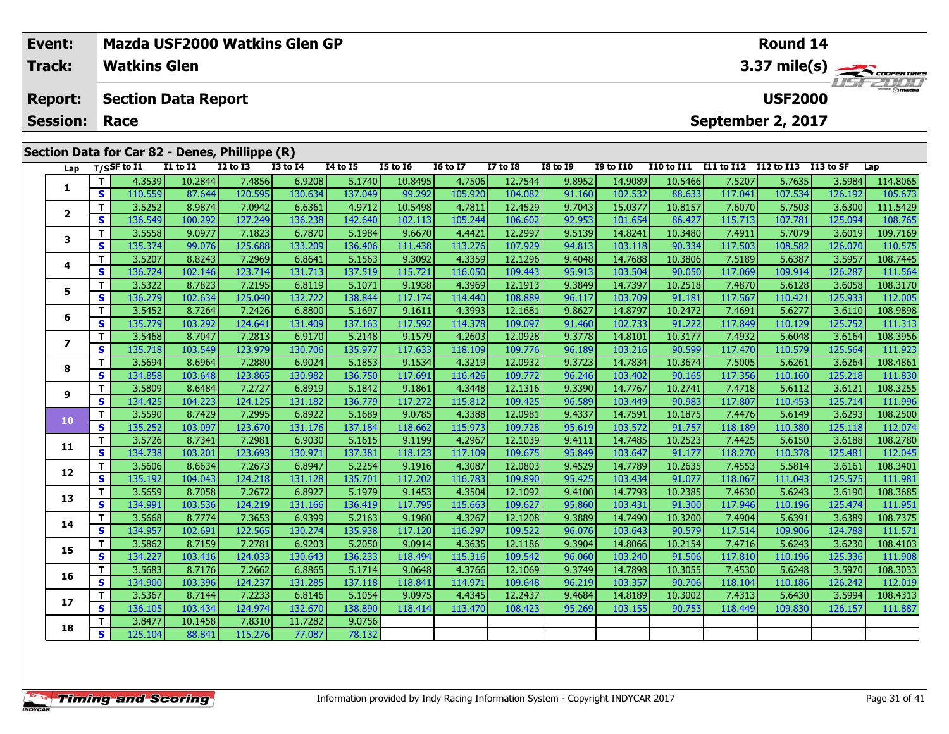| Event:               |   |                     | Mazda USF2000 Watkins Glen GP                  |                 |              |                 |                 |                 | <b>Round 14</b> |                 |                           |                   |                   |                   |           |          |  |  |
|----------------------|---|---------------------|------------------------------------------------|-----------------|--------------|-----------------|-----------------|-----------------|-----------------|-----------------|---------------------------|-------------------|-------------------|-------------------|-----------|----------|--|--|
| <b>Track:</b>        |   | <b>Watkins Glen</b> |                                                |                 |              |                 |                 |                 |                 |                 | 3.37 mile(s)              |                   |                   |                   |           |          |  |  |
| <b>Report:</b>       |   |                     | <b>Section Data Report</b>                     |                 |              |                 |                 |                 |                 |                 | USFZULD<br><b>USF2000</b> |                   |                   |                   |           |          |  |  |
| <b>Session: Race</b> |   |                     |                                                |                 |              |                 |                 |                 |                 |                 |                           |                   |                   | September 2, 2017 |           |          |  |  |
|                      |   |                     | Section Data for Car 82 - Denes, Phillippe (R) |                 |              |                 |                 |                 |                 |                 |                           |                   |                   |                   |           |          |  |  |
| Lap                  |   | $T/S$ SF to I1      | <b>I1 to I2</b>                                | <b>I2 to I3</b> | $I3$ to $I4$ | <b>I4 to I5</b> | <b>I5 to 16</b> | <b>16 to 17</b> | <b>I7 to I8</b> | <b>I8 to I9</b> | <b>I9 to I10</b>          | <b>I10 to I11</b> | <b>I11 to I12</b> | <b>I12 to I13</b> | I13 to SF | Lap      |  |  |
|                      |   | 4.3539              | 10.2844                                        | 7.4856          | 6.9208       | 5.1740          | 10.8495         | 4.7506          | 12.7544         | 9.8952          | 14.9089                   | 10.5466           | 7.5207            | 5.7635            | 3.5984    | 114.8065 |  |  |
|                      | S | 110.559             | 87.644                                         | 120.595         | 130.634      | 137.049         | 99.292          | 105.920         | 104.082         | 91.160          | 102.532                   | 88.633            | 117.041           | 107.534           | 126.192   | 105.673  |  |  |
| $\overline{2}$       |   | 3.5252              | 8.9874                                         | 7.0942          | 6.6361       | 4.9712          | 10.5498         | 4.7811          | 12.4529         | 9.7043          | 15.0377                   | 10.8157           | 7.6070            | 5.7503            | 3.6300    | 111.5429 |  |  |
|                      | S | 136.549             | 100.292                                        | 127.249         | 136.238      | 142.640         | 102.113         | 105.244         | 106.602         | 92.953          | 101.654                   | 86.427            | 115.713           | 107.781           | 125.094   | 108.765  |  |  |
|                      |   | 3.5558              | 9.0977                                         | 7.1823          | 6.7870       | 5.1984          | 9.6670          | 4.4421          | 12.2997         | 9.5139          | 14.8241                   | 10.3480           | 7.4911            | 5.7079            | 3.6019    | 109.7169 |  |  |
|                      | S | 135.374             | 99.076                                         | 125.688         | 133.209      | 136.406         | 111.438         | 113.276         | 107.929         | 94.813          | 103.118                   | 90.334            | 117.503           | 108.582           | 126.070   | 110.575  |  |  |
|                      |   | 3.5207              | 8.8243                                         | 7.2969          | 6.8641       | 5.1563          | 9.3092          | 4.3359          | 12.1296         | 9.4048          | 14.7688                   | 10.3806           | 7.5189            | 5.6387            | 3.5957    | 108.7445 |  |  |
|                      | S | 136.724             | 102.146                                        | 123.714         | 131.713      | 137.519         | 115.721         | 116.050         | 109.443         | 95.913          | 103.504                   | 90.050            | 117.069           | 109.914           | 126.287   | 111.564  |  |  |
|                      |   | 3.5322              | 8.7823                                         | 7.2195          | 6.8119       | 5.1071          | 9.1938          | 4.3969          | 12.1913         | 9.3849          | 14.7397                   | 10.2518           | 7.4870            | 5.6128            | 3.6058    | 108.3170 |  |  |
|                      | S | 136.279             | 102.634                                        | 125.040         | 132.7221     | 138.844         | 117.174         | 114.440         | 108.889         | 96.117          | 103.709                   | 91.181            | 117.567           | 110.421           | 125.933   | 112.005  |  |  |

**<sup>T</sup>** 3.5452 8.7264 7.2426 6.8800 5.1697 9.1611 4.3993 12.1681 9.8627 14.8797 10.2472 7.4691 5.6277 3.6110 108.9898 **<sup>S</sup>** 135.779 103.292 124.641 131.409 137.163 117.592 114.378 109.097 91.460 102.733 91.222 117.849 110.129 125.752 111.313

7 | T | 3.5468| 8.7047| 7.2813| 6.9170| 5.2148| 9.1579| 4.2603| 12.0928| 9.3778| 14.8101| 10.3177| 7.4932| 5.6048| 3.6164| 108.3956<br>7 | S | 135.718| 103.549| 123.979| 130.706| 135.977| 117.633| 118.109| 109.776| 96.189| 10

**<sup>T</sup>** 3.5694 8.6964 7.2880 6.9024 5.1853 9.1534 4.3219 12.0932 9.3723 14.7834 10.3674 7.5005 5.6261 3.6264 108.4861 **<sup>S</sup>** 134.858 103.648 123.865 130.982 136.750 117.691 116.426 109.772 96.246 103.402 90.165 117.356 110.160 125.218 111.830

**<sup>T</sup>** 3.5809 8.6484 7.2727 6.8919 5.1842 9.1861 4.3448 12.1316 9.3390 14.7767 10.2741 7.4718 5.6112 3.6121 108.3255 **<sup>S</sup>** 134.425 104.223 124.125 131.182 136.779 117.272 115.812 109.425 96.589 103.449 90.983 117.807 110.453 125.714 111.996

0 T 3.5590 8.7429 7.2995 6.8922 5.1689 9.0785 4.3388 12.0981 9.4337 14.7591 10.1875 7.4476 5.6149 3.6293 108.2500<br>S 135.252 103.097 123.670 131.176 137.184 118.662 115.973 109.728 95.619 103.572 91.757 118.189 110.380 125.

**<sup>T</sup>** 3.5726 8.7341 7.2981 6.9030 5.1615 9.1199 4.2967 12.1039 9.4111 14.7485 10.2523 7.4425 5.6150 3.6188 108.2780 **<sup>S</sup>** 134.738 103.201 123.693 130.971 137.381 118.123 117.109 109.675 95.849 103.647 91.177 118.270 110.378 125.481 112.045

**<sup>T</sup>** 3.5606 8.6634 7.2673 6.8947 5.2254 9.1916 4.3087 12.0803 9.4529 14.7789 10.2635 7.4553 5.5814 3.6161 108.3401 **<sup>S</sup>** 135.192 104.043 124.218 131.128 135.701 117.202 116.783 109.890 95.425 103.434 91.077 118.067 111.043 125.575 111.981

3 T 3.5659 8.7058 7.2672 6.8927 5.1979 9.1453 4.3504 12.1092 9.4100 14.7793 10.2385 7.4630 5.6243 3.6190 108.3685<br>S 134.991 103.536 124.219 131.166 136.419 117.795 115.663 109.627 95.860 103.431 91.300 117.946 110.196 125.

**<sup>T</sup>** 3.5668 8.7774 7.3653 6.9399 5.2163 9.1980 4.3267 12.1208 9.3889 14.7490 10.3200 7.4904 5.6391 3.6389 108.7375 **<sup>S</sup>** 134.957 102.691 122.565 130.274 135.938 117.120 116.297 109.522 96.076 103.643 90.579 117.514 109.906 124.788 111.571

**<sup>T</sup>** 3.5862 8.7159 7.2781 6.9203 5.2050 9.0914 4.3635 12.1186 9.3904 14.8066 10.2154 7.4716 5.6243 3.6230 108.4103 **<sup>S</sup>** 134.227 103.416 124.033 130.643 136.233 118.494 115.316 109.542 96.060 103.240 91.506 117.810 110.196 125.336 111.908

6 | T | 3.5683| 8.7176| 7.2662| 6.8865| 5.1714| 9.0648| 4.3766| 12.1069| 9.3749| 14.7898| 10.3055| 7.4530| 5.6248| 3.5970| 108.3033<br>| S | 134.900| 103.396| 124.237| 131.285| 137.118| 118.841| 114.971| 109.648| 96.219| 103.

7 T 3.5367 8.7144 7.2233 6.8146 5.1054 9.0975 4.4345 12.2437 9.4684 14.8189 10.3002 7.4313 5.6430 3.5994 108.4313<br>7 S 136.105 103.434 124.974 132.670 138.890 118.414 113.470 108.423 95.269 103.155 90.753 118.449 109.830 12

78.132

**<sup>T</sup>** 3.8477 10.1458 7.8310 11.7282 9.0756 **<sup>S</sup>** 125.104 88.841 115.276 77.087 78.132

**6**

**7**

**8**

**9**

**10**

**11**

**12**

**13**

**14**

**15**

**16**

**17**

**18**

111.571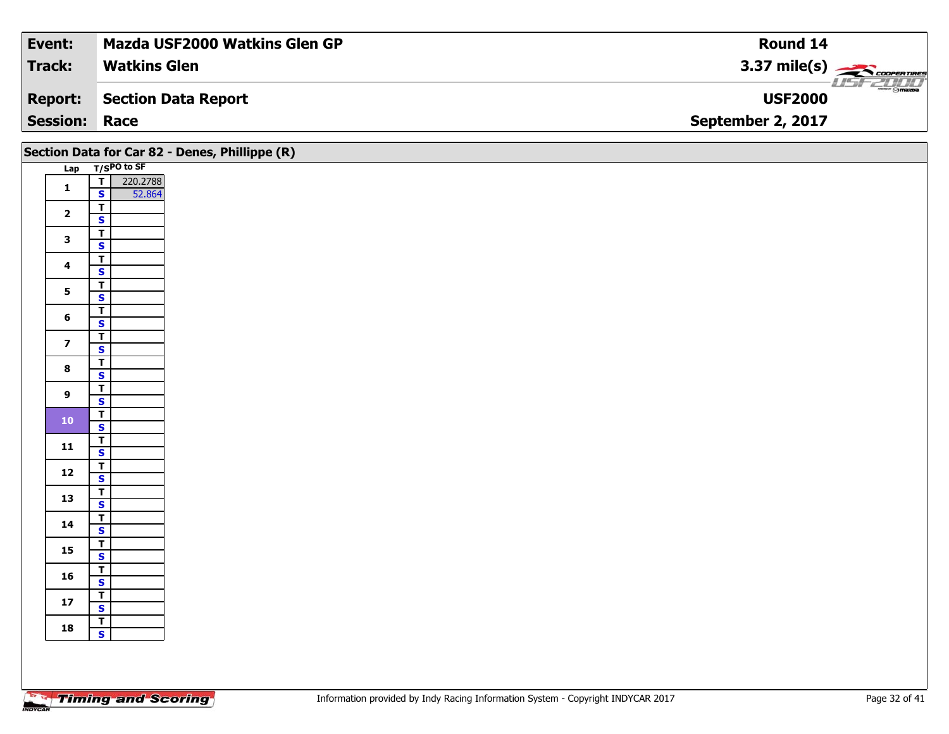| Event:               | <b>Mazda USF2000 Watkins Glen GP</b> | Round 14                               |
|----------------------|--------------------------------------|----------------------------------------|
| <b>Track:</b>        | <b>Watkins Glen</b>                  | 3.37 mile(s) $\sum$ coorewines         |
| <b>Report:</b>       | Section Data Report                  | <b>WWW.Fr @mazoa</b><br><b>USF2000</b> |
| <b>Session: Race</b> |                                      | September 2, 2017                      |

|                         |                                                               | Section Data for Car 82 - Denes, Phillippe (R) |
|-------------------------|---------------------------------------------------------------|------------------------------------------------|
|                         | Lap T/SPO to SF                                               |                                                |
| $\mathbf 1$             | $\overline{\mathsf{r}}$<br>220.2788<br>$\mathbf{s}$<br>52.864 |                                                |
| $\overline{2}$          | $\overline{\mathbf{r}}$<br>$\mathbf{s}$                       |                                                |
| $\mathbf{3}$            | $\overline{\mathbf{r}}$<br>$\overline{\mathbf{s}}$            |                                                |
| $\overline{\mathbf{4}}$ | $\overline{\mathbf{T}}$<br>$\mathsf{s}$                       |                                                |
| $5\phantom{a}$          | $\overline{\mathsf{T}}$<br>$\overline{\mathbf{s}}$            |                                                |
| $\boldsymbol{6}$        | $\overline{\mathsf{T}}$<br>$\mathbf{s}$                       |                                                |
| $\overline{z}$          | $\overline{\mathbf{T}}$<br>$\overline{\mathbf{s}}$            |                                                |
| $\bf8$                  | $\overline{\mathsf{T}}$<br>$\overline{\mathbf{s}}$            |                                                |
| $\boldsymbol{9}$        | $\overline{\mathbf{T}}$<br>$\mathsf{s}$                       |                                                |
| $\bf{10}$               | $\overline{r}$<br>$\overline{\mathbf{s}}$                     |                                                |
| $11$                    | $\frac{1}{s}$                                                 |                                                |
| $12$                    | $rac{T}{s}$                                                   |                                                |
| 13                      | $\overline{\mathbf{r}}$<br>$\mathbf{s}$                       |                                                |
| 14                      | $\overline{\mathbf{T}}$<br>$\mathbf{s}$                       |                                                |
| 15                      | $\mathbf{T}$<br>$\overline{\mathbf{s}}$                       |                                                |
| 16                      | $\overline{\mathbf{r}}$<br>$\mathsf{s}$                       |                                                |
| ${\bf 17}$              | $rac{T}{S}$                                                   |                                                |
| 18                      | $rac{1}{s}$                                                   |                                                |
|                         |                                                               |                                                |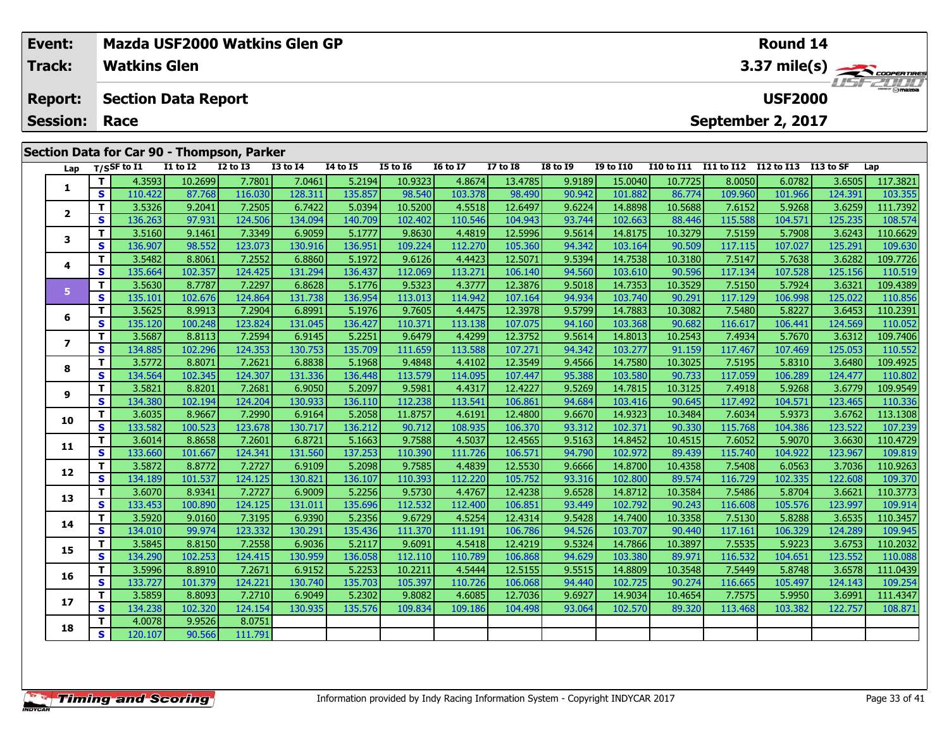|                      | Event:                  |              |                     |                            | Mazda USF2000 Watkins Glen GP              |                 |          |                 | Round 14        |                 |                 |                  |            |            |                   |            |          |  |
|----------------------|-------------------------|--------------|---------------------|----------------------------|--------------------------------------------|-----------------|----------|-----------------|-----------------|-----------------|-----------------|------------------|------------|------------|-------------------|------------|----------|--|
|                      | <b>Track:</b>           |              | <b>Watkins Glen</b> |                            |                                            |                 |          |                 |                 |                 | 3.37 mile(s)    |                  |            |            |                   |            |          |  |
|                      | <b>Report:</b>          |              |                     | <b>Section Data Report</b> |                                            |                 |          |                 | <b>USF2000</b>  |                 |                 |                  |            |            |                   |            |          |  |
| <b>Session: Race</b> |                         |              |                     |                            |                                            |                 |          |                 |                 |                 |                 |                  |            |            | September 2, 2017 |            |          |  |
|                      |                         |              |                     |                            | Section Data for Car 90 - Thompson, Parker |                 |          |                 |                 |                 |                 |                  |            |            |                   |            |          |  |
|                      | Lap                     |              | $T/S$ SF to I1      | <b>I1 to I2</b>            | $I2$ to $I3$                               | <b>I3 to I4</b> | 14 to 15 | <b>I5 to I6</b> | <b>I6 to I7</b> | <b>I7 to I8</b> | <b>I8 to I9</b> | <b>I9 to I10</b> | I10 to I11 | I11 to I12 | I12 to I13        | I 13 to SF | Lap      |  |
|                      |                         |              | 4.3593              | 10.2699                    | 7.7801                                     | 7.0461          | 5.2194   | 10.9323         | 4.8674          | 13.4785         | 9.9189          | 15.0040          | 10.7725    | 8.0050     | 6.0782            | 3.6505     | 117.3821 |  |
|                      |                         | $\mathbf{s}$ | 110.422             | 87.768                     | 116.030                                    | 128.311         | 135.857  | 98.540          | 103.378         | 98.490          | 90.942          | 101.882          | 86.774     | 109.960    | 101.966           | 124.391    | 103.355  |  |
|                      |                         |              | 3.5326              | 9.2041                     | 7.2505                                     | 6.7422          | 5.0394   | 10.5200         | 4.5518          | 12.6497         | 9.6224          | 14.8898          | 10.5688    | 7.6152     | 5.9268            | 3.6259     | 111.7392 |  |
|                      | $\overline{\mathbf{2}}$ | <b>S</b>     | 136.263             | 97.931                     | 124.506                                    | 134.094         | 140.709  | 102.402         | 110.546         | 104.943         | 93.744          | 102.663          | 88.446     | 115.588    | 104.571           | 125.235    | 108.574  |  |

| з  |   | 3.5160  | 9.1461  | 7.3349  | 6.9059  | 5.1777  | 9.8630  | 4.4819  | 12.5996 | 9.5614 | 14.8175 | 10.3279 | 7.5159  | 5.7908  | 3.6243  | 110.6629 |
|----|---|---------|---------|---------|---------|---------|---------|---------|---------|--------|---------|---------|---------|---------|---------|----------|
|    | s | 136.907 | 98.552  | 123.073 | 130.916 | 136.951 | 109.224 | 112.270 | 105.360 | 94.342 | 103.164 | 90.509  | 117.115 | 107.027 | 125.291 | 109.630  |
| 4  |   | 3.5482  | 8.8061  | 7.2552  | 6.8860  | 5.1972  | 9.6126  | 4.4423  | 12.5071 | 9.5394 | 14.7538 | 10.3180 | 7.5147  | 5.7638  | 3.6282  | 109.7726 |
|    | s | 135.664 | 102.357 | 124.425 | 131.294 | 136.437 | 112.069 | 113.27: | 106.140 | 94.560 | 103.610 | 90.596  | 117.134 | 107.528 | 125.156 | 110.519  |
| 5  |   | 3.5630  | 8.7787  | 7.2297  | 6.8628  | 5.1776  | 9.5323  | 4.3777  | 12.3876 | 9.5018 | 14.7353 | 10.3529 | 7.5150  | 5.7924  | 3.6321  | 109.4389 |
|    | S | 135.101 | 102.676 | 124.864 | 131.738 | 136.954 | 113.013 | 114.942 | 107.164 | 94.934 | 103.740 | 90.291  | 117.129 | 106.998 | 125.022 | 110.856  |
| 6  |   | 3.5625  | 8.9913  | 7.2904  | 6.8991  | 5.1976  | 9.7605  | 4.4475  | 12.3978 | 9.5799 | 14.7883 | 10.3082 | 7.5480  | 5.8227  | 3.6453  | 110.2391 |
|    | s | 135.120 | 100.248 | 123.824 | 131.045 | 136.427 | 110.371 | 113.138 | 107.075 | 94.160 | 103.368 | 90.682  | 116.617 | 106.441 | 124.569 | 110.052  |
|    |   | 3.5687  | 8.8113  | 7.2594  | 6.9145  | 5.2251  | 9.6479  | 4.4299  | 12.3752 | 9.5614 | 14.8013 | 10.2543 | 7.4934  | 5.7670  | 3.6312  | 109.7406 |
| 7  | s | 134.885 | 102.296 | 124.353 | 130.753 | 135.709 | 111.659 | 113.588 | 107.271 | 94.342 | 103.277 | 91.159  | 117.467 | 107.469 | 125.053 | 110.552  |
|    |   | 3.5772  | 8.8071  | 7.2621  | 6.8838  | 5.1968  | 9.4848  | 4.4102  | 12.3549 | 9.4566 | 14.7580 | 10.3025 | 7.5195  | 5.8310  | 3.6480  | 109.4925 |
| 8  | s | 134.564 | 102.345 | 124.307 | 131.336 | 136.448 | 113.579 | 114.095 | 107.447 | 95.388 | 103.580 | 90.733  | 117.059 | 106.289 | 124.477 | 110.802  |
| 9  |   | 3.5821  | 8.8201  | 7.2681  | 6.9050  | 5.2097  | 9.5981  | 4.4317  | 12.4227 | 9.5269 | 14.7815 | 10.3125 | 7.4918  | 5.9268  | 3.6779  | 109.9549 |
|    | s | 134.380 | 102.194 | 124.204 | 130.933 | 136.110 | 112.238 | 113.541 | 106.861 | 94.684 | 103.416 | 90.645  | 117.492 | 104.571 | 123.465 | 110.336  |
| 10 |   | 3.6035  | 8.9667  | 7.2990  | 6.9164  | 5.2058  | 11.8757 | 4.6191  | 12.4800 | 9.6670 | 14.9323 | 10.3484 | 7.6034  | 5.9373  | 3.6762  | 113.1308 |
|    | s | 133.582 | 100.523 | 123.678 | 130.717 | 136.212 | 90.712  | 108.935 | 106.370 | 93.312 | 102.371 | 90.330  | 115.768 | 104.386 | 123.522 | 107.239  |
| 11 |   | 3.6014  | 8.8658  | 7.2601  | 6.8721  | 5.1663  | 9.7588  | 4.5037  | 12.4565 | 9.5163 | 14.8452 | 10.4515 | 7.6052  | 5.9070  | 3.6630  | 110.4729 |
|    | s | 133.660 | 101.667 | 124.341 | 131.560 | 137.253 | 110.390 | 111.726 | 106.571 | 94.790 | 102.972 | 89.439  | 115.740 | 104.922 | 123.967 | 109.819  |
| 12 |   | 3.5872  | 8.8772  | 7.2727  | 6.9109  | 5.2098  | 9.7585  | 4.4839  | 12.5530 | 9.6666 | 14.8700 | 10.4358 | 7.5408  | 6.0563  | 3.7036  | 110.9263 |
|    | s | 134.189 | 101.537 | 124.125 | 130.821 | 136.107 | 110.393 | 112.220 | 105.752 | 93.316 | 102.800 | 89.574  | 116.729 | 102.335 | 122.608 | 109.370  |
| 13 |   | 3.6070  | 8.9341  | 7.2727  | 6.9009  | 5.2256  | 9.5730  | 4.4767  | 12.4238 | 9.6528 | 14.8712 | 10.3584 | 7.5486  | 5.8704  | 3.6621  | 110.3773 |
|    | S | 133.453 | 100.890 | 124.125 | 131.011 | 135.696 | 112.532 | 112.400 | 106.851 | 93.449 | 102.792 | 90.243  | 116.608 | 105.576 | 123.997 | 109.914  |
|    |   | 3.5920  | 9.0160  | 7.3195  | 6.9390  | 5.2356  | 9.6729  | 4.5254  | 12.4314 | 9.5428 | 14.7400 | 10.3358 | 7.5130  | 5.8288  | 3.6535  | 10.3457  |
| 14 | s | 134.010 | 99.974  | 123.332 | 130.291 | 135.436 | 111.370 | 111.191 | 106.786 | 94.526 | 103.707 | 90.440  | 117.161 | 106.329 | 124.289 | 109.945  |
| 15 |   | 3.5845  | 8.8150  | 7.2558  | 6.9036  | 5.2117  | 9.6091  | 4.5418  | 12.4219 | 9.5324 | 14.7866 | 10.3897 | 7.5535  | 5.9223  | 3.6753  | 110.2032 |
|    | s | 134.290 | 102.253 | 124.415 | 130.959 | 136.058 | 112.110 | 110.789 | 106.868 | 94.629 | 103.380 | 89.971  | 116.532 | 104.651 | 123.552 | 110.088  |
|    | т | 3.5996  | 8.8910  | 7.2671  | 6.9152  | 5.2253  | 10.2211 | 4.5444  | 12.5155 | 9.5515 | 14.8809 | 10.3548 | 7.5449  | 5.8748  | 3.6578  | 111.0439 |
| 16 | s | 133.727 | 101.379 | 124.221 | 130.740 | 135.703 | 105.397 | 110.726 | 106.068 | 94.440 | 102.725 | 90.274  | 116.665 | 105.497 | 124.143 | 109.254  |
| 17 |   | 3.5859  | 8.8093  | 7.2710  | 6.9049  | 5.2302  | 9.8082  | 4.6085  | 12.7036 | 9.6927 | 14.9034 | 10.4654 | 7.7575  | 5.9950  | 3.6991  | 111.4347 |
|    | s | 134.238 | 102.320 | 124.154 | 130.935 | 135.576 | 109.834 | 109.186 | 104.498 | 93.064 | 102.570 | 89.320  | 113.468 | 103.382 | 122.757 | 108.871  |

**<sup>T</sup>** 4.0078 9.9526 8.0751 **<sup>S</sup>** 120.107 90.566 111.791

111.791

**18**

 $\frac{108.574}{110.6629}$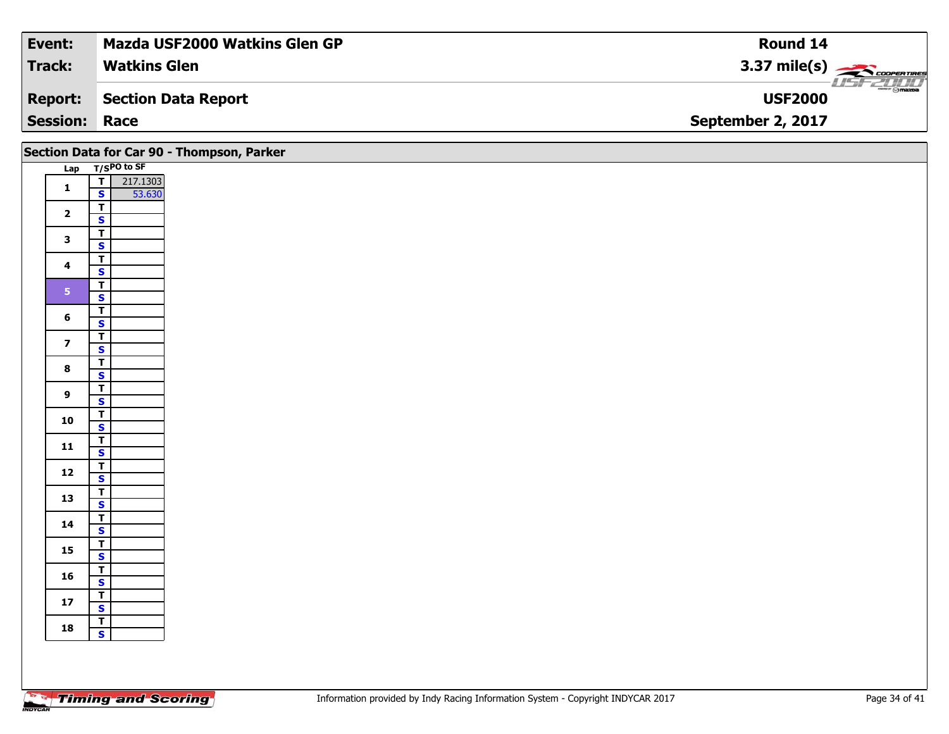| <b>Event:</b>        | <b>Mazda USF2000 Watkins Glen GP</b> | Round 14                               |
|----------------------|--------------------------------------|----------------------------------------|
| <b>Track:</b>        | <b>Watkins Glen</b>                  | 3.37 mile(s) $\rightarrow$ COOPERTIRES |
| Report:              | Section Data Report                  | $ \Theta$ mazpa<br><b>USF2000</b>      |
| <b>Session: Race</b> |                                      | September 2, 2017                      |

|                         |                                                    | Section Data for Car 90 - Thompson, Parker |
|-------------------------|----------------------------------------------------|--------------------------------------------|
|                         | Lap T/SPO to SF                                    |                                            |
|                         | 217.1303<br>$\frac{1}{s}$                          |                                            |
| $\mathbf{1}$            | 53.630                                             |                                            |
| $\overline{\mathbf{2}}$ | $\overline{\mathsf{T}}$                            |                                            |
|                         | $\mathbf{s}$                                       |                                            |
| $\mathbf{3}$            | $\overline{t}$                                     |                                            |
|                         | $\overline{\mathbf{s}}$                            |                                            |
| $\overline{\mathbf{4}}$ | $\overline{\mathsf{T}}$                            |                                            |
|                         | $\mathbf{s}$                                       |                                            |
| 5 <sub>1</sub>          | $\mathbf{T}$                                       |                                            |
|                         | $\overline{\mathbf{s}}$                            |                                            |
| 6                       | $\overline{T}$<br>$\mathbf{s}$                     |                                            |
|                         |                                                    |                                            |
| $\overline{z}$          | $\overline{\mathbf{r}}$<br>$\overline{\mathbf{s}}$ |                                            |
|                         | $\overline{\mathbf{T}}$                            |                                            |
| $\bf{8}$                | $\overline{\mathbf{s}}$                            |                                            |
|                         | $\overline{L}$                                     |                                            |
| $9^{\circ}$             | $\mathbf{s}$                                       |                                            |
|                         | $\overline{1}$                                     |                                            |
| 10                      | $\overline{\mathbf{s}}$                            |                                            |
|                         | $\overline{\mathsf{r}}$                            |                                            |
| $11$                    | $\mathbf{s}$                                       |                                            |
| $12$                    | $\overline{\mathbf{T}}$                            |                                            |
|                         | $\overline{\mathbf{s}}$                            |                                            |
| 13                      | $\overline{r}$                                     |                                            |
|                         | $\mathbf{s}$                                       |                                            |
| 14                      | $\overline{\mathsf{r}}$                            |                                            |
|                         | $\mathbf{s}$                                       |                                            |
| $15\phantom{.0}$        | $rac{1}{s}$                                        |                                            |
|                         | $\overline{T}$                                     |                                            |
| 16                      | $\overline{\mathbf{s}}$                            |                                            |
|                         | $\overline{\mathsf{T}}$                            |                                            |
| 17                      | $\overline{\mathbf{s}}$                            |                                            |
|                         | $\mathbf{T}$                                       |                                            |
| 18                      | $\mathbf{s}$                                       |                                            |
|                         |                                                    |                                            |
|                         |                                                    |                                            |
|                         |                                                    |                                            |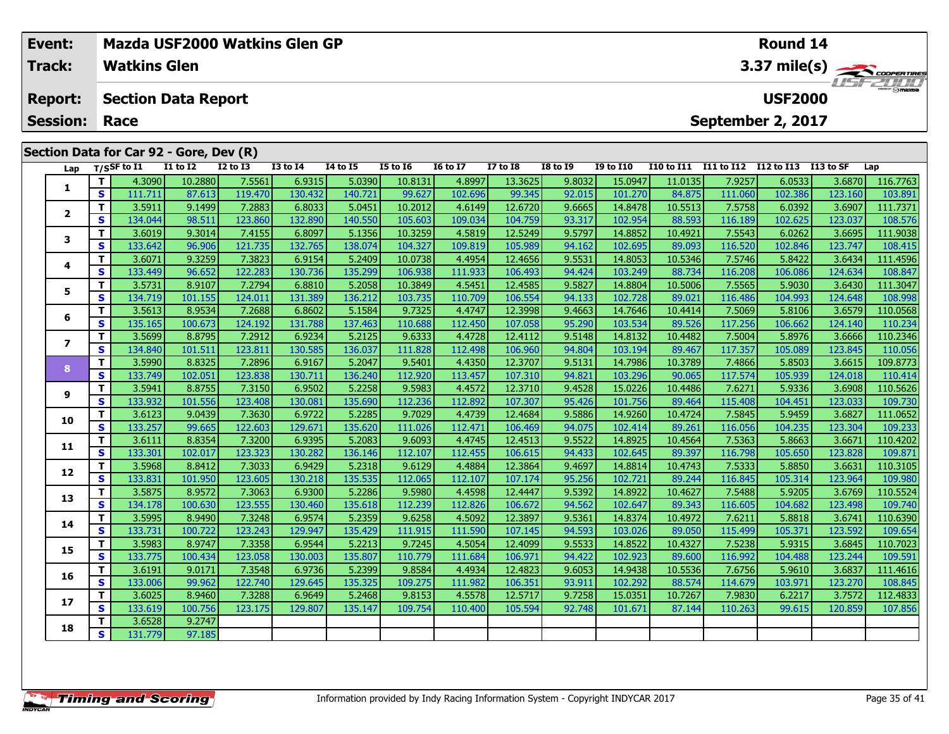| Event:<br><b>Track:</b> |    | Mazda USF2000 Watkins Glen GP<br><b>Watkins Glen</b> |                 |                 |                 |                 |                 |                 |                 |                 |                  |                   |            | <b>Round 14</b>      |         | $3.37 \text{ mile(s)}$ |
|-------------------------|----|------------------------------------------------------|-----------------|-----------------|-----------------|-----------------|-----------------|-----------------|-----------------|-----------------|------------------|-------------------|------------|----------------------|---------|------------------------|
| <b>Report:</b>          |    | <b>Section Data Report</b>                           |                 |                 |                 |                 |                 |                 |                 |                 |                  |                   |            | <b>USF2000</b>       |         | $T = -T/T/T$           |
| <b>Session:</b>         |    | Race                                                 |                 |                 |                 |                 |                 |                 |                 |                 |                  |                   |            | September 2, 2017    |         |                        |
|                         |    | Section Data for Car 92 - Gore, Dev (R)              |                 |                 |                 |                 |                 |                 |                 |                 |                  |                   |            |                      |         |                        |
| Lap                     |    | $T/S$ SF to $\overline{11}$                          | <b>I1 to I2</b> | <b>I2 to I3</b> | <b>I3 to I4</b> | <b>14 to 15</b> | <b>I5 to 16</b> | <b>16 to 17</b> | <b>I7 to I8</b> | <b>I8 to I9</b> | <b>I9 to I10</b> | <b>I10 to I11</b> | I11 to I12 | I12 to I13 I13 to SF |         | Lap                    |
| 1                       | т  | 4.3090                                               | 10.2880         | 7.5561          | 6.9315          | 5.0390          | 10.8131         | 4.8997          | 13.3625         | 9.8032          | 15.0947          | 11.0135           | 7.9257     | 6.0533               | 3.6870  | 116.7763               |
|                         | S  | 111.711                                              | 87.613          | 119.470         | 130.432         | 140.721         | 99.627          | 102.696         | 99.345          | 92.015          | 101.270          | 84.875            | 111.060    | 102.386              | 123.160 | 103.891                |
| $\mathbf{2}$            | т  | 3.5911                                               | 9.1499          | 7.2883          | 6.8033          | 5.0451          | 10.2012         | 4.6149          | 12.6720         | 9.6665          | 14.8478          | 10.5513           | 7.5758     | 6.0392               | 3.6907  | 111.7371               |
|                         | S  | 134.044                                              | 98.511          | 123.860         | 132.890         | 140.550         | 105.603         | 109.034         | 104.759         | 93.317          | 102.954          | 88.593            | 116.189    | 102.625              | 123.037 | 108.576                |
| 3                       | т  | 3.6019                                               | 9.3014          | 7.4155          | 6.8097          | 5.1356          | 10.3259         | 4.5819          | 12.5249         | 9.5797          | 14.8852          | 10.4921           | 7.5543     | 6.0262               | 3.6695  | 111.9038               |
|                         | S  | 133.642                                              | 96.906          | 121.735         | 132.765         | 138.074         | 104.327         | 109.819         | 105.989         | 94.162          | 102.695          | 89.093            | 116.520    | 102.846              | 123.747 | 108.415                |
| 4                       |    | 3.6071                                               | 9.3259          | 7.3823          | 6.9154          | 5.2409          | 10.0738         | 4.4954          | 12.4656         | 9.5531          | 14.8053          | 10.5346           | 7.5746     | 5.8422               | 3.6434  | 111.4596               |
|                         | S  | 133.449                                              | 96.652          | 122.283         | 130.736         | 135.299         | 106.938         | 111.933         | 106.493         | 94.424          | 103.249          | 88.734            | 116.208    | 106.086              | 124.634 | 108.847                |
| 5                       | т  | 3.5731                                               | 8.9107          | 7.2794          | 6.8810          | 5.2058          | 10.3849         | 4.5451          | 12.4585         | 9.5827          | 14.8804          | 10.5006           | 7.5565     | 5.9030               | 3.6430  | 111.3047               |
|                         | S  | 134.719                                              | 101.155         | 124.011         | 131.389         | 136.212         | 103.735         | 110.709         | 106.554         | 94.133          | 102.728          | 89.021            | 116.486    | 104.993              | 124.648 | 108.998                |
| 6                       | т  | 3.5613                                               | 8.9534          | 7.2688          | 6.8602          | 5.1584          | 9.7325          | 4.4747          | 12.3998         | 9.4663          | 14.7646          | 10.4414           | 7.5069     | 5.8106               | 3.6579  | 110.0568               |
|                         | S  | 135.165                                              | 100.673         | 124.192         | 131.788         | 137.463         | 110.688         | 112.450         | 107.058         | 95.290          | 103.534          | 89.526            | 117.256    | 106.662              | 124.140 | 110.234                |
| 7                       | т  | 3.5699                                               | 8.8795          | 7.2912          | 6.9234          | 5.2125          | 9.6333          | 4.4728          | 12.4112         | 9.5148          | 14.8132          | 10.4482           | 7.5004     | 5.8976               | 3.6666  | 110.2346               |
|                         | S. | 134.840                                              | 101.511         | 123.811         | 130.585         | 136.037         | 111.828         | 112.498         | 106.960         | 94.804          | 103.194          | 89.467            | 117.357    | 105.089              | 123.845 | 110.056                |
| 8                       | т  | 3.5990                                               | 8.8325          | 7.2896          | 6.9167          | 5.2047          | 9.5401          | 4.4350          | 12.3707         | 9.5131          | 14.7986          | 10.3789           | 7.4866     | 5.8503               | 3.6615  | 109.8773               |
|                         | S  | 133.749                                              | 102.051         | 123.838         | 130.711         | 136.240         | 112.920         | 113.457         | 107.310         | 94.821          | 103.296          | 90.065            | 117.574    | 105.939              | 124.018 | 110.414                |
| 9                       | т  | 3.5941                                               | 8.8755          | 7.3150          | 6.9502          | 5.2258          | 9.5983          | 4.4572          | 12.3710         | 9.4528          | 15.0226          | 10.4486           | 7.6271     | 5.9336               | 3.6908  | 110.5626               |
|                         | S  | 133.932                                              | 101.556         | 123.408         | 130.081         | 135.690         | 112.236         | 112.892         | 107.307         | 95.426          | 101.756          | 89.464            | 115.408    | 104.451              | 123.033 | 109.730                |

**<sup>T</sup>** 3.6528 9.2747 **<sup>S</sup>** 131.779 97.185

97.185

**10**

**11**

**12**

**13**

**14**

**15**

**16**

**17**

**18**

0 | T | 3.6123| 9.0439| 7.3630| 6.9722| 5.2285| 9.7029| 4.4739| 12.4684| 9.5886| 14.9260| 10.4724| 7.5845| 5.9459| 3.6827| 111.0652<br>| S | 133.257| 99.665| 122.603| 129.671| 135.620| 111.026| 112.471| 106.469| 94.075| 102.4

**<sup>T</sup>** 3.6111 8.8354 7.3200 6.9395 5.2083 9.6093 4.4745 12.4513 9.5522 14.8925 10.4564 7.5363 5.8663 3.6671 110.4202 **<sup>S</sup>** 133.301 102.017 123.323 130.282 136.146 112.107 112.455 106.615 94.433 102.645 89.397 116.798 105.650 123.828 109.871

2 T 3.5968 8.8412 7.3033 6.9429 5.2318 9.6129 4.4884 12.3864 9.4697 14.8814 10.4743 7.5333 5.8850 3.6631 110.3105<br>2 S 133.831 101.950 123.605 130.218 135.535 112.065 112.107 107.174 95.256 102.721 89.244 116.845 105.314 12

3 T 3.5875| 8.9572| 7.3063| 6.9300| 5.2286| 9.5980| 4.4598| 12.4447| 9.5392| 14.8922| 10.4627| 7.5488| 5.9205| 3.6769| 110.5524<br>S 134.178 100.630 123.555 130.460 135.618 112.239 112.826 106.672 94.562 102.647 89.343 116.60

**<sup>T</sup>** 3.5995 8.9490 7.3248 6.9574 5.2359 9.6258 4.5092 12.3897 9.5361 14.8374 10.4972 7.6211 5.8818 3.6741 110.6390 **<sup>S</sup>** 133.731 100.722 123.243 129.947 135.429 111.915 111.590 107.145 94.593 103.026 89.050 115.499 105.371 123.592 109.654

**<sup>T</sup>** 3.5983 8.9747 7.3358 6.9544 5.2213 9.7245 4.5054 12.4099 9.5533 14.8522 10.4327 7.5238 5.9315 3.6845 110.7023 **<sup>S</sup>** 133.775 100.434 123.058 130.003 135.807 110.779 111.684 106.971 94.422 102.923 89.600 116.992 104.488 123.244 109.591

**<sup>T</sup>** 3.6191 9.0171 7.3548 6.9736 5.2399 9.8584 4.4934 12.4823 9.6053 14.9438 10.5536 7.6756 5.9610 3.6837 111.4616 **<sup>S</sup>** 133.006 99.962 122.740 129.645 135.325 109.275 111.982 106.351 93.911 102.292 88.574 114.679 103.971 123.270 108.845

7 T 3.6025| 8.9460| 7.3288| 6.9649| 5.2468| 9.8153| 4.5578| 12.5717| 9.7258| 15.0351| 10.7267| 7.9830| 6.2217| 3.7572| 112.4833<br>7 S 133.619| 100.756| 123.175| 129.807| 135.147| 109.754| 110.400| 105.594| 92.748| 101.671| 8

109.730

109.740

109.654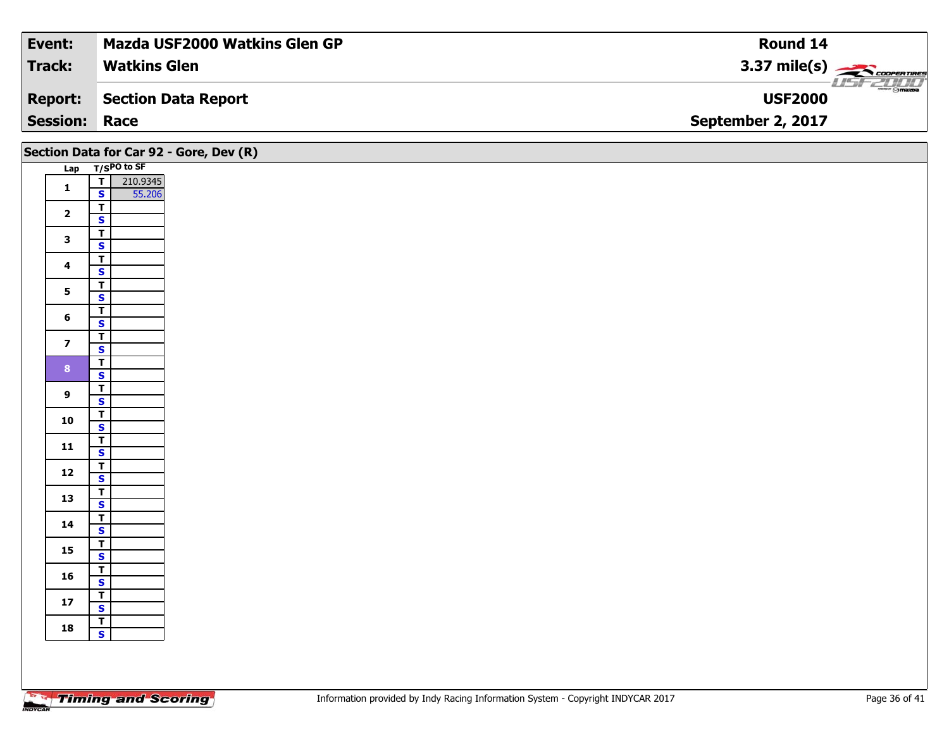| <b>Track:</b><br><b>Watkins Glen</b><br>3.37 mile(s) $\leftarrow$ coorer TIRES |                                        |
|--------------------------------------------------------------------------------|----------------------------------------|
|                                                                                |                                        |
| Section Data Report<br><b>USF2000</b><br><b>Report:</b>                        | $\overline{\phantom{m}}$ $\odot$ mazpa |
| <b>Session: Race</b><br>September 2, 2017                                      |                                        |

|                         |                                                            | Section Data for Car 92 - Gore, Dev (R) |  |  |  |  |  |
|-------------------------|------------------------------------------------------------|-----------------------------------------|--|--|--|--|--|
|                         | Lap T/SPO to SF                                            |                                         |  |  |  |  |  |
| $\mathbf 1$             | 210.9345<br>$\boxed{\mathbf{I}}$<br>$\mathbf{s}$<br>55.206 |                                         |  |  |  |  |  |
| $\overline{\mathbf{2}}$ | $\overline{\mathbf{r}}$<br>$\mathbf{s}$                    |                                         |  |  |  |  |  |
| $\mathbf{3}$            | $\overline{\mathbf{r}}$<br>$\overline{\mathbf{s}}$         |                                         |  |  |  |  |  |
| $\overline{\mathbf{4}}$ | $\overline{\mathsf{T}}$<br>$\mathbf{s}$                    |                                         |  |  |  |  |  |
| $5\phantom{a}$          | $\overline{\mathsf{T}}$<br>$\overline{\mathbf{s}}$         |                                         |  |  |  |  |  |
| $6\phantom{1}$          | $\overline{\mathbf{r}}$<br>$\overline{\mathbf{s}}$         |                                         |  |  |  |  |  |
| $\overline{\mathbf{z}}$ | $\overline{1}$<br>$\mathbf{s}$                             |                                         |  |  |  |  |  |
| $\mathbf{8}$            | $\overline{\mathbf{r}}$                                    |                                         |  |  |  |  |  |
| $\boldsymbol{9}$        | $\overline{\mathbf{s}}$<br>$rac{1}{s}$                     |                                         |  |  |  |  |  |
| 10                      | $\mathbf{T}$                                               |                                         |  |  |  |  |  |
| $11$                    | $\overline{\mathbf{s}}$<br>$\frac{1}{s}$                   |                                         |  |  |  |  |  |
|                         | $\overline{\mathbf{r}}$                                    |                                         |  |  |  |  |  |
| 12                      | $\mathbf{s}$<br>$\overline{\mathsf{r}}$                    |                                         |  |  |  |  |  |
| 13                      | $\overline{\mathbf{s}}$                                    |                                         |  |  |  |  |  |
| 14                      | $\frac{1}{\mathsf{S}}$                                     |                                         |  |  |  |  |  |
| 15                      | $\frac{1}{s}$                                              |                                         |  |  |  |  |  |
| 16                      | $\frac{T}{S}$                                              |                                         |  |  |  |  |  |
| $17$                    | $\overline{\mathbf{T}}$<br>$\mathbf{s}$                    |                                         |  |  |  |  |  |
| 18                      | $\frac{1}{s}$                                              |                                         |  |  |  |  |  |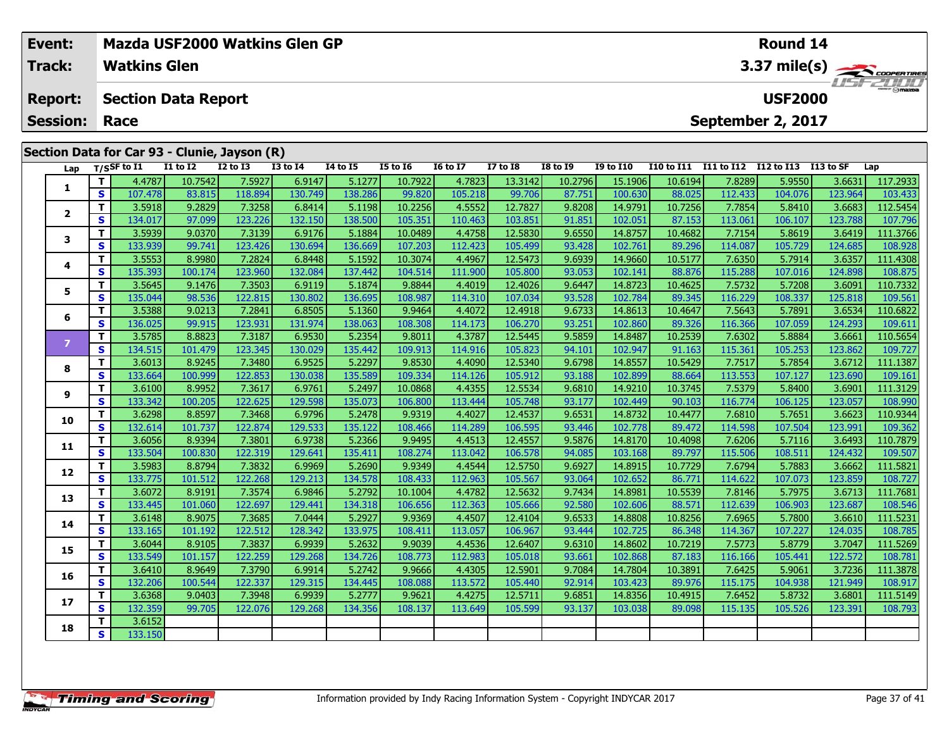| Event: |                      |    | Mazda USF2000 Watkins Glen GP |                 |                                              |                 |                 |                 |                 |                 |                 |                  |                   | <b>Round 14</b>        |                   |                  |                 |  |  |
|--------|----------------------|----|-------------------------------|-----------------|----------------------------------------------|-----------------|-----------------|-----------------|-----------------|-----------------|-----------------|------------------|-------------------|------------------------|-------------------|------------------|-----------------|--|--|
| Track: |                      |    | <b>Watkins Glen</b>           |                 |                                              |                 |                 |                 |                 |                 |                 |                  |                   | $3.37 \text{ mile(s)}$ |                   |                  |                 |  |  |
|        | <b>Report:</b>       |    | <b>Section Data Report</b>    |                 |                                              |                 |                 |                 |                 |                 |                 |                  |                   |                        | <b>USF2000</b>    |                  | <b>LISTZULU</b> |  |  |
|        | <b>Session: Race</b> |    |                               |                 |                                              |                 |                 |                 |                 |                 |                 |                  |                   |                        | September 2, 2017 |                  |                 |  |  |
|        |                      |    |                               |                 |                                              |                 |                 |                 |                 |                 |                 |                  |                   |                        |                   |                  |                 |  |  |
|        |                      |    |                               |                 | Section Data for Car 93 - Clunie, Jayson (R) |                 |                 |                 |                 |                 |                 |                  |                   |                        |                   |                  |                 |  |  |
|        | Lap                  |    | $T/S$ SF to I1                | <b>I1 to I2</b> | $I2$ to $I3$                                 | <b>I3 to I4</b> | <b>I4 to I5</b> | <b>I5 to 16</b> | <b>16 to 17</b> | <b>I7 to I8</b> | <b>I8 to 19</b> | <b>I9 to I10</b> | <b>I10 to I11</b> | I11 to I12             | I12 to I13        | <b>I13 to SF</b> | Lap             |  |  |
|        |                      |    | 4.4787                        | 10.7542         | 7.5927                                       | 6.9147          | 5.1277          | 10.7922         | 4.7823          | 13.3142         | 10.2796         | 15.1906          | 10.6194           | 7.8289                 | 5.9550            | 3.6631           | 117.2933        |  |  |
|        |                      | S. | 107.478                       | 83.815          | 118.894                                      | 130.749         | 138.286         | 99.820          | 105.218         | 99.706          | 87.751          | 100.630          | 88.025            | 112.433                | 104.076           | 123.964          | 103.433         |  |  |
|        |                      |    | 3.5918                        | 9.2829          | 7.3258                                       | 6.8414          | 5.1198          | 10.2256         | 4.5552          | 12.7827         | 9.8208          | 14.9791          | 10.7256           | 7.7854                 | 5.8410            | 3.6683           | 112.5454        |  |  |
|        |                      | S. | 134.017                       | 97.099          | 123.226                                      | 132.150         | 138.500         | 105.351         | 110.463         | 103.851         | 91.851          | 102.051          | 87.153            | 113.061                | 106.107           | 123.788          | 107.796         |  |  |
|        |                      |    | 3.5939                        | 9.0370          | 7.3139                                       | 6.9176          | 5.1884          | 10.0489         | 4.4758          | 12.5830         | 9.6550          | 14.8757          | 10.4682           | 7.7154                 | 5.8619            | 3.6419           | 111.3766        |  |  |
|        | 3                    | S  | 133.939                       | 99.741          | 123,426                                      | 130.694         | 136.669         | 107.203         | 112.423         | 105.499         | 93.428          | 102.761          | 89.296            | 114.087                | 105.729           | 124.685          | 108.928         |  |  |

| T.<br>4.4787<br>10.7542<br>7.5927<br>5.1277<br>10.7922<br>13.3142<br>10.2796<br>15.1906<br>10.6194<br>7.8289<br>117.2933<br>6.9147<br>4.7823<br>5.9550<br>3.6631<br>1<br>S<br>118.894<br>130.749<br>138.286<br>99.820<br>105.218<br>99.706<br>88.025<br>107.478<br>83.815<br>87.751<br>100.630<br>112.433<br>104.076<br>123.964<br>103.433<br>T.<br>7.3258<br>4.5552<br>12.7827<br>10.7256<br>7.7854<br>112.5454<br>3.5918<br>9.2829<br>6.8414<br>5.1198<br>10.2256<br>9.8208<br>14.9791<br>5.8410<br>3.6683<br>$\overline{2}$<br>S<br>87.153<br>134.017<br>132.150<br>138.500<br>113.061<br>97.099<br>123.226<br>105.351<br>110.463<br>103.851<br>91.851<br>102.051<br>106.107<br>123.788<br>107.796<br>7.7154<br>Т<br>3.5939<br>7.3139<br>6.9176<br>5.1884<br>10.0489<br>4.4758<br>12.5830<br>9.6550<br>14.8757<br>10.4682<br>3.6419<br>111.3766<br>9.0370<br>5.8619<br>3<br>$\mathbf{s}$<br>133.939<br>123.426<br>130.694<br>136.669<br>107.203<br>112.423<br>105.499<br>93.428<br>89.296<br>114.087<br>108.928<br>99.741<br>102.761<br>105.729<br>124.685<br>3.5553<br>7.2824<br>6.8448<br>4.4967<br>12.5473<br>10.5177<br>7.6350<br>T.<br>8.9980<br>5.1592<br>10.3074<br>9.6939<br>14.9660<br>5.7914<br>3.6357<br>111.4308<br>4<br>$\mathbf{s}$<br>135.393<br>132.084<br>137.442<br>111.900<br>88.876<br>115.288<br>100.174<br>123.960<br>104.514<br>105.800<br>93.053<br>102.141<br>107.016<br>124.898<br>108.875<br>10.4625<br>7.5732<br>T.<br>3.5645<br>9.1476<br>7.3503<br>6.9119<br>5.1874<br>9.8844<br>4.4019<br>12.4026<br>5.7208<br>3.6091<br>110.7332<br>9.6447<br>14.8723<br>5<br>$\mathbf{s}$<br>135.044<br>122.815<br>130.802<br>136.695<br>114.310<br>107.034<br>93.528<br>89.345<br>116.229<br>125.818<br>109.561<br>98.536<br>108.987<br>102.784<br>108.337<br>3.5388<br>6.8505<br>12.4918<br>10.4647<br>7.5643<br>Т<br>9.0213<br>7.2841<br>5.1360<br>9.9464<br>4.4072<br>9.6733<br>14.8613<br>5.7891<br>3.6534<br>110.6822<br>6<br>$\mathbf{s}$<br>136.025<br>138.063<br>99.915<br>123.931<br>131.974<br>108.308<br>114.173<br>106.270<br>93.251<br>102.860<br>89.326<br>116.366<br>107.059<br>124.293<br>109.611<br>$\mathbf{T}$<br>3.5785<br>8.8823<br>7.3187<br>6.9530<br>5.2354<br>9.8011<br>4.3787<br>12.5445<br>9.5859<br>10.2539<br>7.6302<br>3.6661<br>110.5654<br>14.8487<br>5.8884<br>$\overline{7}$<br>$\mathbf{s}$<br>91.163<br>134.515<br>123.345<br>130.029<br>135.442<br>109.913<br>114.916<br>105.823<br>115.361<br>123.862<br>109.727<br>101.479<br>94.101<br>102.947<br>105.253<br>3.6013<br>6.9525<br>12.5340<br>10.5429<br>7.7517<br>T.<br>8.9245<br>7.3480<br>5.2297<br>9.8530<br>4.4090<br>9.6798<br>14.8557<br>5.7854<br>3.6712<br>111.1387<br>8<br>$\mathbf{s}$<br>88.664<br>133.664<br>100.999<br>122.853<br>130.038<br>135.589<br>109.334<br>114.126<br>105.912<br>93.188<br>102.899<br>113.553<br>107.127<br>123.690<br>109.161<br>3.6100<br>6.9761<br>4.4355<br>12.5534<br>10.3745<br>7.5379<br>3.6901<br>111.3129<br>т<br>8.9952<br>7.3617<br>5.2497<br>10.0868<br>9.6810<br>14.9210<br>5.8400<br>9<br>$\mathbf{s}$<br>133.342<br>100.205<br>129.598<br>135.073<br>90.103<br>123.057<br>122.625<br>106.800<br>113.444<br>105.748<br>93.177<br>102.449<br>116.774<br>106.125<br>108.990<br>3.6298<br>т<br>8.8597<br>7.3468<br>6.9796<br>5.2478<br>9.9319<br>4.4027<br>12.4537<br>9.6531<br>14.8732<br>10.4477<br>7.6810<br>5.7651<br>3.6623<br>110.9344<br>10<br>$\mathbf{s}$<br>132.614<br>101.737<br>122.874<br>129.533<br>135.122<br>108.466<br>114.289<br>106.595<br>93.446<br>89.472<br>114.598<br>107.504<br>123.991<br>109.362<br>102.778<br>т<br>3.6056<br>6.9738<br>9.9495<br>12.4557<br>10.4098<br>8.9394<br>7.3801<br>5.2366<br>4.4513<br>9.5876<br>14.8170<br>7.6206<br>5.7116<br>3.6493<br>110.7879<br>11<br>S<br>133.504<br>122.319<br>129.641<br>89.797<br>100.830<br>135.411<br>108.274<br>113.042<br>106.578<br>94.085<br>103.168<br>115.506<br>108.511<br>124.432<br>109.507<br>3.5983<br>12.5750<br>8.8794<br>7.3832<br>6.9969<br>5.2690<br>9.9349<br>4.4544<br>9.6927<br>14.8915<br>10.7729<br>7.6794<br>5.7883<br>3.6662<br>111.5821<br>т<br>12<br>S<br>133.775<br>101.512<br>122.268<br>129.213<br>134.578<br>108.433<br>112.963<br>105.567<br>93.064<br>102.652<br>86.771<br>114.622<br>107.073<br>123.859<br>108.727<br>3.6072<br>6.9846<br>12.5632<br>10.5539<br>7.8146<br>111.7681<br>т<br>8.9191<br>7.3574<br>5.2792<br>10.1004<br>4.4782<br>9.7434<br>14.8981<br>5.7975<br>3.6713<br>13<br>S<br>129.441<br>134.318<br>112.363<br>88.571<br>133.445<br>101.060<br>122.697<br>106.656<br>105.666<br>92.580<br>102.606<br>112.639<br>106.903<br>123.687<br>108.546<br>3.6148<br>8.9075<br>7.3685<br>7.0444<br>5.2927<br>9.9369<br>4.4507<br>12.4104<br>9.6533<br>14.8808<br>10.8256<br>7.6965<br>3.6610<br>111.5231<br>т<br>5.7800<br>14<br>S<br>133.165<br>101.192<br>122.512<br>128.342<br>133.975<br>113.057<br>106.967<br>86.348<br>124.035<br>108.785<br>108.411<br>93.444<br>102.725<br>114.367<br>107.227<br>3.6044<br>6.9939<br>12.6407<br>10.7219<br>7.5773<br>т<br>8.9105<br>7.3837<br>5.2632<br>9.9039<br>4.4536<br>9.6310<br>14.8602<br>5.8779<br>3.7047<br>111.5269<br>15<br>$\mathbf{s}$<br>129.268<br>87.183<br>133.549<br>101.157<br>122.259<br>134.726<br>112.983<br>105.018<br>93.661<br>102.868<br>116.166<br>122.572<br>108.781<br>108.773<br>105.441<br>т<br>3.6410<br>6.9914<br>5.2742<br>9.9666<br>12.5901<br>10.3891<br>7.6425<br>8.9649<br>7.3790<br>4.4305<br>9.7084<br>14.7804<br>5.9061<br>3.7236<br>111.3878<br>16<br>S<br>132.206<br>129.315<br>89.976<br>121.949<br>100.544<br>122.337<br>134.445<br>113.572<br>105.440<br>92.914<br>103.423<br>115.175<br>104.938<br>108.917<br>108.088<br>6.9939<br>12.5711<br>т<br>3.6368<br>7.3948<br>5.2777<br>9.9621<br>4.4275<br>9.6851<br>14.8356<br>10.4915<br>7.6452<br>5.8732<br>3.6801<br>111.5149<br>9.0403<br>17<br>$\mathbf{s}$<br>132.359<br>99.705<br>129.268<br>134.356<br>105.599<br>89.098<br>122.076<br>113.649<br>93.137<br>115.135<br>105.526<br>123.391<br>108.793<br>108.137<br>103.038<br>3.6152<br>т<br>18<br>S<br>133.150 | Lap | T/SSF to I1 | <b>I1 to I2</b> | <b>I2 to I3</b> | <b>I3 to I4</b> | <b>I4 to I5</b> | <b>I5 to 16</b> | <b>16 to 17</b> | <b>I7 to I8</b> | <b>I8 to I9</b> | <b>I9 to I10</b> |  | I10 to I11 I11 to I12 I12 to I13 I13 to SF | Lap |
|------------------------------------------------------------------------------------------------------------------------------------------------------------------------------------------------------------------------------------------------------------------------------------------------------------------------------------------------------------------------------------------------------------------------------------------------------------------------------------------------------------------------------------------------------------------------------------------------------------------------------------------------------------------------------------------------------------------------------------------------------------------------------------------------------------------------------------------------------------------------------------------------------------------------------------------------------------------------------------------------------------------------------------------------------------------------------------------------------------------------------------------------------------------------------------------------------------------------------------------------------------------------------------------------------------------------------------------------------------------------------------------------------------------------------------------------------------------------------------------------------------------------------------------------------------------------------------------------------------------------------------------------------------------------------------------------------------------------------------------------------------------------------------------------------------------------------------------------------------------------------------------------------------------------------------------------------------------------------------------------------------------------------------------------------------------------------------------------------------------------------------------------------------------------------------------------------------------------------------------------------------------------------------------------------------------------------------------------------------------------------------------------------------------------------------------------------------------------------------------------------------------------------------------------------------------------------------------------------------------------------------------------------------------------------------------------------------------------------------------------------------------------------------------------------------------------------------------------------------------------------------------------------------------------------------------------------------------------------------------------------------------------------------------------------------------------------------------------------------------------------------------------------------------------------------------------------------------------------------------------------------------------------------------------------------------------------------------------------------------------------------------------------------------------------------------------------------------------------------------------------------------------------------------------------------------------------------------------------------------------------------------------------------------------------------------------------------------------------------------------------------------------------------------------------------------------------------------------------------------------------------------------------------------------------------------------------------------------------------------------------------------------------------------------------------------------------------------------------------------------------------------------------------------------------------------------------------------------------------------------------------------------------------------------------------------------------------------------------------------------------------------------------------------------------------------------------------------------------------------------------------------------------------------------------------------------------------------------------------------------------------------------------------------------------------------------------------------------------------------------------------------------------------------------------------------------------------------------------------------------------------------------------------------------------------------------------------------------------------------------------------------------------------------------------------------------------------------------------------------------------------------------------------------------------------------------------------------------------------------------------------------------------------------------------------------------------------------------------------------------------------------------------------------------------------------------------------------------------------------------------------------------------------------------------------------------------------------------------------------------------------------------------------------------------------------------------------------------------------------------------------------------------------------------------------------------------------------------------------------------------------------------------------------------------------------------------------------------------------------------------------------------------------------------------------------------------------------------|-----|-------------|-----------------|-----------------|-----------------|-----------------|-----------------|-----------------|-----------------|-----------------|------------------|--|--------------------------------------------|-----|
|                                                                                                                                                                                                                                                                                                                                                                                                                                                                                                                                                                                                                                                                                                                                                                                                                                                                                                                                                                                                                                                                                                                                                                                                                                                                                                                                                                                                                                                                                                                                                                                                                                                                                                                                                                                                                                                                                                                                                                                                                                                                                                                                                                                                                                                                                                                                                                                                                                                                                                                                                                                                                                                                                                                                                                                                                                                                                                                                                                                                                                                                                                                                                                                                                                                                                                                                                                                                                                                                                                                                                                                                                                                                                                                                                                                                                                                                                                                                                                                                                                                                                                                                                                                                                                                                                                                                                                                                                                                                                                                                                                                                                                                                                                                                                                                                                                                                                                                                                                                                                                                                                                                                                                                                                                                                                                                                                                                                                                                                                                                                                                                                                                                                                                                                                                                                                                                                                                                                                                                                                                                                                                |     |             |                 |                 |                 |                 |                 |                 |                 |                 |                  |  |                                            |     |
|                                                                                                                                                                                                                                                                                                                                                                                                                                                                                                                                                                                                                                                                                                                                                                                                                                                                                                                                                                                                                                                                                                                                                                                                                                                                                                                                                                                                                                                                                                                                                                                                                                                                                                                                                                                                                                                                                                                                                                                                                                                                                                                                                                                                                                                                                                                                                                                                                                                                                                                                                                                                                                                                                                                                                                                                                                                                                                                                                                                                                                                                                                                                                                                                                                                                                                                                                                                                                                                                                                                                                                                                                                                                                                                                                                                                                                                                                                                                                                                                                                                                                                                                                                                                                                                                                                                                                                                                                                                                                                                                                                                                                                                                                                                                                                                                                                                                                                                                                                                                                                                                                                                                                                                                                                                                                                                                                                                                                                                                                                                                                                                                                                                                                                                                                                                                                                                                                                                                                                                                                                                                                                |     |             |                 |                 |                 |                 |                 |                 |                 |                 |                  |  |                                            |     |
|                                                                                                                                                                                                                                                                                                                                                                                                                                                                                                                                                                                                                                                                                                                                                                                                                                                                                                                                                                                                                                                                                                                                                                                                                                                                                                                                                                                                                                                                                                                                                                                                                                                                                                                                                                                                                                                                                                                                                                                                                                                                                                                                                                                                                                                                                                                                                                                                                                                                                                                                                                                                                                                                                                                                                                                                                                                                                                                                                                                                                                                                                                                                                                                                                                                                                                                                                                                                                                                                                                                                                                                                                                                                                                                                                                                                                                                                                                                                                                                                                                                                                                                                                                                                                                                                                                                                                                                                                                                                                                                                                                                                                                                                                                                                                                                                                                                                                                                                                                                                                                                                                                                                                                                                                                                                                                                                                                                                                                                                                                                                                                                                                                                                                                                                                                                                                                                                                                                                                                                                                                                                                                |     |             |                 |                 |                 |                 |                 |                 |                 |                 |                  |  |                                            |     |
|                                                                                                                                                                                                                                                                                                                                                                                                                                                                                                                                                                                                                                                                                                                                                                                                                                                                                                                                                                                                                                                                                                                                                                                                                                                                                                                                                                                                                                                                                                                                                                                                                                                                                                                                                                                                                                                                                                                                                                                                                                                                                                                                                                                                                                                                                                                                                                                                                                                                                                                                                                                                                                                                                                                                                                                                                                                                                                                                                                                                                                                                                                                                                                                                                                                                                                                                                                                                                                                                                                                                                                                                                                                                                                                                                                                                                                                                                                                                                                                                                                                                                                                                                                                                                                                                                                                                                                                                                                                                                                                                                                                                                                                                                                                                                                                                                                                                                                                                                                                                                                                                                                                                                                                                                                                                                                                                                                                                                                                                                                                                                                                                                                                                                                                                                                                                                                                                                                                                                                                                                                                                                                |     |             |                 |                 |                 |                 |                 |                 |                 |                 |                  |  |                                            |     |
|                                                                                                                                                                                                                                                                                                                                                                                                                                                                                                                                                                                                                                                                                                                                                                                                                                                                                                                                                                                                                                                                                                                                                                                                                                                                                                                                                                                                                                                                                                                                                                                                                                                                                                                                                                                                                                                                                                                                                                                                                                                                                                                                                                                                                                                                                                                                                                                                                                                                                                                                                                                                                                                                                                                                                                                                                                                                                                                                                                                                                                                                                                                                                                                                                                                                                                                                                                                                                                                                                                                                                                                                                                                                                                                                                                                                                                                                                                                                                                                                                                                                                                                                                                                                                                                                                                                                                                                                                                                                                                                                                                                                                                                                                                                                                                                                                                                                                                                                                                                                                                                                                                                                                                                                                                                                                                                                                                                                                                                                                                                                                                                                                                                                                                                                                                                                                                                                                                                                                                                                                                                                                                |     |             |                 |                 |                 |                 |                 |                 |                 |                 |                  |  |                                            |     |
|                                                                                                                                                                                                                                                                                                                                                                                                                                                                                                                                                                                                                                                                                                                                                                                                                                                                                                                                                                                                                                                                                                                                                                                                                                                                                                                                                                                                                                                                                                                                                                                                                                                                                                                                                                                                                                                                                                                                                                                                                                                                                                                                                                                                                                                                                                                                                                                                                                                                                                                                                                                                                                                                                                                                                                                                                                                                                                                                                                                                                                                                                                                                                                                                                                                                                                                                                                                                                                                                                                                                                                                                                                                                                                                                                                                                                                                                                                                                                                                                                                                                                                                                                                                                                                                                                                                                                                                                                                                                                                                                                                                                                                                                                                                                                                                                                                                                                                                                                                                                                                                                                                                                                                                                                                                                                                                                                                                                                                                                                                                                                                                                                                                                                                                                                                                                                                                                                                                                                                                                                                                                                                |     |             |                 |                 |                 |                 |                 |                 |                 |                 |                  |  |                                            |     |
|                                                                                                                                                                                                                                                                                                                                                                                                                                                                                                                                                                                                                                                                                                                                                                                                                                                                                                                                                                                                                                                                                                                                                                                                                                                                                                                                                                                                                                                                                                                                                                                                                                                                                                                                                                                                                                                                                                                                                                                                                                                                                                                                                                                                                                                                                                                                                                                                                                                                                                                                                                                                                                                                                                                                                                                                                                                                                                                                                                                                                                                                                                                                                                                                                                                                                                                                                                                                                                                                                                                                                                                                                                                                                                                                                                                                                                                                                                                                                                                                                                                                                                                                                                                                                                                                                                                                                                                                                                                                                                                                                                                                                                                                                                                                                                                                                                                                                                                                                                                                                                                                                                                                                                                                                                                                                                                                                                                                                                                                                                                                                                                                                                                                                                                                                                                                                                                                                                                                                                                                                                                                                                |     |             |                 |                 |                 |                 |                 |                 |                 |                 |                  |  |                                            |     |
|                                                                                                                                                                                                                                                                                                                                                                                                                                                                                                                                                                                                                                                                                                                                                                                                                                                                                                                                                                                                                                                                                                                                                                                                                                                                                                                                                                                                                                                                                                                                                                                                                                                                                                                                                                                                                                                                                                                                                                                                                                                                                                                                                                                                                                                                                                                                                                                                                                                                                                                                                                                                                                                                                                                                                                                                                                                                                                                                                                                                                                                                                                                                                                                                                                                                                                                                                                                                                                                                                                                                                                                                                                                                                                                                                                                                                                                                                                                                                                                                                                                                                                                                                                                                                                                                                                                                                                                                                                                                                                                                                                                                                                                                                                                                                                                                                                                                                                                                                                                                                                                                                                                                                                                                                                                                                                                                                                                                                                                                                                                                                                                                                                                                                                                                                                                                                                                                                                                                                                                                                                                                                                |     |             |                 |                 |                 |                 |                 |                 |                 |                 |                  |  |                                            |     |
|                                                                                                                                                                                                                                                                                                                                                                                                                                                                                                                                                                                                                                                                                                                                                                                                                                                                                                                                                                                                                                                                                                                                                                                                                                                                                                                                                                                                                                                                                                                                                                                                                                                                                                                                                                                                                                                                                                                                                                                                                                                                                                                                                                                                                                                                                                                                                                                                                                                                                                                                                                                                                                                                                                                                                                                                                                                                                                                                                                                                                                                                                                                                                                                                                                                                                                                                                                                                                                                                                                                                                                                                                                                                                                                                                                                                                                                                                                                                                                                                                                                                                                                                                                                                                                                                                                                                                                                                                                                                                                                                                                                                                                                                                                                                                                                                                                                                                                                                                                                                                                                                                                                                                                                                                                                                                                                                                                                                                                                                                                                                                                                                                                                                                                                                                                                                                                                                                                                                                                                                                                                                                                |     |             |                 |                 |                 |                 |                 |                 |                 |                 |                  |  |                                            |     |
|                                                                                                                                                                                                                                                                                                                                                                                                                                                                                                                                                                                                                                                                                                                                                                                                                                                                                                                                                                                                                                                                                                                                                                                                                                                                                                                                                                                                                                                                                                                                                                                                                                                                                                                                                                                                                                                                                                                                                                                                                                                                                                                                                                                                                                                                                                                                                                                                                                                                                                                                                                                                                                                                                                                                                                                                                                                                                                                                                                                                                                                                                                                                                                                                                                                                                                                                                                                                                                                                                                                                                                                                                                                                                                                                                                                                                                                                                                                                                                                                                                                                                                                                                                                                                                                                                                                                                                                                                                                                                                                                                                                                                                                                                                                                                                                                                                                                                                                                                                                                                                                                                                                                                                                                                                                                                                                                                                                                                                                                                                                                                                                                                                                                                                                                                                                                                                                                                                                                                                                                                                                                                                |     |             |                 |                 |                 |                 |                 |                 |                 |                 |                  |  |                                            |     |
|                                                                                                                                                                                                                                                                                                                                                                                                                                                                                                                                                                                                                                                                                                                                                                                                                                                                                                                                                                                                                                                                                                                                                                                                                                                                                                                                                                                                                                                                                                                                                                                                                                                                                                                                                                                                                                                                                                                                                                                                                                                                                                                                                                                                                                                                                                                                                                                                                                                                                                                                                                                                                                                                                                                                                                                                                                                                                                                                                                                                                                                                                                                                                                                                                                                                                                                                                                                                                                                                                                                                                                                                                                                                                                                                                                                                                                                                                                                                                                                                                                                                                                                                                                                                                                                                                                                                                                                                                                                                                                                                                                                                                                                                                                                                                                                                                                                                                                                                                                                                                                                                                                                                                                                                                                                                                                                                                                                                                                                                                                                                                                                                                                                                                                                                                                                                                                                                                                                                                                                                                                                                                                |     |             |                 |                 |                 |                 |                 |                 |                 |                 |                  |  |                                            |     |
|                                                                                                                                                                                                                                                                                                                                                                                                                                                                                                                                                                                                                                                                                                                                                                                                                                                                                                                                                                                                                                                                                                                                                                                                                                                                                                                                                                                                                                                                                                                                                                                                                                                                                                                                                                                                                                                                                                                                                                                                                                                                                                                                                                                                                                                                                                                                                                                                                                                                                                                                                                                                                                                                                                                                                                                                                                                                                                                                                                                                                                                                                                                                                                                                                                                                                                                                                                                                                                                                                                                                                                                                                                                                                                                                                                                                                                                                                                                                                                                                                                                                                                                                                                                                                                                                                                                                                                                                                                                                                                                                                                                                                                                                                                                                                                                                                                                                                                                                                                                                                                                                                                                                                                                                                                                                                                                                                                                                                                                                                                                                                                                                                                                                                                                                                                                                                                                                                                                                                                                                                                                                                                |     |             |                 |                 |                 |                 |                 |                 |                 |                 |                  |  |                                            |     |
|                                                                                                                                                                                                                                                                                                                                                                                                                                                                                                                                                                                                                                                                                                                                                                                                                                                                                                                                                                                                                                                                                                                                                                                                                                                                                                                                                                                                                                                                                                                                                                                                                                                                                                                                                                                                                                                                                                                                                                                                                                                                                                                                                                                                                                                                                                                                                                                                                                                                                                                                                                                                                                                                                                                                                                                                                                                                                                                                                                                                                                                                                                                                                                                                                                                                                                                                                                                                                                                                                                                                                                                                                                                                                                                                                                                                                                                                                                                                                                                                                                                                                                                                                                                                                                                                                                                                                                                                                                                                                                                                                                                                                                                                                                                                                                                                                                                                                                                                                                                                                                                                                                                                                                                                                                                                                                                                                                                                                                                                                                                                                                                                                                                                                                                                                                                                                                                                                                                                                                                                                                                                                                |     |             |                 |                 |                 |                 |                 |                 |                 |                 |                  |  |                                            |     |
|                                                                                                                                                                                                                                                                                                                                                                                                                                                                                                                                                                                                                                                                                                                                                                                                                                                                                                                                                                                                                                                                                                                                                                                                                                                                                                                                                                                                                                                                                                                                                                                                                                                                                                                                                                                                                                                                                                                                                                                                                                                                                                                                                                                                                                                                                                                                                                                                                                                                                                                                                                                                                                                                                                                                                                                                                                                                                                                                                                                                                                                                                                                                                                                                                                                                                                                                                                                                                                                                                                                                                                                                                                                                                                                                                                                                                                                                                                                                                                                                                                                                                                                                                                                                                                                                                                                                                                                                                                                                                                                                                                                                                                                                                                                                                                                                                                                                                                                                                                                                                                                                                                                                                                                                                                                                                                                                                                                                                                                                                                                                                                                                                                                                                                                                                                                                                                                                                                                                                                                                                                                                                                |     |             |                 |                 |                 |                 |                 |                 |                 |                 |                  |  |                                            |     |
|                                                                                                                                                                                                                                                                                                                                                                                                                                                                                                                                                                                                                                                                                                                                                                                                                                                                                                                                                                                                                                                                                                                                                                                                                                                                                                                                                                                                                                                                                                                                                                                                                                                                                                                                                                                                                                                                                                                                                                                                                                                                                                                                                                                                                                                                                                                                                                                                                                                                                                                                                                                                                                                                                                                                                                                                                                                                                                                                                                                                                                                                                                                                                                                                                                                                                                                                                                                                                                                                                                                                                                                                                                                                                                                                                                                                                                                                                                                                                                                                                                                                                                                                                                                                                                                                                                                                                                                                                                                                                                                                                                                                                                                                                                                                                                                                                                                                                                                                                                                                                                                                                                                                                                                                                                                                                                                                                                                                                                                                                                                                                                                                                                                                                                                                                                                                                                                                                                                                                                                                                                                                                                |     |             |                 |                 |                 |                 |                 |                 |                 |                 |                  |  |                                            |     |
|                                                                                                                                                                                                                                                                                                                                                                                                                                                                                                                                                                                                                                                                                                                                                                                                                                                                                                                                                                                                                                                                                                                                                                                                                                                                                                                                                                                                                                                                                                                                                                                                                                                                                                                                                                                                                                                                                                                                                                                                                                                                                                                                                                                                                                                                                                                                                                                                                                                                                                                                                                                                                                                                                                                                                                                                                                                                                                                                                                                                                                                                                                                                                                                                                                                                                                                                                                                                                                                                                                                                                                                                                                                                                                                                                                                                                                                                                                                                                                                                                                                                                                                                                                                                                                                                                                                                                                                                                                                                                                                                                                                                                                                                                                                                                                                                                                                                                                                                                                                                                                                                                                                                                                                                                                                                                                                                                                                                                                                                                                                                                                                                                                                                                                                                                                                                                                                                                                                                                                                                                                                                                                |     |             |                 |                 |                 |                 |                 |                 |                 |                 |                  |  |                                            |     |
|                                                                                                                                                                                                                                                                                                                                                                                                                                                                                                                                                                                                                                                                                                                                                                                                                                                                                                                                                                                                                                                                                                                                                                                                                                                                                                                                                                                                                                                                                                                                                                                                                                                                                                                                                                                                                                                                                                                                                                                                                                                                                                                                                                                                                                                                                                                                                                                                                                                                                                                                                                                                                                                                                                                                                                                                                                                                                                                                                                                                                                                                                                                                                                                                                                                                                                                                                                                                                                                                                                                                                                                                                                                                                                                                                                                                                                                                                                                                                                                                                                                                                                                                                                                                                                                                                                                                                                                                                                                                                                                                                                                                                                                                                                                                                                                                                                                                                                                                                                                                                                                                                                                                                                                                                                                                                                                                                                                                                                                                                                                                                                                                                                                                                                                                                                                                                                                                                                                                                                                                                                                                                                |     |             |                 |                 |                 |                 |                 |                 |                 |                 |                  |  |                                            |     |
|                                                                                                                                                                                                                                                                                                                                                                                                                                                                                                                                                                                                                                                                                                                                                                                                                                                                                                                                                                                                                                                                                                                                                                                                                                                                                                                                                                                                                                                                                                                                                                                                                                                                                                                                                                                                                                                                                                                                                                                                                                                                                                                                                                                                                                                                                                                                                                                                                                                                                                                                                                                                                                                                                                                                                                                                                                                                                                                                                                                                                                                                                                                                                                                                                                                                                                                                                                                                                                                                                                                                                                                                                                                                                                                                                                                                                                                                                                                                                                                                                                                                                                                                                                                                                                                                                                                                                                                                                                                                                                                                                                                                                                                                                                                                                                                                                                                                                                                                                                                                                                                                                                                                                                                                                                                                                                                                                                                                                                                                                                                                                                                                                                                                                                                                                                                                                                                                                                                                                                                                                                                                                                |     |             |                 |                 |                 |                 |                 |                 |                 |                 |                  |  |                                            |     |
|                                                                                                                                                                                                                                                                                                                                                                                                                                                                                                                                                                                                                                                                                                                                                                                                                                                                                                                                                                                                                                                                                                                                                                                                                                                                                                                                                                                                                                                                                                                                                                                                                                                                                                                                                                                                                                                                                                                                                                                                                                                                                                                                                                                                                                                                                                                                                                                                                                                                                                                                                                                                                                                                                                                                                                                                                                                                                                                                                                                                                                                                                                                                                                                                                                                                                                                                                                                                                                                                                                                                                                                                                                                                                                                                                                                                                                                                                                                                                                                                                                                                                                                                                                                                                                                                                                                                                                                                                                                                                                                                                                                                                                                                                                                                                                                                                                                                                                                                                                                                                                                                                                                                                                                                                                                                                                                                                                                                                                                                                                                                                                                                                                                                                                                                                                                                                                                                                                                                                                                                                                                                                                |     |             |                 |                 |                 |                 |                 |                 |                 |                 |                  |  |                                            |     |
|                                                                                                                                                                                                                                                                                                                                                                                                                                                                                                                                                                                                                                                                                                                                                                                                                                                                                                                                                                                                                                                                                                                                                                                                                                                                                                                                                                                                                                                                                                                                                                                                                                                                                                                                                                                                                                                                                                                                                                                                                                                                                                                                                                                                                                                                                                                                                                                                                                                                                                                                                                                                                                                                                                                                                                                                                                                                                                                                                                                                                                                                                                                                                                                                                                                                                                                                                                                                                                                                                                                                                                                                                                                                                                                                                                                                                                                                                                                                                                                                                                                                                                                                                                                                                                                                                                                                                                                                                                                                                                                                                                                                                                                                                                                                                                                                                                                                                                                                                                                                                                                                                                                                                                                                                                                                                                                                                                                                                                                                                                                                                                                                                                                                                                                                                                                                                                                                                                                                                                                                                                                                                                |     |             |                 |                 |                 |                 |                 |                 |                 |                 |                  |  |                                            |     |
|                                                                                                                                                                                                                                                                                                                                                                                                                                                                                                                                                                                                                                                                                                                                                                                                                                                                                                                                                                                                                                                                                                                                                                                                                                                                                                                                                                                                                                                                                                                                                                                                                                                                                                                                                                                                                                                                                                                                                                                                                                                                                                                                                                                                                                                                                                                                                                                                                                                                                                                                                                                                                                                                                                                                                                                                                                                                                                                                                                                                                                                                                                                                                                                                                                                                                                                                                                                                                                                                                                                                                                                                                                                                                                                                                                                                                                                                                                                                                                                                                                                                                                                                                                                                                                                                                                                                                                                                                                                                                                                                                                                                                                                                                                                                                                                                                                                                                                                                                                                                                                                                                                                                                                                                                                                                                                                                                                                                                                                                                                                                                                                                                                                                                                                                                                                                                                                                                                                                                                                                                                                                                                |     |             |                 |                 |                 |                 |                 |                 |                 |                 |                  |  |                                            |     |
|                                                                                                                                                                                                                                                                                                                                                                                                                                                                                                                                                                                                                                                                                                                                                                                                                                                                                                                                                                                                                                                                                                                                                                                                                                                                                                                                                                                                                                                                                                                                                                                                                                                                                                                                                                                                                                                                                                                                                                                                                                                                                                                                                                                                                                                                                                                                                                                                                                                                                                                                                                                                                                                                                                                                                                                                                                                                                                                                                                                                                                                                                                                                                                                                                                                                                                                                                                                                                                                                                                                                                                                                                                                                                                                                                                                                                                                                                                                                                                                                                                                                                                                                                                                                                                                                                                                                                                                                                                                                                                                                                                                                                                                                                                                                                                                                                                                                                                                                                                                                                                                                                                                                                                                                                                                                                                                                                                                                                                                                                                                                                                                                                                                                                                                                                                                                                                                                                                                                                                                                                                                                                                |     |             |                 |                 |                 |                 |                 |                 |                 |                 |                  |  |                                            |     |
|                                                                                                                                                                                                                                                                                                                                                                                                                                                                                                                                                                                                                                                                                                                                                                                                                                                                                                                                                                                                                                                                                                                                                                                                                                                                                                                                                                                                                                                                                                                                                                                                                                                                                                                                                                                                                                                                                                                                                                                                                                                                                                                                                                                                                                                                                                                                                                                                                                                                                                                                                                                                                                                                                                                                                                                                                                                                                                                                                                                                                                                                                                                                                                                                                                                                                                                                                                                                                                                                                                                                                                                                                                                                                                                                                                                                                                                                                                                                                                                                                                                                                                                                                                                                                                                                                                                                                                                                                                                                                                                                                                                                                                                                                                                                                                                                                                                                                                                                                                                                                                                                                                                                                                                                                                                                                                                                                                                                                                                                                                                                                                                                                                                                                                                                                                                                                                                                                                                                                                                                                                                                                                |     |             |                 |                 |                 |                 |                 |                 |                 |                 |                  |  |                                            |     |
|                                                                                                                                                                                                                                                                                                                                                                                                                                                                                                                                                                                                                                                                                                                                                                                                                                                                                                                                                                                                                                                                                                                                                                                                                                                                                                                                                                                                                                                                                                                                                                                                                                                                                                                                                                                                                                                                                                                                                                                                                                                                                                                                                                                                                                                                                                                                                                                                                                                                                                                                                                                                                                                                                                                                                                                                                                                                                                                                                                                                                                                                                                                                                                                                                                                                                                                                                                                                                                                                                                                                                                                                                                                                                                                                                                                                                                                                                                                                                                                                                                                                                                                                                                                                                                                                                                                                                                                                                                                                                                                                                                                                                                                                                                                                                                                                                                                                                                                                                                                                                                                                                                                                                                                                                                                                                                                                                                                                                                                                                                                                                                                                                                                                                                                                                                                                                                                                                                                                                                                                                                                                                                |     |             |                 |                 |                 |                 |                 |                 |                 |                 |                  |  |                                            |     |
|                                                                                                                                                                                                                                                                                                                                                                                                                                                                                                                                                                                                                                                                                                                                                                                                                                                                                                                                                                                                                                                                                                                                                                                                                                                                                                                                                                                                                                                                                                                                                                                                                                                                                                                                                                                                                                                                                                                                                                                                                                                                                                                                                                                                                                                                                                                                                                                                                                                                                                                                                                                                                                                                                                                                                                                                                                                                                                                                                                                                                                                                                                                                                                                                                                                                                                                                                                                                                                                                                                                                                                                                                                                                                                                                                                                                                                                                                                                                                                                                                                                                                                                                                                                                                                                                                                                                                                                                                                                                                                                                                                                                                                                                                                                                                                                                                                                                                                                                                                                                                                                                                                                                                                                                                                                                                                                                                                                                                                                                                                                                                                                                                                                                                                                                                                                                                                                                                                                                                                                                                                                                                                |     |             |                 |                 |                 |                 |                 |                 |                 |                 |                  |  |                                            |     |
|                                                                                                                                                                                                                                                                                                                                                                                                                                                                                                                                                                                                                                                                                                                                                                                                                                                                                                                                                                                                                                                                                                                                                                                                                                                                                                                                                                                                                                                                                                                                                                                                                                                                                                                                                                                                                                                                                                                                                                                                                                                                                                                                                                                                                                                                                                                                                                                                                                                                                                                                                                                                                                                                                                                                                                                                                                                                                                                                                                                                                                                                                                                                                                                                                                                                                                                                                                                                                                                                                                                                                                                                                                                                                                                                                                                                                                                                                                                                                                                                                                                                                                                                                                                                                                                                                                                                                                                                                                                                                                                                                                                                                                                                                                                                                                                                                                                                                                                                                                                                                                                                                                                                                                                                                                                                                                                                                                                                                                                                                                                                                                                                                                                                                                                                                                                                                                                                                                                                                                                                                                                                                                |     |             |                 |                 |                 |                 |                 |                 |                 |                 |                  |  |                                            |     |
|                                                                                                                                                                                                                                                                                                                                                                                                                                                                                                                                                                                                                                                                                                                                                                                                                                                                                                                                                                                                                                                                                                                                                                                                                                                                                                                                                                                                                                                                                                                                                                                                                                                                                                                                                                                                                                                                                                                                                                                                                                                                                                                                                                                                                                                                                                                                                                                                                                                                                                                                                                                                                                                                                                                                                                                                                                                                                                                                                                                                                                                                                                                                                                                                                                                                                                                                                                                                                                                                                                                                                                                                                                                                                                                                                                                                                                                                                                                                                                                                                                                                                                                                                                                                                                                                                                                                                                                                                                                                                                                                                                                                                                                                                                                                                                                                                                                                                                                                                                                                                                                                                                                                                                                                                                                                                                                                                                                                                                                                                                                                                                                                                                                                                                                                                                                                                                                                                                                                                                                                                                                                                                |     |             |                 |                 |                 |                 |                 |                 |                 |                 |                  |  |                                            |     |
|                                                                                                                                                                                                                                                                                                                                                                                                                                                                                                                                                                                                                                                                                                                                                                                                                                                                                                                                                                                                                                                                                                                                                                                                                                                                                                                                                                                                                                                                                                                                                                                                                                                                                                                                                                                                                                                                                                                                                                                                                                                                                                                                                                                                                                                                                                                                                                                                                                                                                                                                                                                                                                                                                                                                                                                                                                                                                                                                                                                                                                                                                                                                                                                                                                                                                                                                                                                                                                                                                                                                                                                                                                                                                                                                                                                                                                                                                                                                                                                                                                                                                                                                                                                                                                                                                                                                                                                                                                                                                                                                                                                                                                                                                                                                                                                                                                                                                                                                                                                                                                                                                                                                                                                                                                                                                                                                                                                                                                                                                                                                                                                                                                                                                                                                                                                                                                                                                                                                                                                                                                                                                                |     |             |                 |                 |                 |                 |                 |                 |                 |                 |                  |  |                                            |     |
|                                                                                                                                                                                                                                                                                                                                                                                                                                                                                                                                                                                                                                                                                                                                                                                                                                                                                                                                                                                                                                                                                                                                                                                                                                                                                                                                                                                                                                                                                                                                                                                                                                                                                                                                                                                                                                                                                                                                                                                                                                                                                                                                                                                                                                                                                                                                                                                                                                                                                                                                                                                                                                                                                                                                                                                                                                                                                                                                                                                                                                                                                                                                                                                                                                                                                                                                                                                                                                                                                                                                                                                                                                                                                                                                                                                                                                                                                                                                                                                                                                                                                                                                                                                                                                                                                                                                                                                                                                                                                                                                                                                                                                                                                                                                                                                                                                                                                                                                                                                                                                                                                                                                                                                                                                                                                                                                                                                                                                                                                                                                                                                                                                                                                                                                                                                                                                                                                                                                                                                                                                                                                                |     |             |                 |                 |                 |                 |                 |                 |                 |                 |                  |  |                                            |     |
|                                                                                                                                                                                                                                                                                                                                                                                                                                                                                                                                                                                                                                                                                                                                                                                                                                                                                                                                                                                                                                                                                                                                                                                                                                                                                                                                                                                                                                                                                                                                                                                                                                                                                                                                                                                                                                                                                                                                                                                                                                                                                                                                                                                                                                                                                                                                                                                                                                                                                                                                                                                                                                                                                                                                                                                                                                                                                                                                                                                                                                                                                                                                                                                                                                                                                                                                                                                                                                                                                                                                                                                                                                                                                                                                                                                                                                                                                                                                                                                                                                                                                                                                                                                                                                                                                                                                                                                                                                                                                                                                                                                                                                                                                                                                                                                                                                                                                                                                                                                                                                                                                                                                                                                                                                                                                                                                                                                                                                                                                                                                                                                                                                                                                                                                                                                                                                                                                                                                                                                                                                                                                                |     |             |                 |                 |                 |                 |                 |                 |                 |                 |                  |  |                                            |     |
|                                                                                                                                                                                                                                                                                                                                                                                                                                                                                                                                                                                                                                                                                                                                                                                                                                                                                                                                                                                                                                                                                                                                                                                                                                                                                                                                                                                                                                                                                                                                                                                                                                                                                                                                                                                                                                                                                                                                                                                                                                                                                                                                                                                                                                                                                                                                                                                                                                                                                                                                                                                                                                                                                                                                                                                                                                                                                                                                                                                                                                                                                                                                                                                                                                                                                                                                                                                                                                                                                                                                                                                                                                                                                                                                                                                                                                                                                                                                                                                                                                                                                                                                                                                                                                                                                                                                                                                                                                                                                                                                                                                                                                                                                                                                                                                                                                                                                                                                                                                                                                                                                                                                                                                                                                                                                                                                                                                                                                                                                                                                                                                                                                                                                                                                                                                                                                                                                                                                                                                                                                                                                                |     |             |                 |                 |                 |                 |                 |                 |                 |                 |                  |  |                                            |     |
|                                                                                                                                                                                                                                                                                                                                                                                                                                                                                                                                                                                                                                                                                                                                                                                                                                                                                                                                                                                                                                                                                                                                                                                                                                                                                                                                                                                                                                                                                                                                                                                                                                                                                                                                                                                                                                                                                                                                                                                                                                                                                                                                                                                                                                                                                                                                                                                                                                                                                                                                                                                                                                                                                                                                                                                                                                                                                                                                                                                                                                                                                                                                                                                                                                                                                                                                                                                                                                                                                                                                                                                                                                                                                                                                                                                                                                                                                                                                                                                                                                                                                                                                                                                                                                                                                                                                                                                                                                                                                                                                                                                                                                                                                                                                                                                                                                                                                                                                                                                                                                                                                                                                                                                                                                                                                                                                                                                                                                                                                                                                                                                                                                                                                                                                                                                                                                                                                                                                                                                                                                                                                                |     |             |                 |                 |                 |                 |                 |                 |                 |                 |                  |  |                                            |     |
|                                                                                                                                                                                                                                                                                                                                                                                                                                                                                                                                                                                                                                                                                                                                                                                                                                                                                                                                                                                                                                                                                                                                                                                                                                                                                                                                                                                                                                                                                                                                                                                                                                                                                                                                                                                                                                                                                                                                                                                                                                                                                                                                                                                                                                                                                                                                                                                                                                                                                                                                                                                                                                                                                                                                                                                                                                                                                                                                                                                                                                                                                                                                                                                                                                                                                                                                                                                                                                                                                                                                                                                                                                                                                                                                                                                                                                                                                                                                                                                                                                                                                                                                                                                                                                                                                                                                                                                                                                                                                                                                                                                                                                                                                                                                                                                                                                                                                                                                                                                                                                                                                                                                                                                                                                                                                                                                                                                                                                                                                                                                                                                                                                                                                                                                                                                                                                                                                                                                                                                                                                                                                                |     |             |                 |                 |                 |                 |                 |                 |                 |                 |                  |  |                                            |     |
|                                                                                                                                                                                                                                                                                                                                                                                                                                                                                                                                                                                                                                                                                                                                                                                                                                                                                                                                                                                                                                                                                                                                                                                                                                                                                                                                                                                                                                                                                                                                                                                                                                                                                                                                                                                                                                                                                                                                                                                                                                                                                                                                                                                                                                                                                                                                                                                                                                                                                                                                                                                                                                                                                                                                                                                                                                                                                                                                                                                                                                                                                                                                                                                                                                                                                                                                                                                                                                                                                                                                                                                                                                                                                                                                                                                                                                                                                                                                                                                                                                                                                                                                                                                                                                                                                                                                                                                                                                                                                                                                                                                                                                                                                                                                                                                                                                                                                                                                                                                                                                                                                                                                                                                                                                                                                                                                                                                                                                                                                                                                                                                                                                                                                                                                                                                                                                                                                                                                                                                                                                                                                                |     |             |                 |                 |                 |                 |                 |                 |                 |                 |                  |  |                                            |     |
|                                                                                                                                                                                                                                                                                                                                                                                                                                                                                                                                                                                                                                                                                                                                                                                                                                                                                                                                                                                                                                                                                                                                                                                                                                                                                                                                                                                                                                                                                                                                                                                                                                                                                                                                                                                                                                                                                                                                                                                                                                                                                                                                                                                                                                                                                                                                                                                                                                                                                                                                                                                                                                                                                                                                                                                                                                                                                                                                                                                                                                                                                                                                                                                                                                                                                                                                                                                                                                                                                                                                                                                                                                                                                                                                                                                                                                                                                                                                                                                                                                                                                                                                                                                                                                                                                                                                                                                                                                                                                                                                                                                                                                                                                                                                                                                                                                                                                                                                                                                                                                                                                                                                                                                                                                                                                                                                                                                                                                                                                                                                                                                                                                                                                                                                                                                                                                                                                                                                                                                                                                                                                                |     |             |                 |                 |                 |                 |                 |                 |                 |                 |                  |  |                                            |     |
|                                                                                                                                                                                                                                                                                                                                                                                                                                                                                                                                                                                                                                                                                                                                                                                                                                                                                                                                                                                                                                                                                                                                                                                                                                                                                                                                                                                                                                                                                                                                                                                                                                                                                                                                                                                                                                                                                                                                                                                                                                                                                                                                                                                                                                                                                                                                                                                                                                                                                                                                                                                                                                                                                                                                                                                                                                                                                                                                                                                                                                                                                                                                                                                                                                                                                                                                                                                                                                                                                                                                                                                                                                                                                                                                                                                                                                                                                                                                                                                                                                                                                                                                                                                                                                                                                                                                                                                                                                                                                                                                                                                                                                                                                                                                                                                                                                                                                                                                                                                                                                                                                                                                                                                                                                                                                                                                                                                                                                                                                                                                                                                                                                                                                                                                                                                                                                                                                                                                                                                                                                                                                                |     |             |                 |                 |                 |                 |                 |                 |                 |                 |                  |  |                                            |     |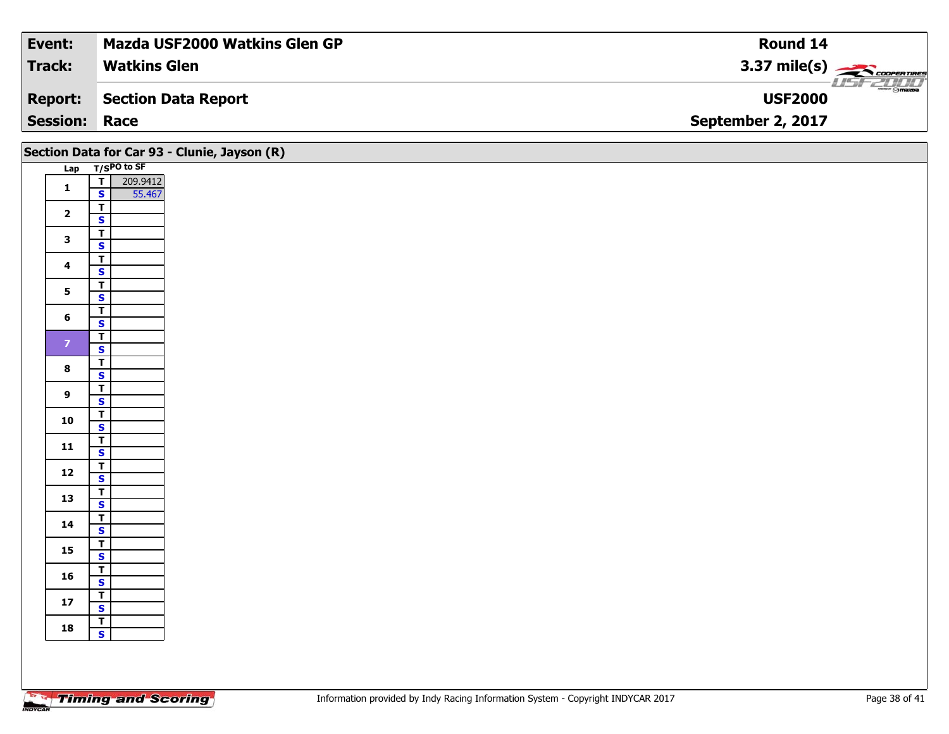| Event:               | <b>Mazda USF2000 Watkins Glen GP</b> | Round 14                         |
|----------------------|--------------------------------------|----------------------------------|
| Track:               | <b>Watkins Glen</b>                  | $3.37 \text{ mile(s)}$           |
| <b>Report:</b>       | Section Data Report                  | $\blacksquare$<br><b>USF2000</b> |
| <b>Session: Race</b> |                                      | September 2, 2017                |

|                         | Section Data for Car 93 - Clunie, Jayson (R) |  |  |  |  |  |  |  |  |
|-------------------------|----------------------------------------------|--|--|--|--|--|--|--|--|
|                         | Lap T/SPO to SF                              |  |  |  |  |  |  |  |  |
| $\mathbf{1}$            | $\overline{1}$<br>209.9412                   |  |  |  |  |  |  |  |  |
|                         | $\mathsf{s}$<br>55.467                       |  |  |  |  |  |  |  |  |
| $\overline{\mathbf{2}}$ | $\overline{\mathsf{r}}$                      |  |  |  |  |  |  |  |  |
|                         | $\overline{\mathbf{s}}$<br>$\overline{r}$    |  |  |  |  |  |  |  |  |
| $\mathbf{3}$            | $\overline{\mathbf{s}}$                      |  |  |  |  |  |  |  |  |
|                         | $\overline{\mathsf{r}}$                      |  |  |  |  |  |  |  |  |
| $\overline{\mathbf{4}}$ | $\mathsf{s}$                                 |  |  |  |  |  |  |  |  |
| $5\overline{)}$         | $\vert$ T                                    |  |  |  |  |  |  |  |  |
|                         | $\overline{\mathbf{s}}$                      |  |  |  |  |  |  |  |  |
| $6\phantom{1}$          | $\overline{\mathbf{r}}$<br>$\mathbf{s}$      |  |  |  |  |  |  |  |  |
|                         | $\overline{\mathsf{r}}$                      |  |  |  |  |  |  |  |  |
| $\overline{z}$          | $\overline{\mathbf{s}}$                      |  |  |  |  |  |  |  |  |
| $\bf{8}$                | $\overline{\mathsf{r}}$                      |  |  |  |  |  |  |  |  |
|                         | $\mathbf{s}$                                 |  |  |  |  |  |  |  |  |
| $\overline{9}$          | $\overline{1}$                               |  |  |  |  |  |  |  |  |
|                         | $\mathbf{s}$                                 |  |  |  |  |  |  |  |  |
| 10                      | $rac{1}{s}$                                  |  |  |  |  |  |  |  |  |
|                         |                                              |  |  |  |  |  |  |  |  |
| $11$                    | $\frac{1}{s}$                                |  |  |  |  |  |  |  |  |
| 12                      | $\overline{t}$                               |  |  |  |  |  |  |  |  |
|                         | $\mathbf{s}$                                 |  |  |  |  |  |  |  |  |
| 13                      | $rac{1}{s}$                                  |  |  |  |  |  |  |  |  |
| 14                      | $\overline{\mathsf{r}}$                      |  |  |  |  |  |  |  |  |
|                         | $\mathsf{s}$                                 |  |  |  |  |  |  |  |  |
| 15                      | $\mathbf{T}$<br>$\overline{\mathbf{s}}$      |  |  |  |  |  |  |  |  |
|                         | $\overline{\mathsf{T}}$                      |  |  |  |  |  |  |  |  |
| 16                      | $\mathbf{s}$                                 |  |  |  |  |  |  |  |  |
| $17$                    | $rac{T}{s}$                                  |  |  |  |  |  |  |  |  |
|                         |                                              |  |  |  |  |  |  |  |  |
| 18                      | T<br>$\overline{\mathbf{s}}$                 |  |  |  |  |  |  |  |  |
|                         |                                              |  |  |  |  |  |  |  |  |
|                         |                                              |  |  |  |  |  |  |  |  |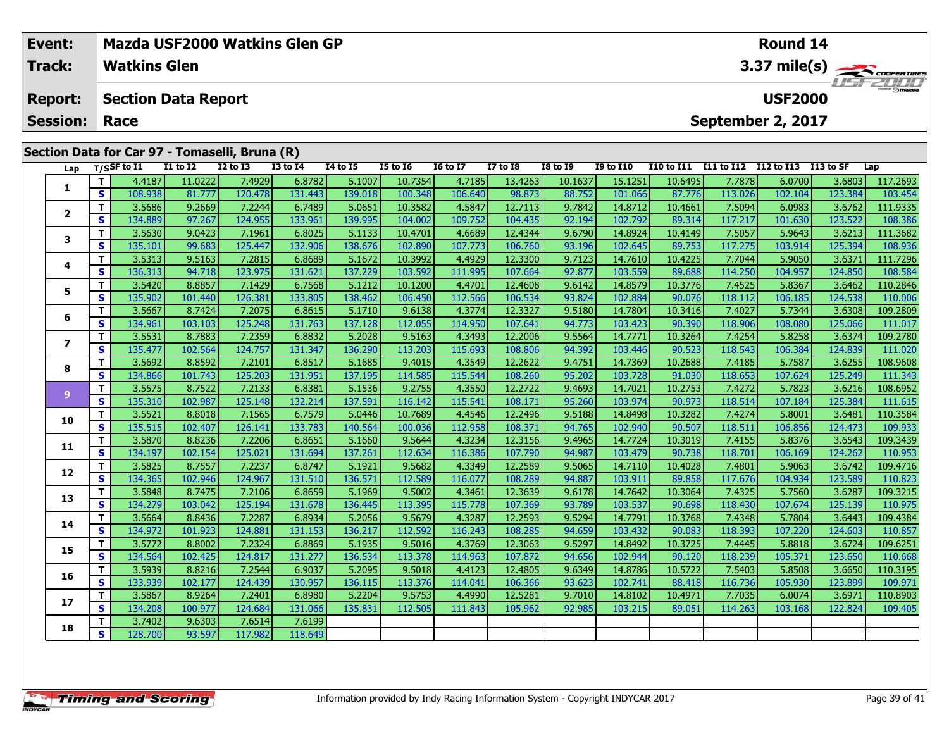| Event:<br>Track: |                                   | Mazda USF2000 Watkins Glen GP<br>Round 14<br><b>Watkins Glen</b> |                                                |                   |                   |                   |                   |                    |                   |                   |                   |                    |                   | 3.37 mile(s)      |                                     |                   |                         |
|------------------|-----------------------------------|------------------------------------------------------------------|------------------------------------------------|-------------------|-------------------|-------------------|-------------------|--------------------|-------------------|-------------------|-------------------|--------------------|-------------------|-------------------|-------------------------------------|-------------------|-------------------------|
|                  | <b>Report:</b><br><b>Session:</b> |                                                                  | <b>Section Data Report</b><br>Race             |                   |                   |                   |                   |                    |                   |                   |                   |                    |                   |                   | <b>USF2000</b><br>September 2, 2017 |                   | $\frac{2\pi}{2}$ omazoa |
|                  |                                   |                                                                  | Section Data for Car 97 - Tomaselli, Bruna (R) |                   | <b>I2 to I3</b>   | <b>I3 to I4</b>   | 14 to 15          | <b>I5 to 16</b>    |                   | <b>I7 to I8</b>   | <b>I8 to 19</b>   | <b>I9 to I10</b>   | <b>I10 to I11</b> | I11 to I12        | I12 to I13                          | I13 to SF         |                         |
|                  | Lap                               |                                                                  | $T/S$ SF to I1                                 | <b>I1 to I2</b>   |                   |                   |                   |                    | <b>16 to 17</b>   |                   |                   |                    |                   |                   |                                     |                   | Lap                     |
|                  | 1                                 | T.<br>S.                                                         | 4.4187<br>108.938                              | 11.0222<br>81.777 | 7.4929<br>120.478 | 6.8782<br>131.443 | 5.1007<br>139.018 | 10.7354<br>100.348 | 4.7185<br>106.640 | 13.4263<br>98.873 | 10.1637<br>88.752 | 15.1251<br>101.066 | 10.6495<br>87.776 | 7.7878<br>113.026 | 6.0700<br>102.104                   | 3.6803<br>123.384 | 117.2693<br>103.454     |
|                  |                                   | T.                                                               | 3.5686                                         | 9.2669            | 7.2244            | 6.7489            | 5.0651            | 10.3582            | 4.5847            | 12.7113           | 9.7842            | 14.8712            | 10.4661           | 7.5094            | 6.0983                              | 3.6762            | 111.9335                |
|                  | $\overline{2}$                    | S.                                                               | 134.889                                        | 97.267            | 124.955           | 133.961           | 139.995           | 104.002            | 109.752           | 104.435           | 92.194            | 102.792            | 89.314            | 117.217           | 101.630                             | 123.522           | 108.386                 |
|                  |                                   |                                                                  | 3.5630                                         | 9.0423            | 7.1961            | 6.8025            | 5.1133            | 10.4701            | 4.6689            | 12.4344           | 9.6790            | 14.8924            | 10.4149           | 7.5057            | 5.9643                              | 3.6213            | 111.3682                |
|                  | 3                                 | s                                                                | 135.101                                        | 99.683            | 125.447           | 132.906           | 138.676           | 102.890            | 107.773           | 106.760           | 93.196            | 102.645            | 89.753            | 117.275           | 103.914                             | 125.394           | 108.936                 |
|                  |                                   | T.                                                               | 3.5313                                         | 9.5163            | 7.2815            | 6.8689            | 5.1672            | 10.3992            | 4.4929            | 12.3300           | 9.7123            | 14.7610            | 10.4225           | 7.7044            | 5.9050                              | 3.6371            | 111.7296                |
|                  | 4                                 | S.                                                               | 136.313                                        | 94.718            | 123.975           | 131.621           | 137.229           | 103.592            | 111.995           | 107.664           | 92.877            | 103.559            | 89.688            | 114.250           | 104.957                             | 124.850           | 108.584                 |
|                  |                                   |                                                                  | 3.5420                                         | 8.8857            | 7.1429            | 6.7568            | 5.1212            | 10.1200            | 4.4701            | 12.4608           | 9.6142            | 14.8579            | 10.3776           | 7.4525            | 5.8367                              | 3.6462            | 110.2846                |
|                  | 5                                 | S                                                                | 135.902                                        | 101.440           | 126.381           | 133.805           | 138.462           | 106.450            | 112.566           | 106.534           | 93.824            | 102.884            | 90.076            | 118.112           | 106.185                             | 124.538           | 110.006                 |
|                  | 6                                 |                                                                  | 3.5667                                         | 8.7424            | 7.2075            | 6.8615            | 5.1710            | 9.6138             | 4.3774            | 12.3327           | 9.5180            | 14.7804            | 10.3416           | 7.4027            | 5.7344                              | 3.6308            | 109.2809                |
|                  |                                   | S.                                                               | 134.961                                        | 103.103           | 125.248           | 131.763           | 137.128           | 112.055            | 114.950           | 107.641           | 94.773            | 103.423            | 90.390            | 118.906           | 108.080                             | 125.066           | 111.017                 |
|                  | $\overline{\mathbf{z}}$           | $\mathbf{T}$                                                     | 3.5531                                         | 8.7883            | 7.2359            | 6.8832            | 5.2028            | 9.5163             | 4.3493            | 12.2006           | 9.5564            | 14.7771            | 10.3264           | 7.4254            | 5.8258                              | 3.6374            | 109.2780                |
|                  |                                   | S.                                                               | 135.477                                        | 102.564           | 124.757           | 131.347           | 136.290           | 113.203            | 115.693           | 108.806           | 94.392            | 103.446            | 90.523            | 118.543           | 106.384                             | 124.839           | 111.020                 |
|                  | 8                                 |                                                                  | 3.5692                                         | 8.8592            | 7.2101            | 6.8517            | 5.1685            | 9.4015             | 4.3549            | 12.2622           | 9.4751            | 14.7369            | 10.2688           | 7.4185            | 5.7587                              | 3.6255            | 108.9608                |
|                  |                                   | S                                                                | 134.866 <b>I</b>                               | 101.743           | 125.2031          | 131.951           | 137.1951          | 114.585            | 115.544 <b>1</b>  | 108.260           | 95.202            | 103.728            | 91.030            | 118.653           | 107.624                             | 125.249           | 111.343                 |

|                          | Э | 124.901 | 103.103 | 125.248 | 131.703 | 137.1281 | LLZ.U33 | 114.950 | 107.041 | 94.7731 | 103.423 | <b>90.3901</b> | 119.900 | <b>100.000</b> | 125.000 | 111.017  |
|--------------------------|---|---------|---------|---------|---------|----------|---------|---------|---------|---------|---------|----------------|---------|----------------|---------|----------|
| $\overline{\phantom{a}}$ | Т | 3.5531  | 8.7883  | 7.2359  | 6.8832  | 5.2028   | 9.5163  | 4.3493  | 12.2006 | 9.5564  | 14.7771 | 10.3264        | 7.4254  | 5.8258         | 3.6374  | 109.2780 |
|                          | S | 135.477 | 102.564 | 124.757 | 131.347 | 136.290  | 113.203 | 115.693 | 108.806 | 94.392  | 103.446 | 90.523         | 118.543 | 106.384        | 124.839 | 111.020  |
| 8                        | т | 3.5692  | 8.8592  | 7.2101  | 6.8517  | 5.1685   | 9.4015  | 4.3549  | 12.2622 | 9.4751  | 14.7369 | 10.2688        | 7.4185  | 5.7587         | 3.6255  | 108.9608 |
|                          | S | 134.866 | 101.743 | 125.203 | 131.951 | 137.195  | 114.585 | 115.544 | 108.260 | 95.202  | 103.728 | 91.030         | 118.653 | 107.624        | 125.249 | 111.343  |
| $\overline{9}$           | Т | 3.5575  | 8.7522  | 7.2133  | 6.8381  | 5.1536   | 9.2755  | 4.3550  | 12.2722 | 9.4693  | 14.7021 | 10.2753        | 7.4272  | 5.7823         | 3.6216  | 108.6952 |
|                          | S | 135.310 | 102.987 | 125.148 | 132.214 | 137.591  | 116.142 | 115.541 | 108.171 | 95.260  | 103.974 | 90.973         | 118.514 | 107.184        | 125.384 | 111.615  |
| 10                       | т | 3.5521  | 8.8018  | 7.1565  | 6.7579  | 5.0446   | 10.7689 | 4.4546  | 12.2496 | 9.5188  | 14.8498 | 10.3282        | 7.4274  | 5.8001         | 3.6481  | 110.3584 |
|                          | S | 135.515 | 102.407 | 126.141 | 133.783 | 140.564  | 100.036 | 112.958 | 108.371 | 94.765  | 102.940 | 90.507         | 118.511 | 106.856        | 124.473 | 109.933  |
| 11                       | т | 3.5870  | 8.8236  | 7.2206  | 6.8651  | 5.1660   | 9.5644  | 4.3234  | 12.3156 | 9.4965  | 14.7724 | 10.3019        | 7.4155  | 5.8376         | 3.6543  | 109.3439 |
|                          | S | 134.197 | 102.154 | 125.021 | 131.694 | 137.261  | 112.634 | 116.386 | 107.790 | 94.987  | 103.479 | 90.738         | 118.701 | 106.169        | 124.262 | 110.953  |
| 12                       | т | 3.5825  | 8.7557  | 7.2237  | 6.8747  | 5.1921   | 9.5682  | 4.3349  | 12.2589 | 9.5065  | 14.7110 | 10.4028        | 7.4801  | 5.9063         | 3.6742  | 109.4716 |
|                          | S | 134.365 | 102.946 | 124.967 | 131.510 | 136.571  | 112.589 | 116.077 | 108.289 | 94.887  | 103.911 | 89.858         | 117.676 | 104.934        | 123.589 | 110.823  |
| 13                       | т | 3.5848  | 8.7475  | 7.2106  | 6.8659  | 5.1969   | 9.5002  | 4.3461  | 12.3639 | 9.6178  | 14.7642 | 10.3064        | 7.4325  | 5.7560         | 3.6287  | 109.3215 |
|                          | S | 134.279 | 103.042 | 125.194 | 131.678 | 136.445  | 113.395 | 115.778 | 107.369 | 93.789  | 103.537 | 90.698         | 118.430 | 107.674        | 125.139 | 110.975  |
| 14                       | т | 3.5664  | 8.8436  | 7.2287  | 6.8934  | 5.2056   | 9.5679  | 4.3287  | 12.2593 | 9.5294  | 14.7791 | 10.3768        | 7.4348  | 5.7804         | 3.6443  | 109.4384 |
|                          | S | 134.972 | 101.923 | 124.881 | 131.153 | 136.217  | 112.592 | 116.243 | 108.285 | 94.659  | 103.432 | 90.083         | 118.393 | 107.220        | 124.603 | 110.857  |
| 15                       | т | 3.5772  | 8.8002  | 7.2324  | 6.8869  | 5.1935   | 9.5016  | 4.3769  | 12.3063 | 9.5297  | 14.8492 | 10.3725        | 7.4445  | 5.8818         | 3.6724  | 109.6251 |
|                          | S | 134.564 | 102.425 | 124.817 | 131.277 | 136.534  | 113.378 | 114.963 | 107.872 | 94.656  | 102.944 | 90.120         | 118.239 | 105.371        | 123.650 | 110.668  |
| 16                       | т | 3.5939  | 8.8216  | 7.2544  | 6.9037  | 5.2095   | 9.5018  | 4.4123  | 12.4805 | 9.6349  | 14.8786 | 10.5722        | 7.5403  | 5.8508         | 3.6650  | 110.3195 |
|                          | S | 133.939 | 102.177 | 124.439 | 130.957 | 136.115  | 113.376 | 114.041 | 106.366 | 93.623  | 102.741 | 88.418         | 116.736 | 105.930        | 123.899 | 109.971  |
| 17                       | т | 3.5867  | 8.9264  | 7.2401  | 6.8980  | 5.2204   | 9.5753  | 4.4990  | 12.5281 | 9.7010  | 14.8102 | 10.4971        | 7.7035  | 6.0074         | 3.6971  | 110.8903 |
|                          | S | 134.208 | 100.977 | 124.684 | 131.066 | 135.831  | 112.505 | 111.843 | 105.962 | 92.985  | 103.215 | 89.051         | 114.263 | 103.168        | 122.824 | 109.405  |
| 18                       |   | 3.7402  | 9.6303  | 7.6514  | 7.6199  |          |         |         |         |         |         |                |         |                |         |          |
|                          | S | 128.700 | 93.597  | 117.982 | 118.649 |          |         |         |         |         |         |                |         |                |         |          |
|                          |   |         |         |         |         |          |         |         |         |         |         |                |         |                |         |          |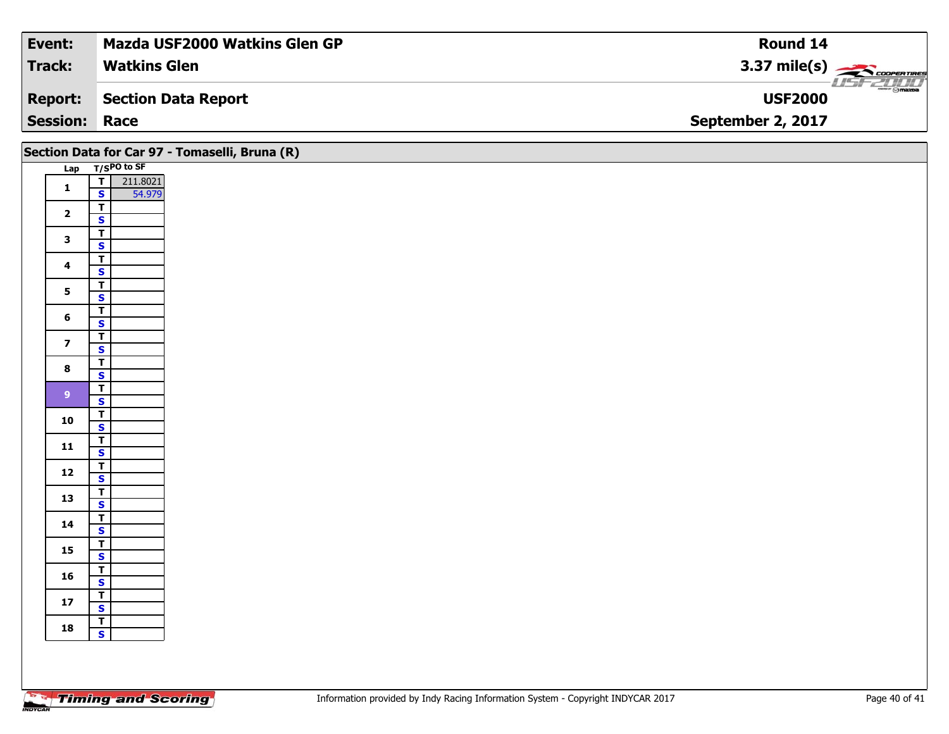| Event:               | <b>Mazda USF2000 Watkins Glen GP</b> | Round 14                                                 |
|----------------------|--------------------------------------|----------------------------------------------------------|
| Track:               | <b>Watkins Glen</b>                  | $3.37 \text{ mile(s)}$                                   |
| <b>Report:</b>       | Section Data Report                  | $\overline{\phantom{a}}$ $\odot$ mazpa<br><b>USF2000</b> |
| <b>Session: Race</b> |                                      | September 2, 2017                                        |

|                         |                                                               | Section Data for Car 97 - Tomaselli, Bruna (R) |
|-------------------------|---------------------------------------------------------------|------------------------------------------------|
|                         | Lap T/SPO to SF                                               |                                                |
| $\mathbf{1}$            | 211.8021<br>$\overline{\mathsf{T}}$<br>$\mathbf{s}$<br>54.979 |                                                |
| $\overline{\mathbf{2}}$ | $\overline{I}$<br>$\mathbf{s}$                                |                                                |
| $\mathbf{3}$            | $\overline{\mathsf{r}}$<br>$\overline{\mathbf{s}}$            |                                                |
| $\overline{\mathbf{4}}$ | $\overline{t}$<br>$\mathbf{s}$                                |                                                |
| $5\phantom{a}$          | $\overline{\mathsf{T}}$<br>$\overline{\mathbf{s}}$            |                                                |
| $6\phantom{a}$          | $\overline{\mathsf{r}}$<br>$\mathbf{s}$                       |                                                |
| $\overline{z}$          | $\overline{L}$<br>$\mathbf{s}$                                |                                                |
| $\bf{8}$                | $\overline{\mathsf{T}}$<br>$\mathbf{s}$                       |                                                |
| 9 <sup>°</sup>          | $\overline{r}$<br>$\mathbf{s}$                                |                                                |
| ${\bf 10}$              | $\overline{1}$<br>$\overline{\mathbf{s}}$                     |                                                |
| $11$                    | $\overline{I}$<br>$\mathbf{s}$<br>$\overline{\mathsf{T}}$     |                                                |
| $12$                    | $\mathbf{s}$                                                  |                                                |
| 13                      | $\overline{\mathbf{r}}$<br>$\mathbf{s}$<br>$\overline{I}$     |                                                |
| 14                      | $\mathbf{s}$<br>$\overline{\mathsf{T}}$                       |                                                |
| 15                      | $\overline{\mathbf{s}}$<br>$\overline{T}$                     |                                                |
| 16                      | $\mathbf{s}$<br>$\overline{\mathbf{r}}$                       |                                                |
| $17$                    | $\overline{\mathbf{s}}$<br>$\overline{r}$                     |                                                |
| 18                      | $\overline{\mathbf{s}}$                                       |                                                |
|                         |                                                               |                                                |